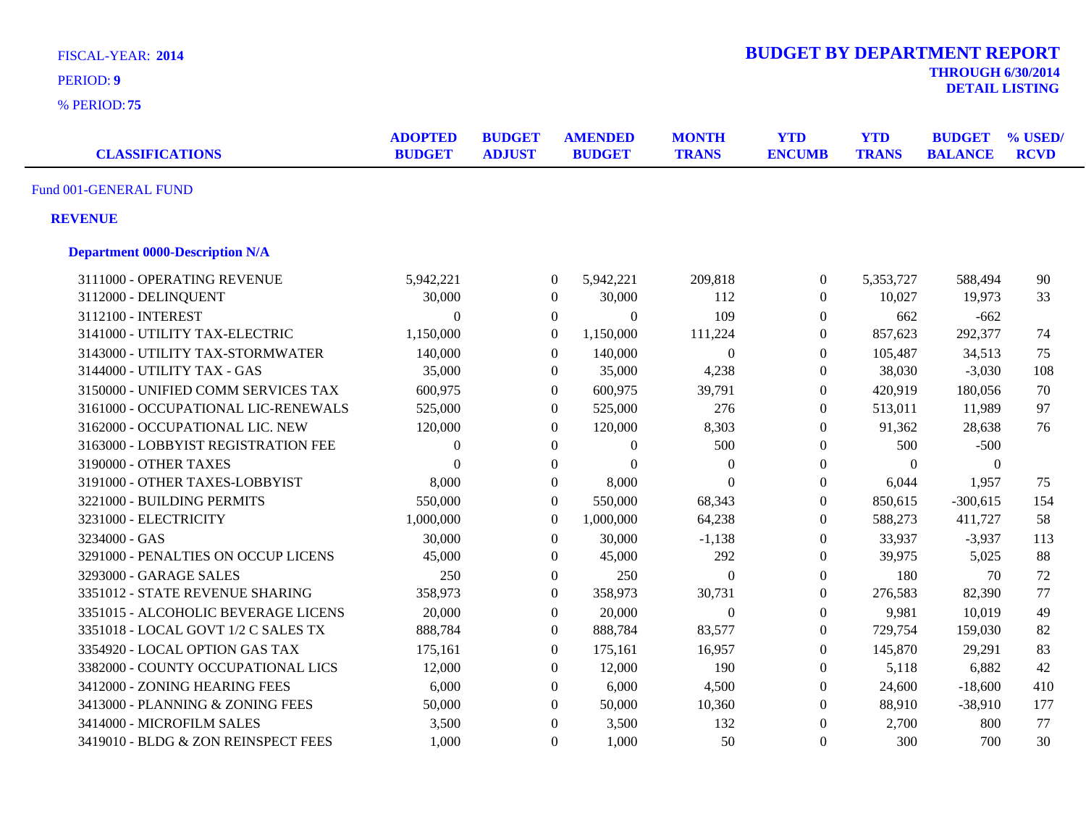| <b>FISCAL-YEAR: 2014</b>               |                                 |                                |                  |                                 |                              | <b>BUDGET BY DEPARTMENT REPORT</b> |                            | <b>THROUGH 6/30/2014</b>        |                        |
|----------------------------------------|---------------------------------|--------------------------------|------------------|---------------------------------|------------------------------|------------------------------------|----------------------------|---------------------------------|------------------------|
| <b>PERIOD: 9</b>                       |                                 |                                |                  |                                 |                              |                                    |                            |                                 |                        |
| % PERIOD: 75                           |                                 |                                |                  |                                 |                              |                                    |                            | <b>DETAIL LISTING</b>           |                        |
| <b>CLASSIFICATIONS</b>                 | <b>ADOPTED</b><br><b>BUDGET</b> | <b>BUDGET</b><br><b>ADJUST</b> |                  | <b>AMENDED</b><br><b>BUDGET</b> | <b>MONTH</b><br><b>TRANS</b> | <b>YTD</b><br><b>ENCUMB</b>        | <b>YTD</b><br><b>TRANS</b> | <b>BUDGET</b><br><b>BALANCE</b> | % USED/<br><b>RCVD</b> |
| Fund 001-GENERAL FUND                  |                                 |                                |                  |                                 |                              |                                    |                            |                                 |                        |
| <b>REVENUE</b>                         |                                 |                                |                  |                                 |                              |                                    |                            |                                 |                        |
| <b>Department 0000-Description N/A</b> |                                 |                                |                  |                                 |                              |                                    |                            |                                 |                        |
| 3111000 - OPERATING REVENUE            | 5,942,221                       |                                | $\overline{0}$   | 5,942,221                       | 209,818                      | $\boldsymbol{0}$                   | 5,353,727                  | 588,494                         | $90\,$                 |
| 3112000 - DELINQUENT                   | 30,000                          |                                | $\boldsymbol{0}$ | 30,000                          | 112                          | $\boldsymbol{0}$                   | 10,027                     | 19,973                          | 33                     |
| 3112100 - INTEREST                     | $\boldsymbol{0}$                |                                | $\overline{0}$   | $\boldsymbol{0}$                | 109                          | $\boldsymbol{0}$                   | 662                        | $-662$                          |                        |
| 3141000 - UTILITY TAX-ELECTRIC         | 1,150,000                       |                                | $\overline{0}$   | 1,150,000                       | 111,224                      | $\boldsymbol{0}$                   | 857,623                    | 292,377                         | 74                     |
| 3143000 - UTILITY TAX-STORMWATER       | 140,000                         |                                | $\mathbf{0}$     | 140,000                         | $\mathbf{0}$                 | $\boldsymbol{0}$                   | 105,487                    | 34,513                          | 75                     |
| 3144000 - UTILITY TAX - GAS            | 35,000                          |                                | $\mathbf{0}$     | 35,000                          | 4,238                        | $\boldsymbol{0}$                   | 38,030                     | $-3,030$                        | 108                    |
| 3150000 - UNIFIED COMM SERVICES TAX    | 600,975                         |                                | $\mathbf{0}$     | 600,975                         | 39,791                       | $\boldsymbol{0}$                   | 420,919                    | 180,056                         | 70                     |
| 3161000 - OCCUPATIONAL LIC-RENEWALS    | 525,000                         |                                | $\boldsymbol{0}$ | 525,000                         | 276                          | $\boldsymbol{0}$                   | 513,011                    | 11,989                          | 97                     |
| 3162000 - OCCUPATIONAL LIC. NEW        | 120,000                         |                                | $\boldsymbol{0}$ | 120,000                         | 8,303                        | $\theta$                           | 91,362                     | 28,638                          | 76                     |
| 3163000 - LOBBYIST REGISTRATION FEE    | $\boldsymbol{0}$                |                                | $\boldsymbol{0}$ | $\boldsymbol{0}$                | 500                          | $\boldsymbol{0}$                   | 500                        | $-500$                          |                        |
| 3190000 - OTHER TAXES                  | $\theta$                        |                                | $\boldsymbol{0}$ | $\mathbf{0}$                    | $\boldsymbol{0}$             | $\boldsymbol{0}$                   | $\Omega$                   | $\overline{0}$                  |                        |
| 3191000 - OTHER TAXES-LOBBYIST         | 8,000                           |                                | $\mathbf{0}$     | 8,000                           | $\Omega$                     | $\boldsymbol{0}$                   | 6,044                      | 1,957                           | 75                     |
| 3221000 - BUILDING PERMITS             | 550,000                         |                                | $\mathbf{0}$     | 550,000                         | 68,343                       | $\mathbf{0}$                       | 850,615                    | $-300,615$                      | 154                    |
| 3231000 - ELECTRICITY                  | 1,000,000                       |                                | $\mathbf{0}$     | 1,000,000                       | 64,238                       | $\boldsymbol{0}$                   | 588,273                    | 411,727                         | 58                     |
| 3234000 - GAS                          | 30,000                          |                                | $\mathbf{0}$     | 30,000                          | $-1,138$                     | $\boldsymbol{0}$                   | 33,937                     | $-3,937$                        | 113                    |
| 3291000 - PENALTIES ON OCCUP LICENS    | 45,000                          |                                | $\mathbf{0}$     | 45,000                          | 292                          | $\boldsymbol{0}$                   | 39,975                     | 5,025                           | 88                     |
| 3293000 - GARAGE SALES                 | 250                             |                                | $\mathbf{0}$     | 250                             | $\boldsymbol{0}$             | $\boldsymbol{0}$                   | 180                        | 70                              | 72                     |
| 3351012 - STATE REVENUE SHARING        | 358,973                         |                                | $\mathbf{0}$     | 358,973                         | 30,731                       | $\overline{0}$                     | 276,583                    | 82,390                          | 77                     |
| 3351015 - ALCOHOLIC BEVERAGE LICENS    | 20,000                          |                                | $\mathbf{0}$     | 20,000                          | $\boldsymbol{0}$             | $\boldsymbol{0}$                   | 9,981                      | 10,019                          | 49                     |
| 3351018 - LOCAL GOVT 1/2 C SALES TX    | 888,784                         |                                | $\overline{0}$   | 888,784                         | 83,577                       | $\boldsymbol{0}$                   | 729,754                    | 159,030                         | 82                     |
| 3354920 - LOCAL OPTION GAS TAX         | 175,161                         |                                | $\mathbf{0}$     | 175,161                         | 16,957                       | $\overline{0}$                     | 145,870                    | 29,291                          | 83                     |
| 3382000 - COUNTY OCCUPATIONAL LICS     | 12,000                          |                                | $\mathbf{0}$     | 12,000                          | 190                          | $\boldsymbol{0}$                   | 5,118                      | 6,882                           | 42                     |
| 3412000 - ZONING HEARING FEES          | 6,000                           |                                | $\boldsymbol{0}$ | 6,000                           | 4,500                        | $\boldsymbol{0}$                   | 24,600                     | $-18,600$                       | 410                    |
| 3413000 - PLANNING & ZONING FEES       | 50,000                          |                                | $\theta$         | 50,000                          | 10,360                       | $\boldsymbol{0}$                   | 88,910                     | $-38,910$                       | 177                    |
| 3414000 - MICROFILM SALES              | 3,500                           |                                | $\boldsymbol{0}$ | 3,500                           | 132                          | $\boldsymbol{0}$                   | 2,700                      | 800                             | 77                     |
| 3419010 - BLDG & ZON REINSPECT FEES    | 1,000                           |                                | $\Omega$         | 1,000                           | 50                           | $\overline{0}$                     | 300                        | 700                             | 30                     |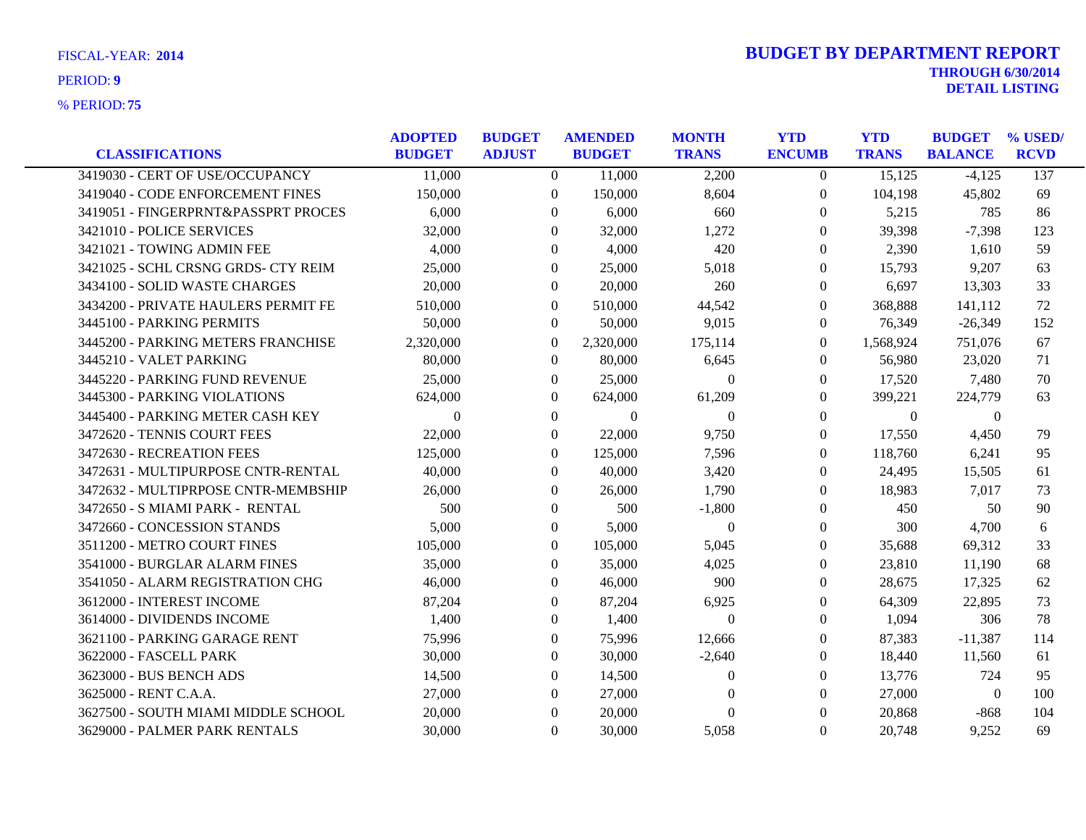| <b>CLASSIFICATIONS</b>              | <b>ADOPTED</b><br><b>BUDGET</b> | <b>BUDGET</b><br><b>ADJUST</b> | <b>AMENDED</b><br><b>BUDGET</b> | <b>MONTH</b><br><b>TRANS</b> | <b>YTD</b><br><b>ENCUMB</b> | <b>YTD</b><br><b>TRANS</b> | <b>BUDGET</b><br><b>BALANCE</b> | % USED/<br><b>RCVD</b> |
|-------------------------------------|---------------------------------|--------------------------------|---------------------------------|------------------------------|-----------------------------|----------------------------|---------------------------------|------------------------|
| 3419030 - CERT OF USE/OCCUPANCY     | 11,000                          | $\overline{0}$                 | 11,000                          | 2,200                        | $\overline{0}$              | 15,125                     | $-4,125$                        | 137                    |
| 3419040 - CODE ENFORCEMENT FINES    | 150,000                         | $\Omega$                       | 150,000                         | 8,604                        | $\overline{0}$              | 104,198                    | 45,802                          | 69                     |
| 3419051 - FINGERPRNT&PASSPRT PROCES | 6,000                           | $\Omega$                       | 6,000                           | 660                          | $\theta$                    | 5,215                      | 785                             | 86                     |
| 3421010 - POLICE SERVICES           | 32,000                          | $\Omega$                       | 32,000                          | 1,272                        | $\theta$                    | 39,398                     | $-7,398$                        | 123                    |
| 3421021 - TOWING ADMIN FEE          | 4,000                           | $\overline{0}$                 | 4,000                           | 420                          | $\overline{0}$              | 2,390                      | 1,610                           | 59                     |
| 3421025 - SCHL CRSNG GRDS- CTY REIM | 25,000                          | $\Omega$                       | 25,000                          | 5,018                        | $\theta$                    | 15,793                     | 9,207                           | 63                     |
| 3434100 - SOLID WASTE CHARGES       | 20,000                          | $\theta$                       | 20,000                          | 260                          | $\theta$                    | 6,697                      | 13,303                          | 33                     |
| 3434200 - PRIVATE HAULERS PERMIT FE | 510,000                         | $\mathbf{0}$                   | 510,000                         | 44,542                       | $\overline{0}$              | 368,888                    | 141,112                         | 72                     |
| 3445100 - PARKING PERMITS           | 50,000                          | $\overline{0}$                 | 50,000                          | 9,015                        | $\boldsymbol{0}$            | 76,349                     | $-26,349$                       | 152                    |
| 3445200 - PARKING METERS FRANCHISE  | 2,320,000                       | $\theta$                       | 2,320,000                       | 175,114                      | $\theta$                    | 1,568,924                  | 751,076                         | 67                     |
| 3445210 - VALET PARKING             | 80,000                          | $\theta$                       | 80,000                          | 6,645                        | $\Omega$                    | 56,980                     | 23,020                          | 71                     |
| 3445220 - PARKING FUND REVENUE      | 25,000                          | $\overline{0}$                 | 25,000                          | $\boldsymbol{0}$             | $\boldsymbol{0}$            | 17,520                     | 7,480                           | 70                     |
| 3445300 - PARKING VIOLATIONS        | 624,000                         | $\theta$                       | 624,000                         | 61,209                       | 0                           | 399,221                    | 224,779                         | 63                     |
| 3445400 - PARKING METER CASH KEY    | $\Omega$                        | $\Omega$                       | $\Omega$                        | $\Omega$                     | $\theta$                    | $\Omega$                   | $\theta$                        |                        |
| 3472620 - TENNIS COURT FEES         | 22,000                          | $\theta$                       | 22,000                          | 9,750                        | $\theta$                    | 17,550                     | 4,450                           | 79                     |
| 3472630 - RECREATION FEES           | 125,000                         | $\mathbf{0}$                   | 125,000                         | 7,596                        | $\boldsymbol{0}$            | 118,760                    | 6,241                           | 95                     |
| 3472631 - MULTIPURPOSE CNTR-RENTAL  | 40,000                          | $\Omega$                       | 40,000                          | 3,420                        | $\theta$                    | 24,495                     | 15,505                          | 61                     |
| 3472632 - MULTIPRPOSE CNTR-MEMBSHIP | 26,000                          | $\Omega$                       | 26,000                          | 1,790                        | $\Omega$                    | 18,983                     | 7,017                           | 73                     |
| 3472650 - S MIAMI PARK - RENTAL     | 500                             | $\Omega$                       | 500                             | $-1,800$                     | $\theta$                    | 450                        | 50                              | 90                     |
| 3472660 - CONCESSION STANDS         | 5,000                           | $\mathbf{0}$                   | 5,000                           | $\mathbf{0}$                 | $\overline{0}$              | 300                        | 4,700                           | 6                      |
| 3511200 - METRO COURT FINES         | 105,000                         | $\Omega$                       | 105,000                         | 5,045                        | $\Omega$                    | 35,688                     | 69,312                          | 33                     |
| 3541000 - BURGLAR ALARM FINES       | 35,000                          | $\Omega$                       | 35,000                          | 4,025                        | $\theta$                    | 23,810                     | 11,190                          | 68                     |
| 3541050 - ALARM REGISTRATION CHG    | 46,000                          | $\Omega$                       | 46,000                          | 900                          | $\overline{0}$              | 28,675                     | 17,325                          | 62                     |
| 3612000 - INTEREST INCOME           | 87,204                          | $\Omega$                       | 87,204                          | 6,925                        | $\theta$                    | 64,309                     | 22,895                          | 73                     |
| 3614000 - DIVIDENDS INCOME          | 1,400                           | $\Omega$                       | 1,400                           | $\theta$                     | 0                           | 1,094                      | 306                             | 78                     |
| 3621100 - PARKING GARAGE RENT       | 75,996                          | $\Omega$                       | 75,996                          | 12,666                       | $\theta$                    | 87,383                     | $-11,387$                       | 114                    |
| 3622000 - FASCELL PARK              | 30,000                          | $\mathbf{0}$                   | 30,000                          | $-2,640$                     | $\overline{0}$              | 18,440                     | 11,560                          | 61                     |
| 3623000 - BUS BENCH ADS             | 14,500                          | $\theta$                       | 14,500                          | $\theta$                     | $\theta$                    | 13,776                     | 724                             | 95                     |
| 3625000 - RENT C.A.A.               | 27,000                          | $\Omega$                       | 27,000                          | $\theta$                     | $\Omega$                    | 27,000                     | $\theta$                        | 100                    |
| 3627500 - SOUTH MIAMI MIDDLE SCHOOL | 20,000                          | $\Omega$                       | 20,000                          | $\theta$                     | $\theta$                    | 20,868                     | $-868$                          | 104                    |
| 3629000 - PALMER PARK RENTALS       | 30,000                          | $\Omega$                       | 30,000                          | 5,058                        | $\theta$                    | 20,748                     | 9,252                           | 69                     |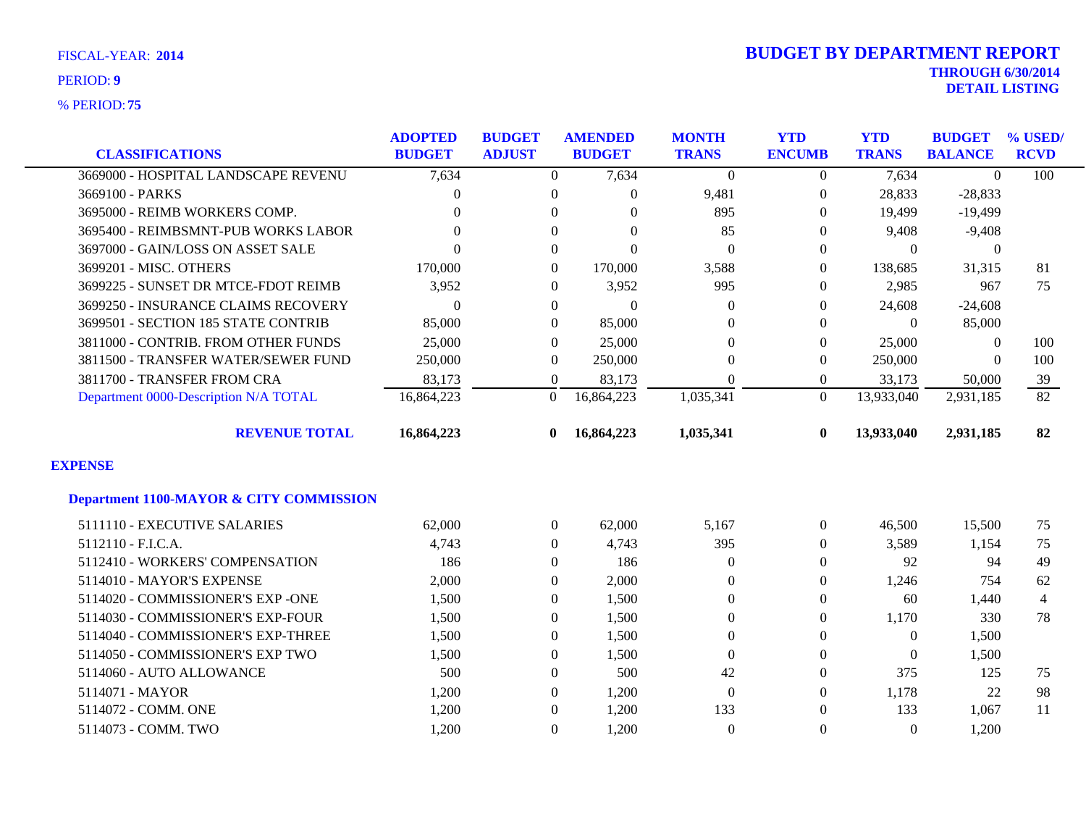|                                                    | <b>ADOPTED</b> | <b>BUDGET</b>    | <b>AMENDED</b> | <b>MONTH</b>     | <b>YTD</b>       | <b>YTD</b>     | <b>BUDGET</b>  | % USED/         |
|----------------------------------------------------|----------------|------------------|----------------|------------------|------------------|----------------|----------------|-----------------|
| <b>CLASSIFICATIONS</b>                             | <b>BUDGET</b>  | <b>ADJUST</b>    | <b>BUDGET</b>  | <b>TRANS</b>     | <b>ENCUMB</b>    | <b>TRANS</b>   | <b>BALANCE</b> | <b>RCVD</b>     |
| 3669000 - HOSPITAL LANDSCAPE REVENU                | 7,634          | $\Omega$         | 7,634          | $\Omega$         | $\Omega$         | 7,634          | $\theta$       | 100             |
| 3669100 - PARKS                                    | 0              | $\boldsymbol{0}$ | $\overline{0}$ | 9,481            | $\boldsymbol{0}$ | 28,833         | $-28,833$      |                 |
| 3695000 - REIMB WORKERS COMP.                      | $\Omega$       | $\Omega$         | $\Omega$       | 895              | $\Omega$         | 19,499         | $-19,499$      |                 |
| 3695400 - REIMBSMNT-PUB WORKS LABOR                | 0              | $\Omega$         | $\Omega$       | 85               | $\Omega$         | 9,408          | $-9,408$       |                 |
| 3697000 - GAIN/LOSS ON ASSET SALE                  | $\overline{0}$ | $\Omega$         | $\Omega$       | $\Omega$         | $\Omega$         | $\theta$       | $\Omega$       |                 |
| 3699201 - MISC. OTHERS                             | 170,000        | $\Omega$         | 170,000        | 3,588            | $\Omega$         | 138,685        | 31,315         | 81              |
| 3699225 - SUNSET DR MTCE-FDOT REIMB                | 3,952          | $\overline{0}$   | 3,952          | 995              | $\Omega$         | 2,985          | 967            | 75              |
| 3699250 - INSURANCE CLAIMS RECOVERY                | 0              | $\overline{0}$   | $\Omega$       | $\Omega$         | $\Omega$         | 24,608         | $-24,608$      |                 |
| 3699501 - SECTION 185 STATE CONTRIB                | 85,000         | $\overline{0}$   | 85,000         | $\theta$         | $\Omega$         | $\overline{0}$ | 85,000         |                 |
| 3811000 - CONTRIB. FROM OTHER FUNDS                | 25,000         | $\Omega$         | 25,000         | $\Omega$         | $\Omega$         | 25,000         | $\Omega$       | 100             |
| 3811500 - TRANSFER WATER/SEWER FUND                | 250,000        | $\Omega$         | 250,000        | $\Omega$         | $\Omega$         | 250,000        | $\Omega$       | 100             |
| 3811700 - TRANSFER FROM CRA                        | 83,173         | $\Omega$         | 83,173         | $\theta$         | $\Omega$         | 33,173         | 50,000         | 39              |
| Department 0000-Description N/A TOTAL              | 16,864,223     | $\Omega$         | 16,864,223     | 1,035,341        | $\Omega$         | 13,933,040     | 2,931,185      | $\overline{82}$ |
| <b>REVENUE TOTAL</b>                               | 16,864,223     | $\mathbf{0}$     | 16,864,223     | 1,035,341        | $\bf{0}$         | 13,933,040     | 2,931,185      | 82              |
| <b>EXPENSE</b>                                     |                |                  |                |                  |                  |                |                |                 |
| <b>Department 1100-MAYOR &amp; CITY COMMISSION</b> |                |                  |                |                  |                  |                |                |                 |
| 5111110 - EXECUTIVE SALARIES                       | 62,000         | $\overline{0}$   | 62,000         | 5,167            | $\theta$         | 46,500         | 15,500         | 75              |
| 5112110 - F.I.C.A.                                 | 4,743          | $\overline{0}$   | 4,743          | 395              | $\overline{0}$   | 3,589          | 1,154          | 75              |
| 5112410 - WORKERS' COMPENSATION                    | 186            | $\Omega$         | 186            | $\Omega$         | $\Omega$         | 92             | 94             | 49              |
| 5114010 - MAYOR'S EXPENSE                          | 2,000          | $\mathbf{0}$     | 2,000          | $\theta$         | $\Omega$         | 1,246          | 754            | 62              |
| 5114020 - COMMISSIONER'S EXP -ONE                  | 1,500          | $\overline{0}$   | 1,500          | $\overline{0}$   | $\Omega$         | 60             | 1,440          | $\overline{4}$  |
| 5114030 - COMMISSIONER'S EXP-FOUR                  | 1,500          | $\overline{0}$   | 1,500          | $\theta$         | $\Omega$         | 1,170          | 330            | 78              |
| 5114040 - COMMISSIONER'S EXP-THREE                 | 1,500          | $\Omega$         | 1,500          | $\theta$         | $\Omega$         | $\theta$       | 1,500          |                 |
| 5114050 - COMMISSIONER'S EXP TWO                   | 1,500          | $\boldsymbol{0}$ | 1,500          | $\boldsymbol{0}$ | $\theta$         | $\theta$       | 1,500          |                 |
| 5114060 - AUTO ALLOWANCE                           | 500            | $\Omega$         | 500            | 42               | $\Omega$         | 375            | 125            | 75              |
| 5114071 - MAYOR                                    | 1,200          | $\overline{0}$   | 1,200          | $\theta$         | $\Omega$         | 1,178          | 22             | 98              |
| 5114072 - COMM. ONE                                | 1,200          | $\Omega$         | 1,200          | 133              | $\Omega$         | 133            | 1,067          | 11              |
| 5114073 - COMM. TWO                                | 1,200          | $\Omega$         | 1,200          | $\theta$         | $\Omega$         | $\Omega$       | 1,200          |                 |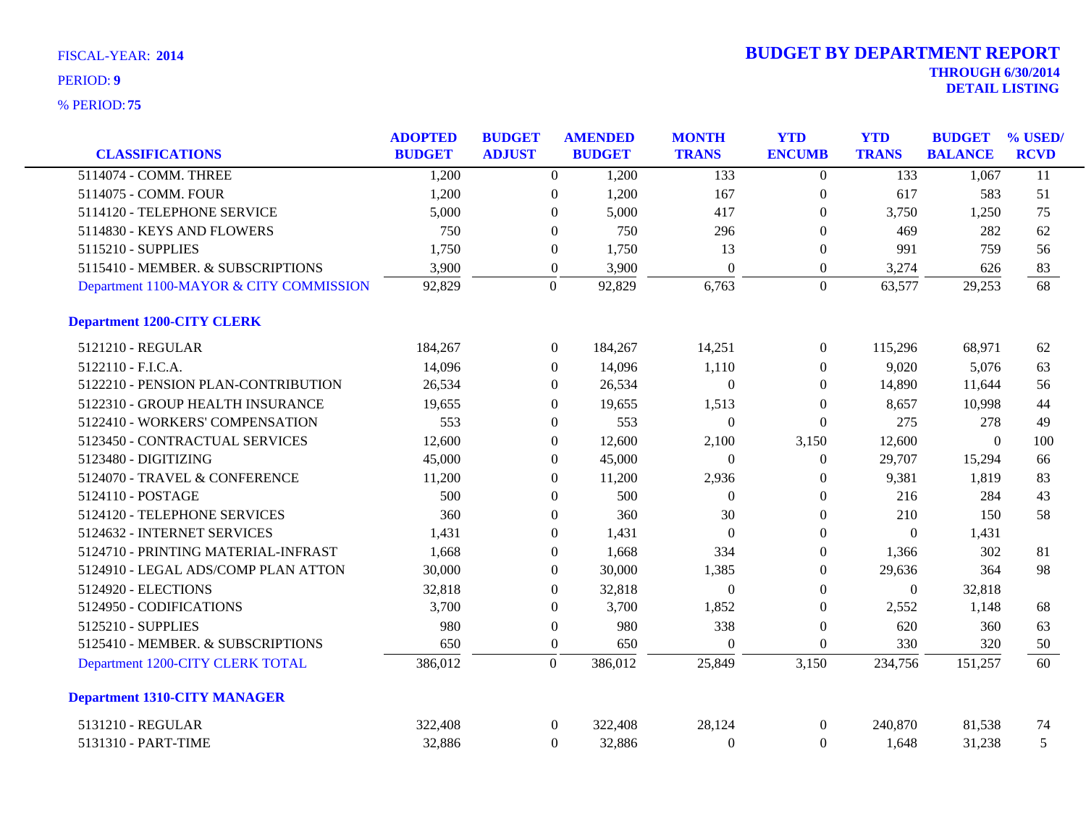| ,,,,,,,,,,,,                            |                                 |                                |                                 |                              |                             |                            |                                 |                           |
|-----------------------------------------|---------------------------------|--------------------------------|---------------------------------|------------------------------|-----------------------------|----------------------------|---------------------------------|---------------------------|
| <b>CLASSIFICATIONS</b>                  | <b>ADOPTED</b><br><b>BUDGET</b> | <b>BUDGET</b><br><b>ADJUST</b> | <b>AMENDED</b><br><b>BUDGET</b> | <b>MONTH</b><br><b>TRANS</b> | <b>YTD</b><br><b>ENCUMB</b> | <b>YTD</b><br><b>TRANS</b> | <b>BUDGET</b><br><b>BALANCE</b> | $\%$ USED/<br><b>RCVD</b> |
| 5114074 - COMM. THREE                   | 1,200                           |                                | 1,200<br>$\overline{0}$         | 133                          | $\Omega$                    | 133                        | 1,067                           | 11                        |
| 5114075 - COMM. FOUR                    | 1,200                           |                                | $\overline{0}$<br>1,200         | 167                          | $\overline{0}$              | 617                        | 583                             | 51                        |
| 5114120 - TELEPHONE SERVICE             | 5,000                           |                                | 5,000<br>$\Omega$               | 417                          | 0                           | 3,750                      | 1,250                           | 75                        |
| 5114830 - KEYS AND FLOWERS              | 750                             |                                | 750<br>$\mathbf{0}$             | 296                          | 0                           | 469                        | 282                             | 62                        |
| 5115210 - SUPPLIES                      | 1,750                           |                                | $\overline{0}$<br>1,750         | 13                           | $\overline{0}$              | 991                        | 759                             | 56                        |
| 5115410 - MEMBER. & SUBSCRIPTIONS       | 3,900                           |                                | 3,900<br>$\mathbf{0}$           | $\Omega$                     | $\overline{0}$              | 3,274                      | 626                             | 83                        |
| Department 1100-MAYOR & CITY COMMISSION | 92,829                          |                                | 92,829<br>$\theta$              | 6,763                        | $\Omega$                    | 63,577                     | 29,253                          | 68                        |
| <b>Department 1200-CITY CLERK</b>       |                                 |                                |                                 |                              |                             |                            |                                 |                           |
| 5121210 - REGULAR                       | 184,267                         |                                | $\overline{0}$<br>184,267       | 14,251                       | $\theta$                    | 115,296                    | 68,971                          | 62                        |
| 5122110 - F.I.C.A.                      | 14,096                          |                                | $\overline{0}$<br>14,096        | 1,110                        | $\overline{0}$              | 9,020                      | 5,076                           | 63                        |
| 5122210 - PENSION PLAN-CONTRIBUTION     | 26,534                          |                                | $\Omega$<br>26,534              | $\sqrt{ }$                   | $\Omega$                    | 14,890                     | 11,644                          | 56                        |
| 5122310 - GROUP HEALTH INSURANCE        | 19,655                          |                                | $\Omega$<br>19,655              | 1,513                        | $\theta$                    | 8,657                      | 10.998                          | 44                        |
| 5122410 - WORKERS' COMPENSATION         | 553                             |                                | $\overline{0}$<br>553           | $\Omega$                     | $\overline{0}$              | 275                        | 278                             | 49                        |
| 5123450 - CONTRACTUAL SERVICES          | 12,600                          |                                | $\overline{0}$<br>12,600        | 2,100                        | 3,150                       | 12,600                     | $\Omega$                        | 100                       |
| 5123480 - DIGITIZING                    | 45,000                          |                                | $\overline{0}$<br>45,000        | $\Omega$                     | 0                           | 29,707                     | 15,294                          | 66                        |
| 5124070 - TRAVEL & CONFERENCE           | 11,200                          |                                | 11,200<br>$\Omega$              | 2,936                        | 0                           | 9,381                      | 1,819                           | 83                        |

| 5121210 - REGULAR                   | 184,267 | $\left($         | 184,267 | 14,251   | $\left($ | 115,296  | 68,971   | 62  |
|-------------------------------------|---------|------------------|---------|----------|----------|----------|----------|-----|
| 5122110 - F.I.C.A.                  | 14,096  | $\Omega$         | 14,096  | 1,110    | 0        | 9,020    | 5,076    | 63  |
| 5122210 - PENSION PLAN-CONTRIBUTION | 26,534  | $\overline{0}$   | 26,534  | $\Omega$ | 0        | 14,890   | 11,644   | 56  |
| 5122310 - GROUP HEALTH INSURANCE    | 19,655  | $\Omega$         | 19,655  | 1,513    | 0        | 8,657    | 10,998   | 44  |
| 5122410 - WORKERS' COMPENSATION     | 553     | $\mathbf{0}$     | 553     | $\Omega$ | $\theta$ | 275      | 278      | 49  |
| 5123450 - CONTRACTUAL SERVICES      | 12,600  | $\theta$         | 12,600  | 2,100    | 3,150    | 12,600   | $\Omega$ | 100 |
| 5123480 - DIGITIZING                | 45,000  | $\theta$         | 45,000  | $\Omega$ | $\Omega$ | 29,707   | 15,294   | 66  |
| 5124070 - TRAVEL & CONFERENCE       | 11,200  | $\mathbf{0}$     | 11,200  | 2,936    | $\theta$ | 9,381    | 1,819    | 83  |
| 5124110 - POSTAGE                   | 500     | $\theta$         | 500     | $\Omega$ | 0        | 216      | 284      | 43  |
| 5124120 - TELEPHONE SERVICES        | 360     | $\Omega$         | 360     | 30       | 0        | 210      | 150      | 58  |
| 5124632 - INTERNET SERVICES         | 1,431   | $\mathbf{0}$     | 1,431   | $\theta$ | $\theta$ | $\Omega$ | 1,431    |     |
| 5124710 - PRINTING MATERIAL-INFRAST | 1,668   | $\theta$         | 1,668   | 334      | $\Omega$ | 1,366    | 302      | 81  |
| 5124910 - LEGAL ADS/COMP PLAN ATTON | 30,000  | $\Omega$         | 30,000  | 1,385    | 0        | 29,636   | 364      | 98  |
| 5124920 - ELECTIONS                 | 32,818  | $\Omega$         | 32,818  | $\Omega$ | 0        | $\theta$ | 32,818   |     |
| 5124950 - CODIFICATIONS             | 3,700   | $\theta$         | 3,700   | 1,852    | $\Omega$ | 2,552    | 1,148    | 68  |
| 5125210 - SUPPLIES                  | 980     | $\boldsymbol{0}$ | 980     | 338      | $\theta$ | 620      | 360      | 63  |
| 5125410 - MEMBER. & SUBSCRIPTIONS   | 650     | $\overline{0}$   | 650     | $\theta$ | $\theta$ | 330      | 320      | 50  |
| Department 1200-CITY CLERK TOTAL    | 386,012 | $\theta$         | 386,012 | 25,849   | 3,150    | 234,756  | 151,257  | 60  |
| <b>Department 1310-CITY MANAGER</b> |         |                  |         |          |          |          |          |     |
| 5131210 - REGULAR                   | 322,408 | $\theta$         | 322,408 | 28,124   | $\theta$ | 240,870  | 81,538   | 74  |
| 5131310 - PART-TIME                 | 32,886  | $\mathbf{0}$     | 32,886  | $\theta$ | $\theta$ | 1,648    | 31,238   | 5   |
|                                     |         |                  |         |          |          |          |          |     |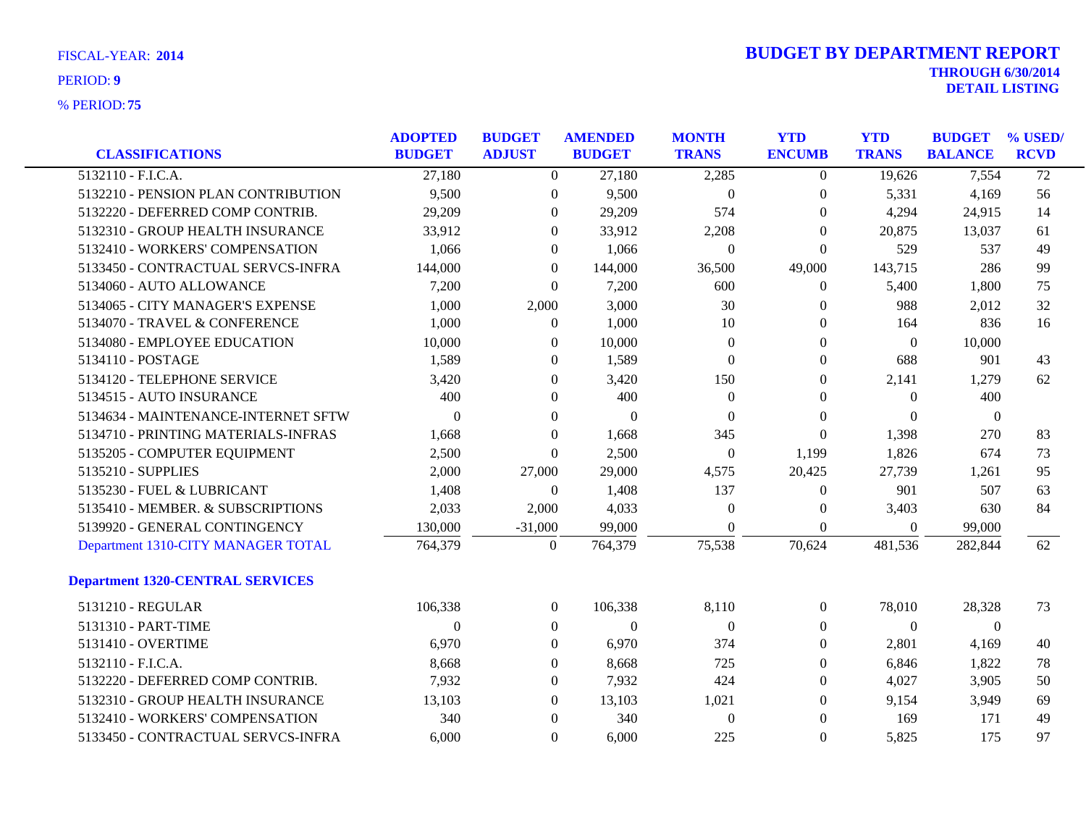|                                         | <b>ADOPTED</b> | <b>BUDGET</b>    | <b>AMENDED</b> | <b>MONTH</b>     | <b>YTD</b>       | <b>YTD</b>   | <b>BUDGET</b>  | % USED/         |
|-----------------------------------------|----------------|------------------|----------------|------------------|------------------|--------------|----------------|-----------------|
| <b>CLASSIFICATIONS</b>                  | <b>BUDGET</b>  | <b>ADJUST</b>    | <b>BUDGET</b>  | <b>TRANS</b>     | <b>ENCUMB</b>    | <b>TRANS</b> | <b>BALANCE</b> | <b>RCVD</b>     |
| $5132110 - F.L.C.A.$                    | 27,180         | $\overline{0}$   | 27,180         | 2,285            | $\overline{0}$   | 19,626       | 7,554          | $\overline{72}$ |
| 5132210 - PENSION PLAN CONTRIBUTION     | 9,500          | $\boldsymbol{0}$ | 9,500          | $\boldsymbol{0}$ | $\theta$         | 5,331        | 4,169          | 56              |
| 5132220 - DEFERRED COMP CONTRIB.        | 29,209         | $\boldsymbol{0}$ | 29,209         | 574              | $\overline{0}$   | 4,294        | 24,915         | 14              |
| 5132310 - GROUP HEALTH INSURANCE        | 33,912         | $\Omega$         | 33,912         | 2,208            | $\theta$         | 20,875       | 13,037         | 61              |
| 5132410 - WORKERS' COMPENSATION         | 1,066          | $\mathbf{0}$     | 1,066          | $\theta$         | $\Omega$         | 529          | 537            | 49              |
| 5133450 - CONTRACTUAL SERVCS-INFRA      | 144,000        | $\boldsymbol{0}$ | 144,000        | 36,500           | 49,000           | 143,715      | 286            | 99              |
| 5134060 - AUTO ALLOWANCE                | 7,200          | $\mathbf{0}$     | 7,200          | 600              | $\overline{0}$   | 5,400        | 1,800          | 75              |
| 5134065 - CITY MANAGER'S EXPENSE        | 1,000          | 2,000            | 3,000          | 30               | $\Omega$         | 988          | 2,012          | 32              |
| 5134070 - TRAVEL & CONFERENCE           | 1,000          | $\overline{0}$   | 1,000          | 10               | $\Omega$         | 164          | 836            | 16              |
| 5134080 - EMPLOYEE EDUCATION            | 10,000         | $\boldsymbol{0}$ | 10,000         | $\theta$         | $\mathbf{0}$     | $\theta$     | 10,000         |                 |
| 5134110 - POSTAGE                       | 1,589          | $\mathbf{0}$     | 1,589          | $\boldsymbol{0}$ | $\overline{0}$   | 688          | 901            | 43              |
| 5134120 - TELEPHONE SERVICE             | 3,420          | $\theta$         | 3,420          | 150              | $\Omega$         | 2,141        | 1,279          | 62              |
| 5134515 - AUTO INSURANCE                | 400            | $\Omega$         | 400            | $\Omega$         | $\Omega$         | $\Omega$     | 400            |                 |
| 5134634 - MAINTENANCE-INTERNET SFTW     | $\Omega$       | $\theta$         | $\theta$       | $\Omega$         | $\Omega$         | $\Omega$     | $\overline{0}$ |                 |
| 5134710 - PRINTING MATERIALS-INFRAS     | 1,668          | $\theta$         | 1,668          | 345              | $\Omega$         | 1,398        | 270            | 83              |
| 5135205 - COMPUTER EQUIPMENT            | 2,500          | $\Omega$         | 2,500          | $\boldsymbol{0}$ | 1,199            | 1,826        | 674            | 73              |
| 5135210 - SUPPLIES                      | 2,000          | 27,000           | 29,000         | 4,575            | 20,425           | 27,739       | 1,261          | 95              |
| 5135230 - FUEL & LUBRICANT              | 1,408          | $\overline{0}$   | 1,408          | 137              | $\mathbf{0}$     | 901          | 507            | 63              |
| 5135410 - MEMBER. & SUBSCRIPTIONS       | 2,033          | 2,000            | 4,033          | $\boldsymbol{0}$ | $\boldsymbol{0}$ | 3,403        | 630            | 84              |
| 5139920 - GENERAL CONTINGENCY           | 130,000        | $-31,000$        | 99,000         | $\Omega$         | $\overline{0}$   | $\Omega$     | 99,000         |                 |
| Department 1310-CITY MANAGER TOTAL      | 764,379        | $\Omega$         | 764,379        | 75,538           | 70,624           | 481,536      | 282,844        | 62              |
| <b>Department 1320-CENTRAL SERVICES</b> |                |                  |                |                  |                  |              |                |                 |
| 5131210 - REGULAR                       | 106,338        | $\overline{0}$   | 106,338        | 8,110            | $\overline{0}$   | 78,010       | 28,328         | 73              |
| 5131310 - PART-TIME                     | $\Omega$       | $\Omega$         | $\Omega$       | $\Omega$         | $\Omega$         | $\Omega$     | $\theta$       |                 |
| 5131410 - OVERTIME                      | 6,970          | $\Omega$         | 6,970          | 374              | $\Omega$         | 2,801        | 4,169          | 40              |
| 5132110 - F.I.C.A.                      | 8,668          | $\boldsymbol{0}$ | 8,668          | 725              | $\Omega$         | 6,846        | 1,822          | 78              |
| 5132220 - DEFERRED COMP CONTRIB.        | 7,932          | $\theta$         | 7,932          | 424              | $\Omega$         | 4,027        | 3,905          | 50              |
| 5132310 - GROUP HEALTH INSURANCE        | 13,103         | $\Omega$         | 13,103         | 1,021            | $\Omega$         | 9,154        | 3,949          | 69              |
| 5132410 - WORKERS' COMPENSATION         | 340            | $\Omega$         | 340            | $\Omega$         | $\Omega$         | 169          | 171            | 49              |
| 5133450 - CONTRACTUAL SERVCS-INFRA      | 6,000          | $\Omega$         | 6,000          | 225              | $\Omega$         | 5,825        | 175            | 97              |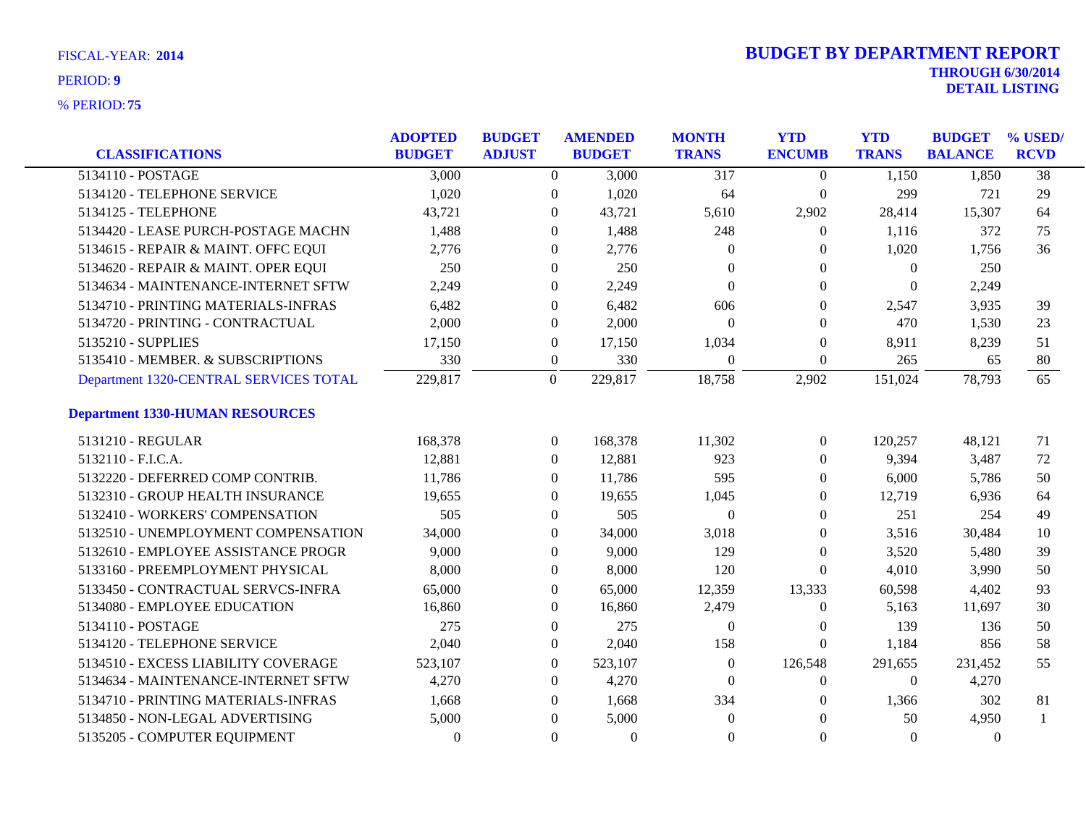| <b>CLASSIFICATIONS</b>                 | <b>ADOPTED</b><br><b>BUDGET</b> | <b>BUDGET</b><br><b>ADJUST</b> |                  | <b>AMENDED</b><br><b>BUDGET</b> | <b>MONTH</b><br><b>TRANS</b> | <b>YTD</b><br><b>ENCUMB</b> | <b>YTD</b><br><b>TRANS</b> | <b>BUDGET</b><br><b>BALANCE</b> | % USED/<br><b>RCVD</b> |
|----------------------------------------|---------------------------------|--------------------------------|------------------|---------------------------------|------------------------------|-----------------------------|----------------------------|---------------------------------|------------------------|
| 5134110 - POSTAGE                      | 3,000                           |                                | $\Omega$         | 3,000                           | 317                          | $\Omega$                    | 1,150                      | 1,850                           | $\overline{38}$        |
| 5134120 - TELEPHONE SERVICE            | 1,020                           |                                | $\overline{0}$   | 1,020                           | 64                           | $\boldsymbol{0}$            | 299                        | 721                             | 29                     |
| 5134125 - TELEPHONE                    | 43,721                          |                                | $\overline{0}$   | 43,721                          | 5,610                        | 2,902                       | 28,414                     | 15,307                          | 64                     |
| 5134420 - LEASE PURCH-POSTAGE MACHN    | 1,488                           |                                | 0                | 1,488                           | 248                          | $\overline{0}$              | 1,116                      | 372                             | 75                     |
| 5134615 - REPAIR & MAINT. OFFC EQUI    | 2,776                           |                                | 0                | 2,776                           | $\Omega$                     | $\Omega$                    | 1,020                      | 1,756                           | 36                     |
| 5134620 - REPAIR & MAINT. OPER EQUI    | 250                             |                                | $\overline{0}$   | 250                             | $\overline{0}$               | $\Omega$                    | $\overline{0}$             | 250                             |                        |
| 5134634 - MAINTENANCE-INTERNET SFTW    | 2,249                           |                                | 0                | 2,249                           | $\Omega$                     | $\theta$                    | $\Omega$                   | 2,249                           |                        |
| 5134710 - PRINTING MATERIALS-INFRAS    | 6,482                           |                                | $\Omega$         | 6,482                           | 606                          | $\Omega$                    | 2,547                      | 3,935                           | 39                     |
| 5134720 - PRINTING - CONTRACTUAL       | 2,000                           |                                | $\overline{0}$   | 2,000                           | $\Omega$                     | $\Omega$                    | 470                        | 1,530                           | 23                     |
| 5135210 - SUPPLIES                     | 17,150                          |                                | $\boldsymbol{0}$ | 17,150                          | 1,034                        | $\boldsymbol{0}$            | 8,911                      | 8,239                           | 51                     |
| 5135410 - MEMBER. & SUBSCRIPTIONS      | 330                             |                                | $\overline{0}$   | 330                             | $\boldsymbol{0}$             | $\boldsymbol{0}$            | 265                        | 65                              | 80                     |
| Department 1320-CENTRAL SERVICES TOTAL | 229,817                         |                                | $\overline{0}$   | 229,817                         | 18,758                       | 2,902                       | 151,024                    | 78,793                          | 65                     |
| <b>Department 1330-HUMAN RESOURCES</b> |                                 |                                |                  |                                 |                              |                             |                            |                                 |                        |
| 5131210 - REGULAR                      | 168,378                         |                                | $\overline{0}$   | 168,378                         | 11,302                       | $\overline{0}$              | 120,257                    | 48.121                          | 71                     |
| 5132110 - F.I.C.A.                     | 12,881                          |                                | $\overline{0}$   | 12,881                          | 923                          | $\overline{0}$              | 9,394                      | 3,487                           | 72                     |
| 5132220 - DEFERRED COMP CONTRIB.       | 11,786                          |                                | $\Omega$         | 11,786                          | 595                          | $\Omega$                    | 6,000                      | 5,786                           | 50                     |
| 5132310 - GROUP HEALTH INSURANCE       | 19,655                          |                                | $\Omega$         | 19,655                          | 1,045                        | $\Omega$                    | 12,719                     | 6,936                           | 64                     |
| 5132410 - WORKERS' COMPENSATION        | 505                             |                                | $\overline{0}$   | 505                             | $\Omega$                     | $\Omega$                    | 251                        | 254                             | 49                     |
| 5132510 - UNEMPLOYMENT COMPENSATION    | 34,000                          |                                | $\overline{0}$   | 34,000                          | 3,018                        | $\Omega$                    | 3,516                      | 30,484                          | 10                     |
| 5132610 - EMPLOYEE ASSISTANCE PROGR    | 9,000                           |                                | $\Omega$         | 9,000                           | 129                          | $\Omega$                    | 3,520                      | 5,480                           | 39                     |
| 5133160 - PREEMPLOYMENT PHYSICAL       | 8,000                           |                                | $\overline{0}$   | 8,000                           | 120                          | $\Omega$                    | 4,010                      | 3,990                           | 50                     |
| 5133450 - CONTRACTUAL SERVCS-INFRA     | 65,000                          |                                | $\overline{0}$   | 65,000                          | 12,359                       | 13,333                      | 60,598                     | 4,402                           | 93                     |
| 5134080 - EMPLOYEE EDUCATION           | 16,860                          |                                | $\overline{0}$   | 16,860                          | 2,479                        | $\boldsymbol{0}$            | 5,163                      | 11,697                          | 30                     |
| 5134110 - POSTAGE                      | 275                             |                                | $\overline{0}$   | 275                             | $\theta$                     | $\bf{0}$                    | 139                        | 136                             | 50                     |
| 5134120 - TELEPHONE SERVICE            | 2,040                           |                                | $\overline{0}$   | 2,040                           | 158                          | $\theta$                    | 1,184                      | 856                             | 58                     |
| 5134510 - EXCESS LIABILITY COVERAGE    | 523,107                         |                                | $\overline{0}$   | 523,107                         | $\boldsymbol{0}$             | 126,548                     | 291,655                    | 231,452                         | 55                     |
| 5134634 - MAINTENANCE-INTERNET SFTW    | 4,270                           |                                | $\overline{0}$   | 4,270                           | $\theta$                     | $\overline{0}$              | $\overline{0}$             | 4,270                           |                        |
| 5134710 - PRINTING MATERIALS-INFRAS    | 1,668                           |                                | 0                | 1,668                           | 334                          | $\theta$                    | 1,366                      | 302                             | 81                     |
| 5134850 - NON-LEGAL ADVERTISING        | 5,000                           |                                | $\theta$         | 5,000                           | $\mathbf{0}$                 | $\Omega$                    | 50                         | 4,950                           |                        |
| 5135205 - COMPUTER EQUIPMENT           | $\mathbf{0}$                    |                                | $\mathbf{0}$     | $\overline{0}$                  | $\overline{0}$               | $\mathbf{0}$                | $\theta$                   | $\theta$                        |                        |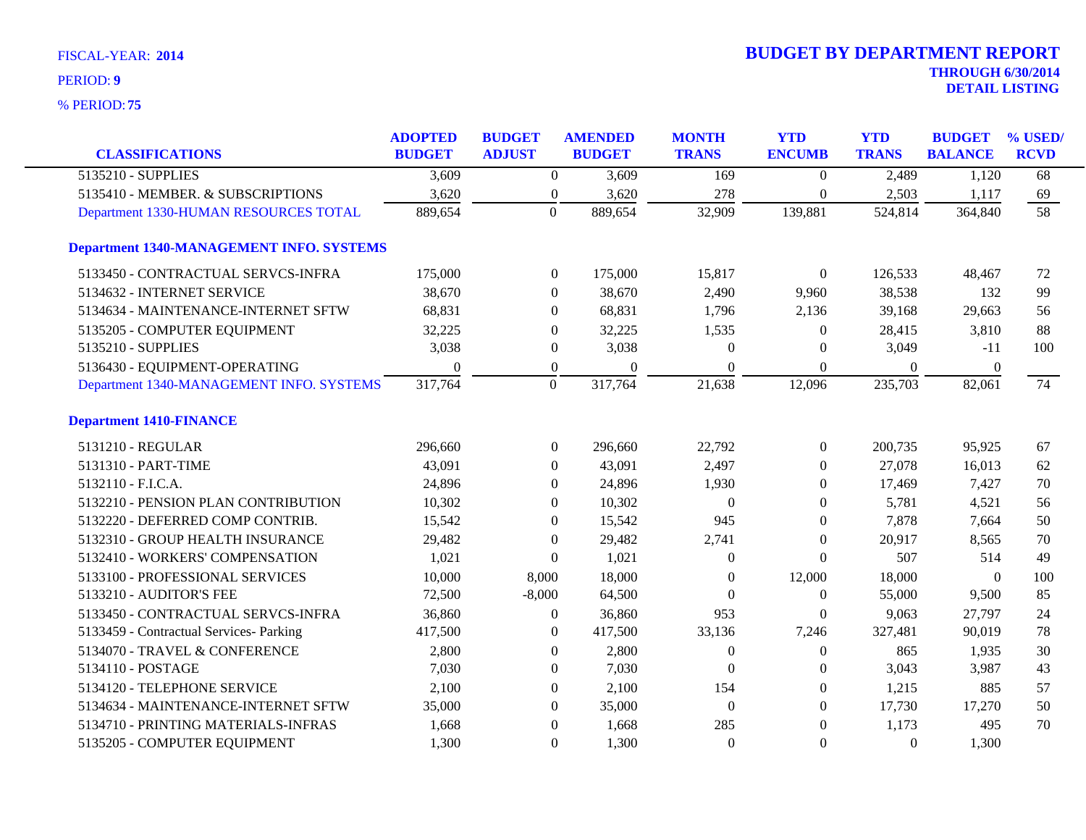| <b>CLASSIFICATIONS</b>                          | <b>ADOPTED</b><br><b>BUDGET</b> | <b>BUDGET</b><br><b>ADJUST</b> | <b>AMENDED</b><br><b>BUDGET</b> | <b>MONTH</b><br><b>TRANS</b> | <b>YTD</b><br><b>ENCUMB</b> | <b>YTD</b><br><b>TRANS</b> | <b>BUDGET</b><br><b>BALANCE</b> | % USED/<br><b>RCVD</b> |
|-------------------------------------------------|---------------------------------|--------------------------------|---------------------------------|------------------------------|-----------------------------|----------------------------|---------------------------------|------------------------|
| 5135210 - SUPPLIES                              | 3,609                           | $\overline{0}$                 | 3,609                           | 169                          | $\boldsymbol{0}$            | 2,489                      | 1,120                           | 68                     |
| 5135410 - MEMBER. & SUBSCRIPTIONS               | 3,620                           | $\boldsymbol{0}$               | 3,620                           | 278                          | $\overline{0}$              | 2,503                      | 1,117                           | 69                     |
| Department 1330-HUMAN RESOURCES TOTAL           | 889,654                         | $\overline{0}$                 | 889,654                         | 32,909                       | 139,881                     | 524,814                    | 364,840                         | $\overline{58}$        |
| <b>Department 1340-MANAGEMENT INFO. SYSTEMS</b> |                                 |                                |                                 |                              |                             |                            |                                 |                        |
| 5133450 - CONTRACTUAL SERVCS-INFRA              | 175,000                         | $\boldsymbol{0}$               | 175,000                         | 15,817                       | $\boldsymbol{0}$            | 126,533                    | 48,467                          | 72                     |
| 5134632 - INTERNET SERVICE                      | 38,670                          | $\overline{0}$                 | 38,670                          | 2,490                        | 9,960                       | 38,538                     | 132                             | 99                     |
| 5134634 - MAINTENANCE-INTERNET SFTW             | 68,831                          | $\overline{0}$                 | 68,831                          | 1,796                        | 2,136                       | 39,168                     | 29,663                          | 56                     |
| 5135205 - COMPUTER EQUIPMENT                    | 32,225                          | $\overline{0}$                 | 32,225                          | 1,535                        | $\theta$                    | 28,415                     | 3,810                           | 88                     |
| 5135210 - SUPPLIES                              | 3,038                           | $\overline{0}$                 | 3,038                           | $\Omega$                     | $\Omega$                    | 3,049                      | $-11$                           | 100                    |
| 5136430 - EQUIPMENT-OPERATING                   | $\Omega$                        | $\boldsymbol{0}$               | $\theta$                        | $\boldsymbol{0}$             | $\Omega$                    | $\boldsymbol{0}$           | $\boldsymbol{0}$                |                        |
| Department 1340-MANAGEMENT INFO. SYSTEMS        | 317,764                         | $\mathbf{0}$                   | 317,764                         | 21,638                       | 12,096                      | 235,703                    | 82,061                          | 74                     |
| <b>Department 1410-FINANCE</b>                  |                                 |                                |                                 |                              |                             |                            |                                 |                        |
| 5131210 - REGULAR                               | 296,660                         | $\overline{0}$                 | 296,660                         | 22,792                       | $\overline{0}$              | 200,735                    | 95,925                          | 67                     |
| 5131310 - PART-TIME                             | 43,091                          | $\overline{0}$                 | 43,091                          | 2,497                        | $\overline{0}$              | 27,078                     | 16,013                          | 62                     |
| 5132110 - F.I.C.A.                              | 24,896                          | $\overline{0}$                 | 24,896                          | 1,930                        | $\Omega$                    | 17,469                     | 7,427                           | 70                     |
| 5132210 - PENSION PLAN CONTRIBUTION             | 10,302                          | $\overline{0}$                 | 10,302                          | $\Omega$                     | $\theta$                    | 5,781                      | 4,521                           | 56                     |
| 5132220 - DEFERRED COMP CONTRIB.                | 15,542                          | $\overline{0}$                 | 15,542                          | 945                          | $\theta$                    | 7,878                      | 7,664                           | 50                     |
| 5132310 - GROUP HEALTH INSURANCE                | 29,482                          | $\overline{0}$                 | 29,482                          | 2,741                        | $\Omega$                    | 20,917                     | 8,565                           | 70                     |
| 5132410 - WORKERS' COMPENSATION                 | 1,021                           | $\theta$                       | 1,021                           | $\Omega$                     | $\theta$                    | 507                        | 514                             | 49                     |
| 5133100 - PROFESSIONAL SERVICES                 | 10,000                          | 8,000                          | 18,000                          | $\theta$                     | 12,000                      | 18,000                     | $\boldsymbol{0}$                | 100                    |
| 5133210 - AUDITOR'S FEE                         | 72,500                          | $-8,000$                       | 64,500                          | $\Omega$                     | $\overline{0}$              | 55,000                     | 9,500                           | 85                     |
| 5133450 - CONTRACTUAL SERVCS-INFRA              | 36,860                          | $\overline{0}$                 | 36,860                          | 953                          | $\overline{0}$              | 9,063                      | 27,797                          | 24                     |
| 5133459 - Contractual Services- Parking         | 417,500                         | $\overline{0}$                 | 417,500                         | 33,136                       | 7,246                       | 327,481                    | 90,019                          | 78                     |
| 5134070 - TRAVEL & CONFERENCE                   | 2,800                           | $\overline{0}$                 | 2,800                           | $\overline{0}$               | $\boldsymbol{0}$            | 865                        | 1,935                           | 30                     |
| 5134110 - POSTAGE                               | 7,030                           | $\overline{0}$                 | 7,030                           | $\Omega$                     | $\theta$                    | 3,043                      | 3,987                           | 43                     |
| 5134120 - TELEPHONE SERVICE                     | 2,100                           | $\Omega$                       | 2,100                           | 154                          | $\Omega$                    | 1,215                      | 885                             | 57                     |
| 5134634 - MAINTENANCE-INTERNET SFTW             | 35,000                          | $\overline{0}$                 | 35,000                          | $\boldsymbol{0}$             | $\theta$                    | 17,730                     | 17,270                          | 50                     |
| 5134710 - PRINTING MATERIALS-INFRAS             | 1,668                           | $\theta$                       | 1,668                           | 285                          | $\Omega$                    | 1,173                      | 495                             | 70                     |
| 5135205 - COMPUTER EQUIPMENT                    | 1,300                           | $\Omega$                       | 1,300                           | $\Omega$                     | $\theta$                    | $\Omega$                   | 1,300                           |                        |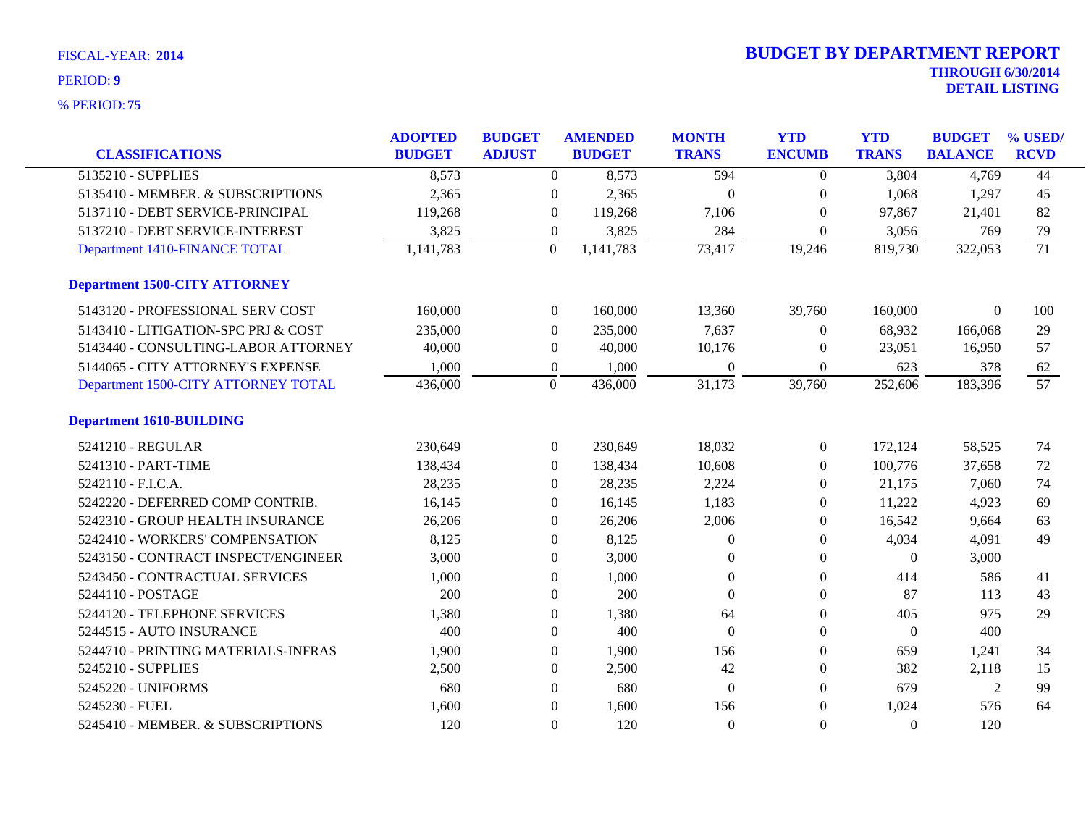| <b>CLASSIFICATIONS</b>               | <b>ADOPTED</b><br><b>BUDGET</b> | <b>BUDGET</b><br><b>ADJUST</b> |                  | <b>AMENDED</b><br><b>BUDGET</b> | <b>MONTH</b><br><b>TRANS</b> | <b>YTD</b><br><b>ENCUMB</b> | <b>YTD</b><br><b>TRANS</b> | <b>BUDGET</b><br><b>BALANCE</b> | % USED/<br><b>RCVD</b> |
|--------------------------------------|---------------------------------|--------------------------------|------------------|---------------------------------|------------------------------|-----------------------------|----------------------------|---------------------------------|------------------------|
| 5135210 - SUPPLIES                   | 8,573                           |                                | $\boldsymbol{0}$ | 8,573                           | 594                          | $\boldsymbol{0}$            | 3,804                      | 4,769                           | 44                     |
| 5135410 - MEMBER. & SUBSCRIPTIONS    | 2,365                           |                                | $\overline{0}$   | 2,365                           | $\theta$                     | $\Omega$                    | 1,068                      | 1,297                           | 45                     |
| 5137110 - DEBT SERVICE-PRINCIPAL     | 119,268                         |                                | $\overline{0}$   | 119,268                         | 7,106                        | $\Omega$                    | 97,867                     | 21,401                          | 82                     |
| 5137210 - DEBT SERVICE-INTEREST      | 3,825                           |                                | $\boldsymbol{0}$ | 3,825                           | 284                          | $\boldsymbol{0}$            | 3,056                      | 769                             | 79                     |
| Department 1410-FINANCE TOTAL        | 1,141,783                       |                                | $\theta$         | 1,141,783                       | 73,417                       | 19,246                      | 819,730                    | 322,053                         | $\overline{71}$        |
|                                      |                                 |                                |                  |                                 |                              |                             |                            |                                 |                        |
| <b>Department 1500-CITY ATTORNEY</b> |                                 |                                |                  |                                 |                              |                             |                            |                                 |                        |
| 5143120 - PROFESSIONAL SERV COST     | 160,000                         |                                | $\boldsymbol{0}$ | 160,000                         | 13,360                       | 39,760                      | 160,000                    | $\Omega$                        | 100                    |
| 5143410 - LITIGATION-SPC PRJ & COST  | 235,000                         |                                | $\theta$         | 235,000                         | 7,637                        | $\Omega$                    | 68,932                     | 166,068                         | 29                     |
| 5143440 - CONSULTING-LABOR ATTORNEY  | 40,000                          |                                | $\boldsymbol{0}$ | 40,000                          | 10,176                       | $\mathbf{0}$                | 23,051                     | 16,950                          | 57                     |
| 5144065 - CITY ATTORNEY'S EXPENSE    | 1,000                           |                                | $\boldsymbol{0}$ | 1,000                           | $\mathbf{0}$                 | $\Omega$                    | 623                        | 378                             | 62                     |
| Department 1500-CITY ATTORNEY TOTAL  | 436,000                         |                                | $\overline{0}$   | 436,000                         | 31,173                       | 39,760                      | 252,606                    | 183,396                         | 57                     |
| <b>Department 1610-BUILDING</b>      |                                 |                                |                  |                                 |                              |                             |                            |                                 |                        |
| 5241210 - REGULAR                    | 230,649                         |                                | $\boldsymbol{0}$ | 230,649                         | 18,032                       | $\theta$                    | 172,124                    | 58,525                          | 74                     |
| 5241310 - PART-TIME                  | 138,434                         |                                | $\boldsymbol{0}$ | 138,434                         | 10,608                       | $\boldsymbol{0}$            | 100,776                    | 37,658                          | 72                     |
| 5242110 - F.I.C.A.                   | 28,235                          |                                | $\Omega$         | 28,235                          | 2,224                        | $\Omega$                    | 21,175                     | 7,060                           | 74                     |
| 5242220 - DEFERRED COMP CONTRIB.     | 16,145                          |                                | $\theta$         | 16,145                          | 1,183                        | $\Omega$                    | 11,222                     | 4,923                           | 69                     |
| 5242310 - GROUP HEALTH INSURANCE     | 26,206                          |                                | $\boldsymbol{0}$ | 26,206                          | 2,006                        | $\mathbf{0}$                | 16,542                     | 9,664                           | 63                     |
| 5242410 - WORKERS' COMPENSATION      | 8,125                           |                                | $\Omega$         | 8,125                           | $\Omega$                     | $\Omega$                    | 4,034                      | 4,091                           | 49                     |
| 5243150 - CONTRACT INSPECT/ENGINEER  | 3,000                           |                                | $\theta$         | 3,000                           | $\Omega$                     | $\Omega$                    | $\Omega$                   | 3,000                           |                        |
| 5243450 - CONTRACTUAL SERVICES       | 1,000                           |                                | $\boldsymbol{0}$ | 1,000                           | $\boldsymbol{0}$             | $\mathbf{0}$                | 414                        | 586                             | 41                     |
| 5244110 - POSTAGE                    | 200                             |                                | $\mathbf{0}$     | 200                             | $\mathbf{0}$                 | $\boldsymbol{0}$            | 87                         | 113                             | 43                     |
| 5244120 - TELEPHONE SERVICES         | 1,380                           |                                | $\Omega$         | 1,380                           | 64                           | $\Omega$                    | 405                        | 975                             | 29                     |
| 5244515 - AUTO INSURANCE             | 400                             |                                | $\theta$         | 400                             | $\theta$                     | $\Omega$                    | $\theta$                   | 400                             |                        |
| 5244710 - PRINTING MATERIALS-INFRAS  | 1,900                           |                                | $\overline{0}$   | 1,900                           | 156                          | $\mathbf{0}$                | 659                        | 1,241                           | 34                     |
| 5245210 - SUPPLIES                   | 2,500                           |                                | $\theta$         | 2,500                           | 42                           | $\mathbf{0}$                | 382                        | 2,118                           | 15                     |
| 5245220 - UNIFORMS                   | 680                             |                                | $\theta$         | 680                             | $\mathbf{0}$                 | $\mathbf{0}$                | 679                        | $\overline{2}$                  | 99                     |
| 5245230 - FUEL                       | 1,600                           |                                | $\Omega$         | 1,600                           | 156                          | $\theta$                    | 1,024                      | 576                             | 64                     |
| 5245410 - MEMBER. & SUBSCRIPTIONS    | 120                             |                                | $\Omega$         | 120                             | $\Omega$                     | $\Omega$                    | $\Omega$                   | 120                             |                        |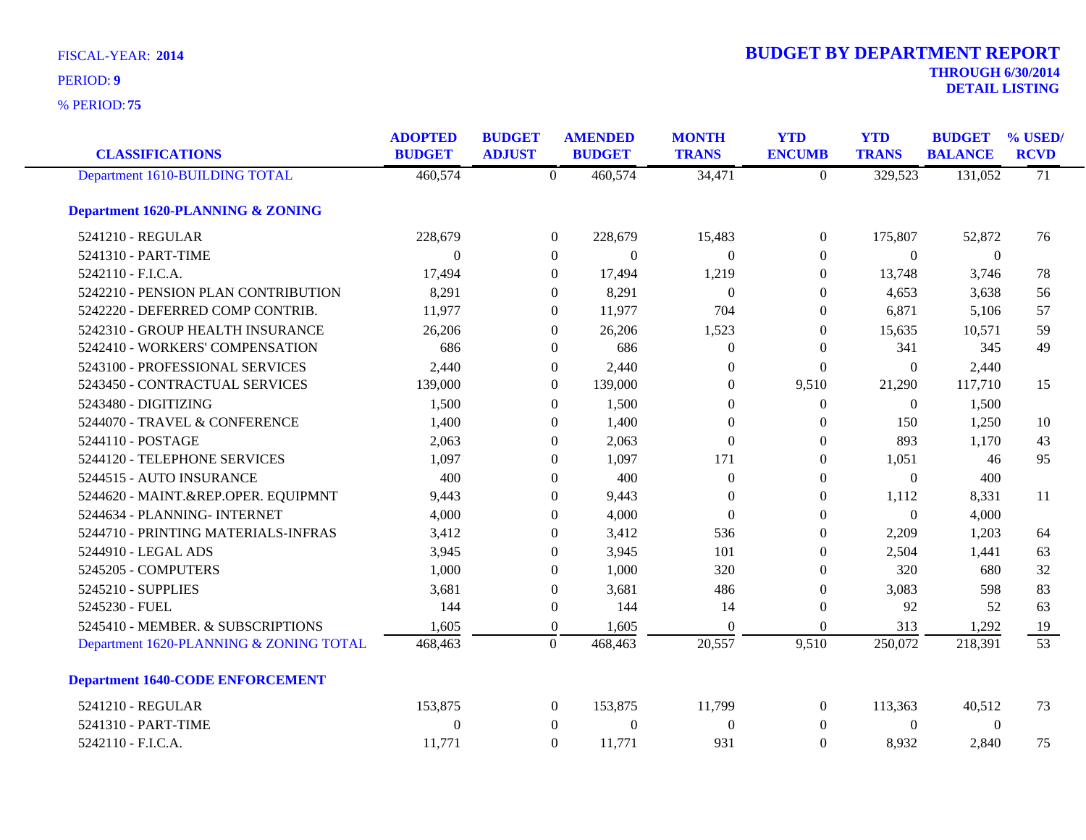**75** % PERIOD:

# **THROUGH 6/30/2014 DETAIL LISTING** PERIOD: **<sup>9</sup> 2014 BUDGET BY DEPARTMENT REPORT**

| <b>CLASSIFICATIONS</b>                       | <b>ADOPTED</b><br><b>BUDGET</b> | <b>BUDGET</b><br><b>ADJUST</b> |                  | <b>AMENDED</b><br><b>BUDGET</b> | <b>MONTH</b><br><b>TRANS</b> | <b>YTD</b><br><b>ENCUMB</b> | <b>YTD</b><br><b>TRANS</b> | <b>BUDGET</b><br><b>BALANCE</b> | % USED/<br><b>RCVD</b> |
|----------------------------------------------|---------------------------------|--------------------------------|------------------|---------------------------------|------------------------------|-----------------------------|----------------------------|---------------------------------|------------------------|
| Department 1610-BUILDING TOTAL               | 460,574                         |                                | $\overline{0}$   | 460,574                         | 34,471                       | $\boldsymbol{0}$            | 329,523                    | 131,052                         | $\overline{71}$        |
| <b>Department 1620-PLANNING &amp; ZONING</b> |                                 |                                |                  |                                 |                              |                             |                            |                                 |                        |
| 5241210 - REGULAR                            | 228,679                         |                                | $\boldsymbol{0}$ | 228,679                         | 15,483                       | $\boldsymbol{0}$            | 175,807                    | 52,872                          | 76                     |
| 5241310 - PART-TIME                          | $\Omega$                        |                                | $\overline{0}$   | $\Omega$                        | $\Omega$                     | $\theta$                    | $\Omega$                   | $\theta$                        |                        |
| 5242110 - F.I.C.A.                           | 17,494                          |                                | $\theta$         | 17,494                          | 1,219                        | $\overline{0}$              | 13,748                     | 3,746                           | 78                     |
| 5242210 - PENSION PLAN CONTRIBUTION          | 8,291                           |                                | $\theta$         | 8,291                           | $\theta$                     | $\mathbf{0}$                | 4,653                      | 3,638                           | 56                     |
| 5242220 - DEFERRED COMP CONTRIB.             | 11,977                          |                                | $\theta$         | 11,977                          | 704                          | $\mathbf{0}$                | 6,871                      | 5,106                           | 57                     |
| 5242310 - GROUP HEALTH INSURANCE             | 26,206                          |                                | $\theta$         | 26,206                          | 1,523                        | $\theta$                    | 15,635                     | 10,571                          | 59                     |
| 5242410 - WORKERS' COMPENSATION              | 686                             |                                | $\overline{0}$   | 686                             | $\mathbf{0}$                 | $\mathbf{0}$                | 341                        | 345                             | 49                     |
| 5243100 - PROFESSIONAL SERVICES              | 2,440                           |                                | $\boldsymbol{0}$ | 2,440                           | $\mathbf{0}$                 | $\boldsymbol{0}$            | $\overline{0}$             | 2,440                           |                        |
| 5243450 - CONTRACTUAL SERVICES               | 139,000                         |                                | $\boldsymbol{0}$ | 139,000                         | $\mathbf{0}$                 | 9,510                       | 21,290                     | 117,710                         | 15                     |
| 5243480 - DIGITIZING                         | 1,500                           |                                | $\theta$         | 1,500                           | $\mathbf{0}$                 | $\mathbf{0}$                | $\Omega$                   | 1,500                           |                        |
| 5244070 - TRAVEL & CONFERENCE                | 1,400                           |                                | $\theta$         | 1,400                           | $\Omega$                     | $\theta$                    | 150                        | 1,250                           | 10                     |
| 5244110 - POSTAGE                            | 2,063                           |                                | $\theta$         | 2,063                           | $\Omega$                     | $\theta$                    | 893                        | 1,170                           | 43                     |
| 5244120 - TELEPHONE SERVICES                 | 1,097                           |                                | $\boldsymbol{0}$ | 1,097                           | 171                          | $\boldsymbol{0}$            | 1,051                      | 46                              | 95                     |
| 5244515 - AUTO INSURANCE                     | 400                             |                                | $\boldsymbol{0}$ | 400                             | $\boldsymbol{0}$             | $\boldsymbol{0}$            | $\boldsymbol{0}$           | 400                             |                        |
| 5244620 - MAINT.&REP.OPER. EQUIPMNT          | 9,443                           |                                | $\Omega$         | 9,443                           | $\theta$                     | $\mathbf{0}$                | 1,112                      | 8,331                           | 11                     |
| 5244634 - PLANNING- INTERNET                 | 4,000                           |                                | $\Omega$         | 4,000                           | $\boldsymbol{0}$             | $\boldsymbol{0}$            | $\overline{0}$             | 4,000                           |                        |
| 5244710 - PRINTING MATERIALS-INFRAS          | 3,412                           |                                | $\theta$         | 3,412                           | 536                          | $\mathbf{0}$                | 2,209                      | 1,203                           | 64                     |
| 5244910 - LEGAL ADS                          | 3,945                           |                                | $\mathbf{0}$     | 3,945                           | 101                          | $\boldsymbol{0}$            | 2,504                      | 1,441                           | 63                     |
| 5245205 - COMPUTERS                          | 1,000                           |                                | $\boldsymbol{0}$ | 1,000                           | 320                          | $\theta$                    | 320                        | 680                             | 32                     |
| 5245210 - SUPPLIES                           | 3,681                           |                                | $\Omega$         | 3,681                           | 486                          | $\Omega$                    | 3,083                      | 598                             | 83                     |
| 5245230 - FUEL                               | 144                             |                                | $\boldsymbol{0}$ | 144                             | 14                           | $\boldsymbol{0}$            | 92                         | 52                              | 63                     |
| 5245410 - MEMBER. & SUBSCRIPTIONS            | 1,605                           |                                | $\boldsymbol{0}$ | 1,605                           | $\theta$                     | $\boldsymbol{0}$            | 313                        | 1,292                           | 19                     |
| Department 1620-PLANNING & ZONING TOTAL      | 468,463                         |                                | $\mathbf{0}$     | 468,463                         | 20,557                       | 9,510                       | 250,072                    | 218,391                         | $\overline{53}$        |
| <b>Department 1640-CODE ENFORCEMENT</b>      |                                 |                                |                  |                                 |                              |                             |                            |                                 |                        |
| 5241210 - REGULAR                            | 153,875                         |                                | $\boldsymbol{0}$ | 153,875                         | 11,799                       | $\boldsymbol{0}$            | 113,363                    | 40,512                          | 73                     |
| 5241310 - PART-TIME                          | $\mathbf{0}$                    |                                | $\mathbf{0}$     | $\boldsymbol{0}$                | $\boldsymbol{0}$             | $\mathbf{0}$                | $\overline{0}$             | $\overline{0}$                  |                        |
| 5242110 - F.I.C.A.                           | 11,771                          |                                | $\Omega$         | 11,771                          | 931                          | $\overline{0}$              | 8,932                      | 2,840                           | 75                     |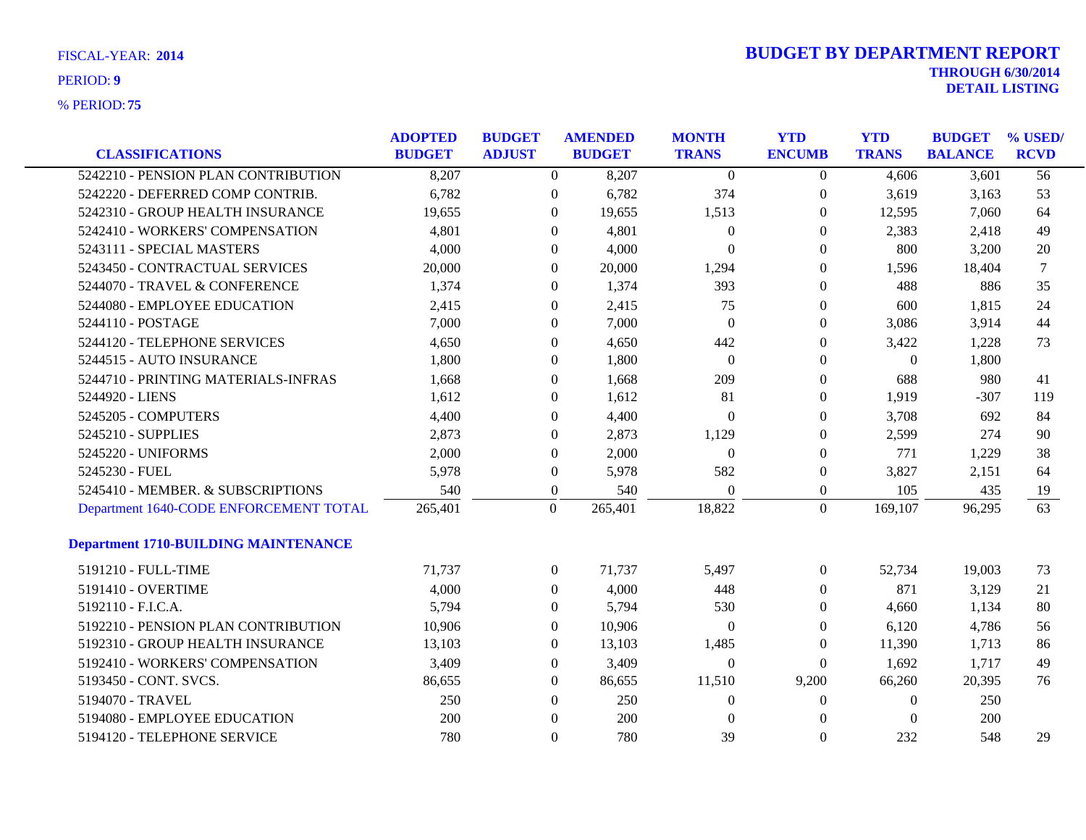| <b>CLASSIFICATIONS</b>                      | <b>ADOPTED</b><br><b>BUDGET</b> | <b>BUDGET</b><br><b>ADJUST</b> | <b>AMENDED</b><br><b>BUDGET</b> | <b>MONTH</b><br><b>TRANS</b> | <b>YTD</b><br><b>ENCUMB</b> | <b>YTD</b><br><b>TRANS</b> | <b>BUDGET</b><br><b>BALANCE</b> | % USED/<br><b>RCVD</b> |
|---------------------------------------------|---------------------------------|--------------------------------|---------------------------------|------------------------------|-----------------------------|----------------------------|---------------------------------|------------------------|
| 5242210 - PENSION PLAN CONTRIBUTION         | 8,207                           |                                | $\overline{0}$<br>8,207         | $\theta$                     | $\overline{0}$              | 4,606                      | 3,601                           | 56                     |
| 5242220 - DEFERRED COMP CONTRIB.            | 6,782                           |                                | 6,782<br>$\theta$               | 374                          | $\boldsymbol{0}$            | 3,619                      | 3,163                           | 53                     |
| 5242310 - GROUP HEALTH INSURANCE            | 19,655                          |                                | 19,655<br>$\overline{0}$        | 1,513                        | $\overline{0}$              | 12,595                     | 7,060                           | 64                     |
| 5242410 - WORKERS' COMPENSATION             | 4,801                           |                                | 4,801<br>$\Omega$               | $\overline{0}$               | $\overline{0}$              | 2,383                      | 2,418                           | 49                     |
| 5243111 - SPECIAL MASTERS                   | 4,000                           |                                | 4,000<br>$\Omega$               | $\Omega$                     | $\Omega$                    | 800                        | 3,200                           | 20                     |
| 5243450 - CONTRACTUAL SERVICES              | 20,000                          |                                | 20,000<br>$\Omega$              | 1,294                        | $\overline{0}$              | 1,596                      | 18,404                          | $\tau$                 |
| 5244070 - TRAVEL & CONFERENCE               | 1,374                           |                                | 1,374<br>$\Omega$               | 393                          | $\theta$                    | 488                        | 886                             | 35                     |
| 5244080 - EMPLOYEE EDUCATION                | 2,415                           |                                | 2,415<br>$\overline{0}$         | 75                           | $\boldsymbol{0}$            | 600                        | 1,815                           | 24                     |
| 5244110 - POSTAGE                           | 7,000                           |                                | 7,000<br>$\overline{0}$         | $\overline{0}$               | $\overline{0}$              | 3,086                      | 3,914                           | 44                     |
| 5244120 - TELEPHONE SERVICES                | 4,650                           |                                | 4,650<br>$\overline{0}$         | 442                          | $\overline{0}$              | 3,422                      | 1,228                           | 73                     |
| 5244515 - AUTO INSURANCE                    | 1,800                           |                                | 1,800<br>$\theta$               | $\Omega$                     | $\Omega$                    | $\Omega$                   | 1,800                           |                        |
| 5244710 - PRINTING MATERIALS-INFRAS         | 1,668                           |                                | 1,668<br>$\overline{0}$         | 209                          | $\overline{0}$              | 688                        | 980                             | 41                     |
| 5244920 - LIENS                             | 1,612                           |                                | 1,612<br>$\Omega$               | 81                           | $\overline{0}$              | 1,919                      | $-307$                          | 119                    |
| 5245205 - COMPUTERS                         | 4,400                           |                                | 4,400<br>$\overline{0}$         | $\overline{0}$               | $\overline{0}$              | 3,708                      | 692                             | 84                     |
| 5245210 - SUPPLIES                          | 2,873                           |                                | 2,873<br>$\theta$               | 1,129                        | $\overline{0}$              | 2,599                      | 274                             | 90                     |
| 5245220 - UNIFORMS                          | 2,000                           |                                | 2,000<br>$\overline{0}$         | $\theta$                     | $\overline{0}$              | 771                        | 1,229                           | 38                     |
| 5245230 - FUEL                              | 5,978                           |                                | 5,978<br>$\boldsymbol{0}$       | 582                          | $\boldsymbol{0}$            | 3,827                      | 2,151                           | 64                     |
| 5245410 - MEMBER. & SUBSCRIPTIONS           | 540                             |                                | $\boldsymbol{0}$<br>540         | $\boldsymbol{0}$             | $\boldsymbol{0}$            | 105                        | 435                             | 19                     |
| Department 1640-CODE ENFORCEMENT TOTAL      | 265,401                         | $\boldsymbol{0}$               | 265,401                         | 18,822                       | $\overline{0}$              | 169,107                    | 96,295                          | 63                     |
| <b>Department 1710-BUILDING MAINTENANCE</b> |                                 |                                |                                 |                              |                             |                            |                                 |                        |
| 5191210 - FULL-TIME                         | 71,737                          |                                | 71,737<br>$\overline{0}$        | 5,497                        | $\boldsymbol{0}$            | 52,734                     | 19,003                          | 73                     |
| 5191410 - OVERTIME                          | 4,000                           |                                | 4,000<br>$\boldsymbol{0}$       | 448                          | $\boldsymbol{0}$            | 871                        | 3,129                           | 21                     |
| 5192110 - F.I.C.A.                          | 5,794                           |                                | 5,794<br>$\overline{0}$         | 530                          | $\mathbf{0}$                | 4,660                      | 1,134                           | 80                     |
| 5192210 - PENSION PLAN CONTRIBUTION         | 10,906                          |                                | 10,906<br>$\overline{0}$        | $\theta$                     | $\overline{0}$              | 6,120                      | 4,786                           | 56                     |
| 5192310 - GROUP HEALTH INSURANCE            | 13,103                          |                                | 13,103<br>$\overline{0}$        | 1,485                        | $\theta$                    | 11,390                     | 1,713                           | 86                     |
| 5192410 - WORKERS' COMPENSATION             | 3,409                           |                                | 3,409<br>$\overline{0}$         | $\overline{0}$               | $\overline{0}$              | 1,692                      | 1,717                           | 49                     |
| 5193450 - CONT. SVCS.                       | 86,655                          |                                | 86,655<br>$\overline{0}$        | 11,510                       | 9,200                       | 66,260                     | 20,395                          | 76                     |
| 5194070 - TRAVEL                            | 250                             |                                | 250<br>$\theta$                 | $\theta$                     | $\Omega$                    | $\Omega$                   | 250                             |                        |
| 5194080 - EMPLOYEE EDUCATION                | 200                             |                                | 200<br>$\theta$                 | $\Omega$                     | $\Omega$                    | $\Omega$                   | 200                             |                        |
| 5194120 - TELEPHONE SERVICE                 | 780                             |                                | $\Omega$<br>780                 | 39                           | $\Omega$                    | 232                        | 548                             | 29                     |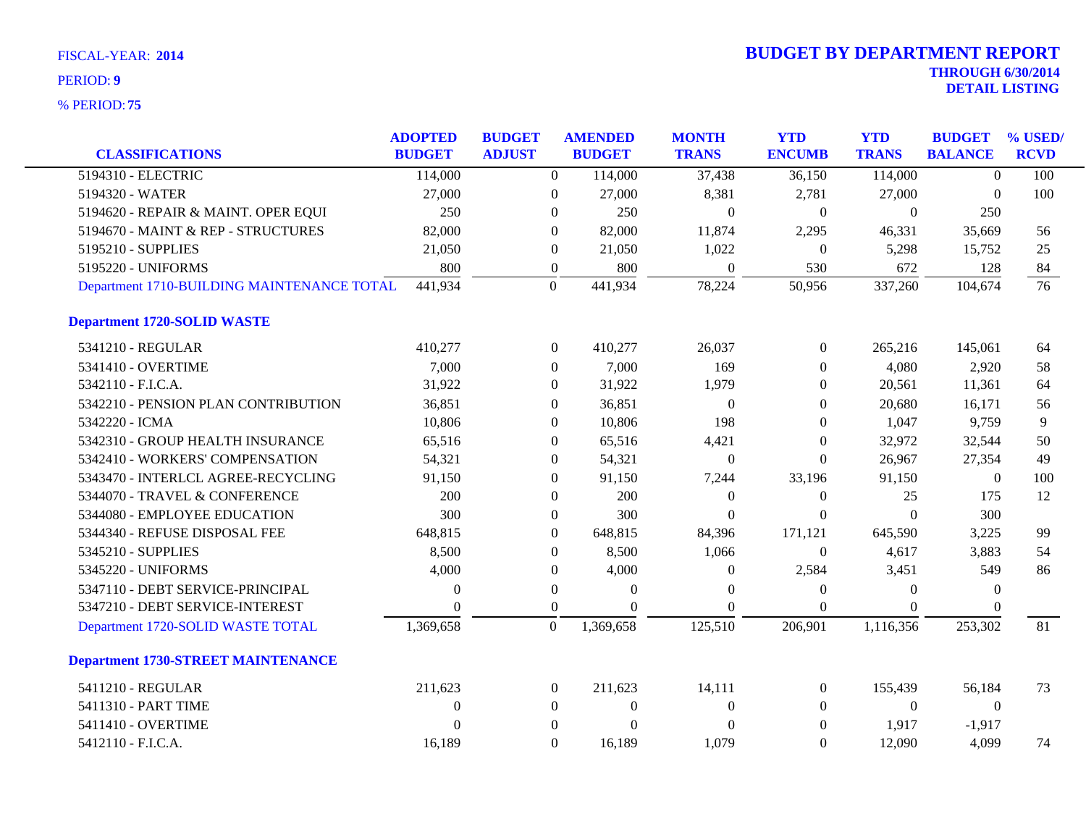|                                            | <b>ADOPTED</b> | <b>BUDGET</b>    | <b>AMENDED</b>            | <b>MONTH</b>   | <b>YTD</b>       | <b>YTD</b>     | <b>BUDGET</b>    | % USED/     |
|--------------------------------------------|----------------|------------------|---------------------------|----------------|------------------|----------------|------------------|-------------|
| <b>CLASSIFICATIONS</b>                     | <b>BUDGET</b>  | <b>ADJUST</b>    | <b>BUDGET</b>             | <b>TRANS</b>   | <b>ENCUMB</b>    | <b>TRANS</b>   | <b>BALANCE</b>   | <b>RCVD</b> |
| 5194310 - ELECTRIC                         | 114,000        |                  | $\Omega$<br>114,000       | 37,438         | 36,150           | 114,000        | $\Omega$         | 100         |
| 5194320 - WATER                            | 27,000         | $\boldsymbol{0}$ | 27,000                    | 8,381          | 2,781            | 27,000         | $\mathbf{0}$     | 100         |
| 5194620 - REPAIR & MAINT. OPER EQUI        | 250            | $\boldsymbol{0}$ | 250                       | $\mathbf{0}$   | $\boldsymbol{0}$ | $\overline{0}$ | 250              |             |
| 5194670 - MAINT & REP - STRUCTURES         | 82,000         | $\Omega$         | 82,000                    | 11,874         | 2,295            | 46,331         | 35,669           | 56          |
| 5195210 - SUPPLIES                         | 21,050         | $\mathbf{0}$     | 21,050                    | 1,022          | $\Omega$         | 5,298          | 15,752           | 25          |
| 5195220 - UNIFORMS                         | 800            | $\boldsymbol{0}$ | 800                       | $\theta$       | 530              | 672            | 128              | 84          |
| Department 1710-BUILDING MAINTENANCE TOTAL | 441,934        | $\mathbf{0}$     | 441,934                   | 78,224         | 50,956           | 337,260        | 104,674          | 76          |
| <b>Department 1720-SOLID WASTE</b>         |                |                  |                           |                |                  |                |                  |             |
| 5341210 - REGULAR                          | 410,277        |                  | 410,277<br>$\overline{0}$ | 26,037         | $\overline{0}$   | 265,216        | 145,061          | 64          |
| 5341410 - OVERTIME                         | 7,000          | $\mathbf{0}$     | 7,000                     | 169            | $\theta$         | 4,080          | 2,920            | 58          |
| 5342110 - F.I.C.A.                         | 31,922         | $\Omega$         | 31,922                    | 1,979          | $\Omega$         | 20,561         | 11,361           | 64          |
| 5342210 - PENSION PLAN CONTRIBUTION        | 36,851         | $\boldsymbol{0}$ | 36,851                    | $\theta$       | $\boldsymbol{0}$ | 20,680         | 16,171           | 56          |
| 5342220 - ICMA                             | 10,806         | $\theta$         | 10,806                    | 198            | $\Omega$         | 1,047          | 9,759            | 9           |
| 5342310 - GROUP HEALTH INSURANCE           | 65,516         | $\theta$         | 65,516                    | 4,421          | $\theta$         | 32,972         | 32,544           | 50          |
| 5342410 - WORKERS' COMPENSATION            | 54,321         | $\mathbf{0}$     | 54,321                    | $\overline{0}$ | $\Omega$         | 26,967         | 27,354           | 49          |
| 5343470 - INTERLCL AGREE-RECYCLING         | 91,150         | $\boldsymbol{0}$ | 91,150                    | 7,244          | 33,196           | 91,150         | $\boldsymbol{0}$ | 100         |
| 5344070 - TRAVEL & CONFERENCE              | 200            | $\theta$         | 200                       | $\theta$       | $\theta$         | 25             | 175              | 12          |
| 5344080 - EMPLOYEE EDUCATION               | 300            | $\theta$         | 300                       | $\theta$       | $\theta$         | $\Omega$       | 300              |             |
| 5344340 - REFUSE DISPOSAL FEE              | 648,815        | $\mathbf{0}$     | 648,815                   | 84,396         | 171,121          | 645,590        | 3,225            | 99          |
| 5345210 - SUPPLIES                         | 8,500          | $\boldsymbol{0}$ | 8,500                     | 1,066          | $\boldsymbol{0}$ | 4,617          | 3,883            | 54          |
| 5345220 - UNIFORMS                         | 4,000          | $\boldsymbol{0}$ | 4,000                     | $\theta$       | 2,584            | 3,451          | 549              | 86          |
| 5347110 - DEBT SERVICE-PRINCIPAL           | $\theta$       | $\boldsymbol{0}$ | $\Omega$                  | $\Omega$       | $\theta$         | $\Omega$       | $\theta$         |             |
| 5347210 - DEBT SERVICE-INTEREST            | $\Omega$       | $\overline{0}$   | $\Omega$                  | $\Omega$       | $\boldsymbol{0}$ | $\Omega$       | $\Omega$         |             |
| Department 1720-SOLID WASTE TOTAL          | 1,369,658      | $\boldsymbol{0}$ | 1,369,658                 | 125,510        | 206,901          | 1,116,356      | 253,302          | 81          |
| <b>Department 1730-STREET MAINTENANCE</b>  |                |                  |                           |                |                  |                |                  |             |
| 5411210 - REGULAR                          | 211,623        | $\theta$         | 211,623                   | 14,111         | $\overline{0}$   | 155,439        | 56,184           | 73          |
| 5411310 - PART TIME                        | $\theta$       | $\theta$         | $\overline{0}$            | $\theta$       | $\Omega$         | $\overline{0}$ | $\theta$         |             |
| 5411410 - OVERTIME                         | $\Omega$       | $\mathbf{0}$     | $\theta$                  | $\overline{0}$ | $\overline{0}$   | 1,917          | $-1,917$         |             |
| 5412110 - F.I.C.A.                         | 16,189         | $\Omega$         | 16,189                    | 1,079          | $\Omega$         | 12,090         | 4,099            | 74          |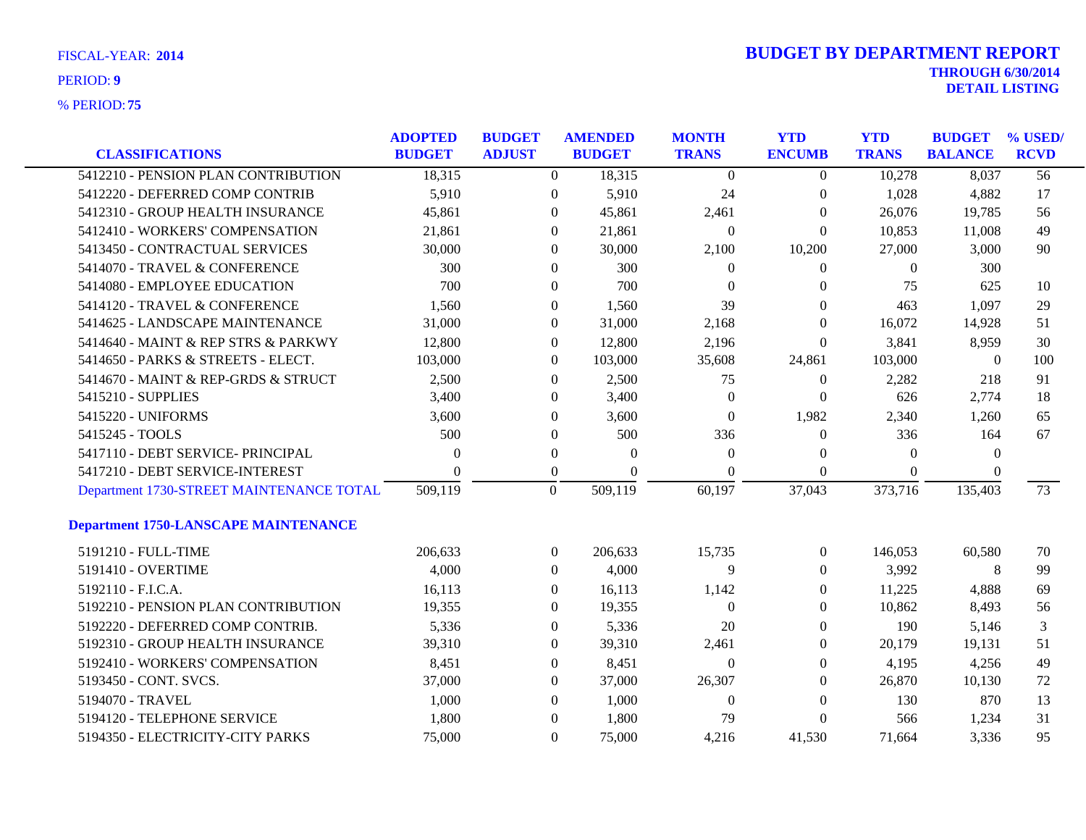| <b>FISCAL-YEAR: 2014</b> |  |
|--------------------------|--|
| _______                  |  |

| <b>CLASSIFICATIONS</b>                      | <b>ADOPTED</b><br><b>BUDGET</b> | <b>BUDGET</b><br><b>ADJUST</b> | <b>AMENDED</b><br><b>BUDGET</b> |          | <b>MONTH</b><br><b>TRANS</b> | <b>YTD</b><br><b>ENCUMB</b> | <b>YTD</b><br><b>TRANS</b> | <b>BUDGET</b><br><b>BALANCE</b> | % USED/<br><b>RCVD</b> |
|---------------------------------------------|---------------------------------|--------------------------------|---------------------------------|----------|------------------------------|-----------------------------|----------------------------|---------------------------------|------------------------|
|                                             |                                 |                                |                                 |          |                              |                             |                            |                                 |                        |
| 5412210 - PENSION PLAN CONTRIBUTION         | 18,315                          |                                | $\overline{0}$                  | 18,315   | $\mathbf{0}$                 | $\overline{0}$              | 10,278                     | 8,037                           | 56                     |
| 5412220 - DEFERRED COMP CONTRIB             | 5,910                           |                                | $\overline{0}$                  | 5,910    | 24                           | $\boldsymbol{0}$            | 1,028                      | 4,882                           | 17                     |
| 5412310 - GROUP HEALTH INSURANCE            | 45,861                          | $\overline{0}$                 |                                 | 45,861   | 2,461                        | $\boldsymbol{0}$            | 26,076                     | 19,785                          | 56                     |
| 5412410 - WORKERS' COMPENSATION             | 21,861                          | $\theta$                       |                                 | 21,861   | $\boldsymbol{0}$             | $\theta$                    | 10,853                     | 11,008                          | 49                     |
| 5413450 - CONTRACTUAL SERVICES              | 30,000                          |                                | $\Omega$                        | 30,000   | 2,100                        | 10,200                      | 27,000                     | 3,000                           | 90                     |
| 5414070 - TRAVEL & CONFERENCE               | 300                             | $\overline{0}$                 |                                 | 300      | $\boldsymbol{0}$             | $\boldsymbol{0}$            | $\overline{0}$             | 300                             |                        |
| 5414080 - EMPLOYEE EDUCATION                | 700                             | $\overline{0}$                 |                                 | 700      | $\theta$                     | 0                           | 75                         | 625                             | 10                     |
| 5414120 - TRAVEL & CONFERENCE               | 1,560                           | $\overline{0}$                 |                                 | 1,560    | 39                           | $\Omega$                    | 463                        | 1,097                           | 29                     |
| 5414625 - LANDSCAPE MAINTENANCE             | 31,000                          | $\overline{0}$                 |                                 | 31,000   | 2,168                        | $\theta$                    | 16,072                     | 14,928                          | 51                     |
| 5414640 - MAINT & REP STRS & PARKWY         | 12,800                          | $\overline{0}$                 |                                 | 12,800   | 2,196                        | $\overline{0}$              | 3,841                      | 8,959                           | 30                     |
| 5414650 - PARKS & STREETS - ELECT.          | 103,000                         | $\overline{0}$                 |                                 | 103,000  | 35,608                       | 24,861                      | 103,000                    | $\mathbf{0}$                    | 100                    |
| 5414670 - MAINT & REP-GRDS & STRUCT         | 2,500                           | $\theta$                       |                                 | 2,500    | 75                           | $\theta$                    | 2,282                      | 218                             | 91                     |
| 5415210 - SUPPLIES                          | 3,400                           |                                | $\Omega$                        | 3,400    | $\theta$                     | $\Omega$                    | 626                        | 2,774                           | 18                     |
| 5415220 - UNIFORMS                          | 3,600                           | $\boldsymbol{0}$               |                                 | 3,600    | $\boldsymbol{0}$             | 1,982                       | 2,340                      | 1,260                           | 65                     |
| 5415245 - TOOLS                             | 500                             | $\overline{0}$                 |                                 | 500      | 336                          | $\overline{0}$              | 336                        | 164                             | 67                     |
| 5417110 - DEBT SERVICE- PRINCIPAL           | $\Omega$                        | $\overline{0}$                 |                                 | $\theta$ | $\Omega$                     | $\theta$                    | $\Omega$                   | $\Omega$                        |                        |
| 5417210 - DEBT SERVICE-INTEREST             | $\Omega$                        |                                | $\boldsymbol{0}$                | $\theta$ | $\Omega$                     | $\theta$                    | $\Omega$                   | $\Omega$                        |                        |
| Department 1730-STREET MAINTENANCE TOTAL    | 509,119                         | $\overline{0}$                 | 509,119                         |          | 60,197                       | 37,043                      | 373,716                    | 135,403                         | 73                     |
| <b>Department 1750-LANSCAPE MAINTENANCE</b> |                                 |                                |                                 |          |                              |                             |                            |                                 |                        |
| 5191210 - FULL-TIME                         | 206,633                         |                                | $\overline{0}$                  | 206,633  | 15,735                       | $\theta$                    | 146,053                    | 60,580                          | 70                     |
| 5191410 - OVERTIME                          | 4,000                           | $\overline{0}$                 |                                 | 4,000    | 9                            | $\theta$                    | 3,992                      | 8                               | 99                     |
| 5192110 - F.I.C.A.                          | 16,113                          | $\overline{0}$                 |                                 | 16,113   | 1,142                        | $\boldsymbol{0}$            | 11,225                     | 4,888                           | 69                     |
| 5192210 - PENSION PLAN CONTRIBUTION         | 19,355                          | $\theta$                       |                                 | 19,355   | $\theta$                     | $\theta$                    | 10,862                     | 8,493                           | 56                     |
| 5192220 - DEFERRED COMP CONTRIB.            | 5,336                           | $\Omega$                       |                                 | 5,336    | 20                           | $\Omega$                    | 190                        | 5,146                           | 3                      |
| 5192310 - GROUP HEALTH INSURANCE            | 39,310                          | $\theta$                       |                                 | 39,310   | 2,461                        | $\Omega$                    | 20,179                     | 19,131                          | 51                     |
| 5192410 - WORKERS' COMPENSATION             | 8,451                           | $\overline{0}$                 |                                 | 8,451    | $\Omega$                     | $\mathbf{0}$                | 4,195                      | 4,256                           | 49                     |
| 5193450 - CONT. SVCS.                       | 37,000                          | $\theta$                       |                                 | 37,000   | 26,307                       | $\theta$                    | 26,870                     | 10,130                          | 72                     |
| 5194070 - TRAVEL                            | 1,000                           | $\theta$                       |                                 | 1,000    | $\Omega$                     | $\theta$                    | 130                        | 870                             | 13                     |
| 5194120 - TELEPHONE SERVICE                 | 1,800                           | $\Omega$                       |                                 | 1,800    | 79                           | $\theta$                    | 566                        | 1,234                           | 31                     |
| 5194350 - ELECTRICITY-CITY PARKS            | 75,000                          | $\Omega$                       |                                 | 75,000   | 4,216                        | 41,530                      | 71,664                     | 3.336                           | 95                     |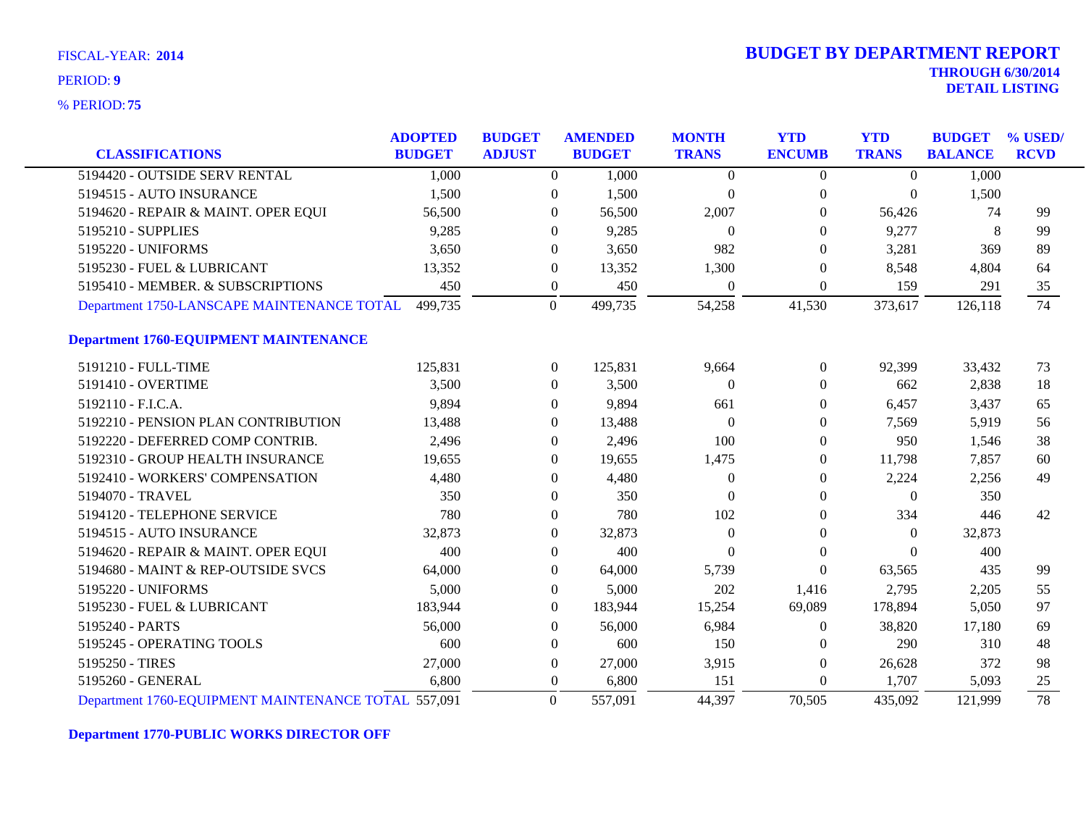**75** % PERIOD:

| <b>CLASSIFICATIONS</b>                              | <b>ADOPTED</b><br><b>BUDGET</b> | <b>BUDGET</b><br><b>ADJUST</b> |                  | <b>AMENDED</b><br><b>BUDGET</b> | <b>MONTH</b><br><b>TRANS</b> | <b>YTD</b><br><b>ENCUMB</b> | <b>YTD</b><br><b>TRANS</b> | <b>BUDGET</b><br><b>BALANCE</b> | % USED/<br><b>RCVD</b> |
|-----------------------------------------------------|---------------------------------|--------------------------------|------------------|---------------------------------|------------------------------|-----------------------------|----------------------------|---------------------------------|------------------------|
|                                                     |                                 |                                |                  |                                 |                              |                             |                            |                                 |                        |
| 5194420 - OUTSIDE SERV RENTAL                       | 1,000                           |                                | $\overline{0}$   | 1,000                           | $\overline{0}$               | $\overline{0}$              | $\Omega$                   | 1,000                           |                        |
| 5194515 - AUTO INSURANCE                            | 1,500                           |                                | $\theta$         | 1,500                           | $\Omega$                     | $\theta$                    | $\Omega$                   | 1,500                           |                        |
| 5194620 - REPAIR & MAINT. OPER EQUI                 | 56,500                          |                                | $\overline{0}$   | 56,500                          | 2,007                        | $\Omega$                    | 56,426                     | 74                              | 99                     |
| 5195210 - SUPPLIES                                  | 9,285                           |                                | $\Omega$         | 9,285                           | $\Omega$                     | $\Omega$                    | 9,277                      | 8                               | 99                     |
| 5195220 - UNIFORMS                                  | 3,650                           |                                | $\theta$         | 3,650                           | 982                          | $\Omega$                    | 3,281                      | 369                             | 89                     |
| 5195230 - FUEL & LUBRICANT                          | 13,352                          |                                | $\boldsymbol{0}$ | 13,352                          | 1,300                        | $\theta$                    | 8,548                      | 4,804                           | 64                     |
| 5195410 - MEMBER. & SUBSCRIPTIONS                   | 450                             |                                | $\boldsymbol{0}$ | 450                             | $\theta$                     | $\theta$                    | 159                        | 291                             | 35                     |
| Department 1750-LANSCAPE MAINTENANCE TOTAL 499,735  |                                 |                                | $\Omega$         | 499,735                         | 54,258                       | 41,530                      | 373,617                    | 126,118                         | 74                     |
| <b>Department 1760-EQUIPMENT MAINTENANCE</b>        |                                 |                                |                  |                                 |                              |                             |                            |                                 |                        |
| 5191210 - FULL-TIME                                 | 125,831                         |                                | $\boldsymbol{0}$ | 125,831                         | 9,664                        | $\theta$                    | 92,399                     | 33,432                          | 73                     |
| 5191410 - OVERTIME                                  | 3,500                           |                                | $\overline{0}$   | 3,500                           | $\Omega$                     | $\Omega$                    | 662                        | 2,838                           | 18                     |
| 5192110 - F.I.C.A.                                  | 9,894                           |                                | 0                | 9,894                           | 661                          | 0                           | 6,457                      | 3,437                           | 65                     |
| 5192210 - PENSION PLAN CONTRIBUTION                 | 13,488                          |                                | $\overline{0}$   | 13,488                          | $\theta$                     | $\Omega$                    | 7,569                      | 5,919                           | 56                     |
| 5192220 - DEFERRED COMP CONTRIB.                    | 2,496                           |                                | $\Omega$         | 2,496                           | 100                          | 0                           | 950                        | 1,546                           | 38                     |
| 5192310 - GROUP HEALTH INSURANCE                    | 19,655                          |                                | $\Omega$         | 19,655                          | 1,475                        | $\Omega$                    | 11,798                     | 7,857                           | 60                     |
| 5192410 - WORKERS' COMPENSATION                     | 4,480                           |                                | $\Omega$         | 4,480                           | $\theta$                     | $\Omega$                    | 2,224                      | 2,256                           | 49                     |
| 5194070 - TRAVEL                                    | 350                             |                                | 0                | 350                             | $\Omega$                     | $\Omega$                    | $\left($                   | 350                             |                        |
| 5194120 - TELEPHONE SERVICE                         | 780                             |                                | $\overline{0}$   | 780                             | 102                          | $\Omega$                    | 334                        | 446                             | 42                     |
| 5194515 - AUTO INSURANCE                            | 32,873                          |                                | 0                | 32,873                          | $\Omega$                     | $\Omega$                    | $\Omega$                   | 32,873                          |                        |
| 5194620 - REPAIR & MAINT. OPER EQUI                 | 400                             |                                | $\Omega$         | 400                             | $\Omega$                     | $\theta$                    | $\Omega$                   | 400                             |                        |
| 5194680 - MAINT & REP-OUTSIDE SVCS                  | 64,000                          |                                | 0                | 64,000                          | 5,739                        | $\overline{0}$              | 63,565                     | 435                             | 99                     |
| 5195220 - UNIFORMS                                  | 5,000                           |                                | $\overline{0}$   | 5,000                           | 202                          | 1,416                       | 2,795                      | 2,205                           | 55                     |
| 5195230 - FUEL & LUBRICANT                          | 183,944                         |                                | $\overline{0}$   | 183,944                         | 15,254                       | 69,089                      | 178,894                    | 5,050                           | 97                     |
| 5195240 - PARTS                                     | 56,000                          |                                | $\Omega$         | 56,000                          | 6,984                        | $\theta$                    | 38,820                     | 17,180                          | 69                     |
| 5195245 - OPERATING TOOLS                           | 600                             |                                | 0                | 600                             | 150                          | $\Omega$                    | 290                        | 310                             | 48                     |
| 5195250 - TIRES                                     | 27,000                          |                                | $\theta$         | 27,000                          | 3,915                        | $\Omega$                    | 26,628                     | 372                             | 98                     |
| 5195260 - GENERAL                                   | 6,800                           |                                | $\overline{0}$   | 6,800                           | 151                          | $\Omega$                    | 1,707                      | 5,093                           | 25                     |
| Department 1760-EQUIPMENT MAINTENANCE TOTAL 557,091 |                                 |                                | $\overline{0}$   | 557,091                         | 44,397                       | 70,505                      | 435,092                    | 121,999                         | 78                     |

**Department 1770-PUBLIC WORKS DIRECTOR OFF**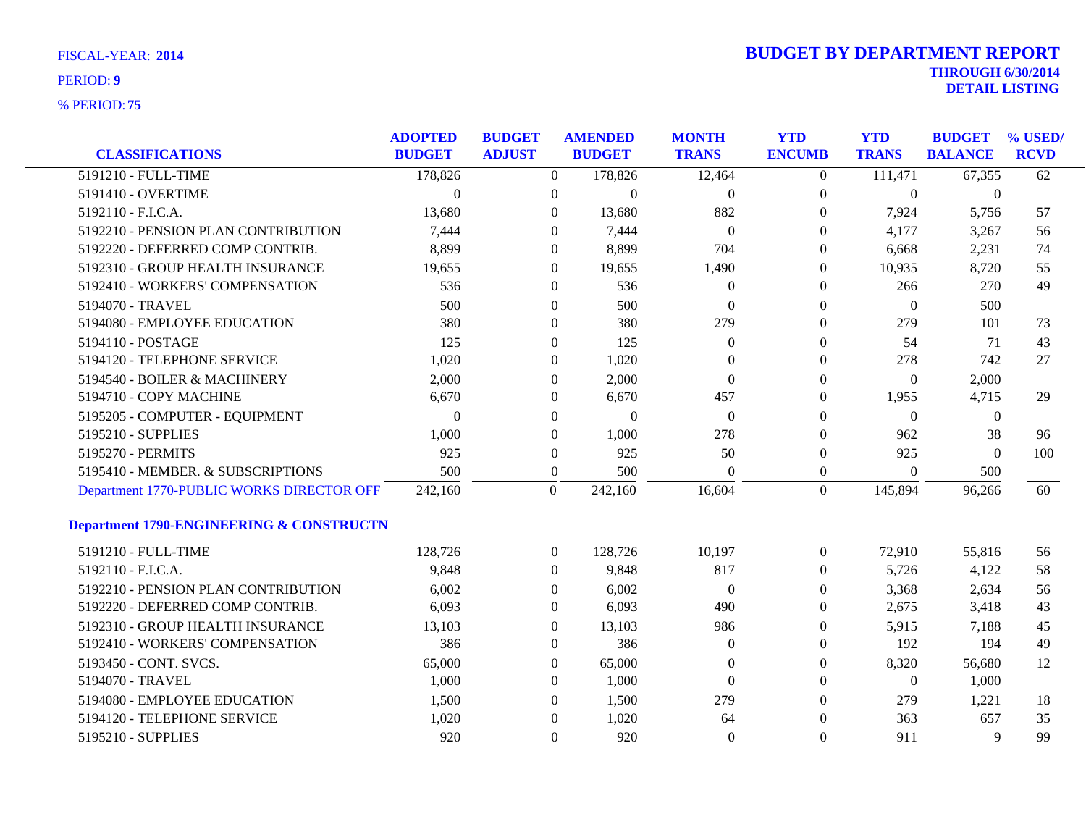| <b>CLASSIFICATIONS</b>                    | <b>ADOPTED</b><br><b>BUDGET</b> | <b>BUDGET</b><br><b>ADJUST</b> |                  | <b>AMENDED</b><br><b>BUDGET</b> | <b>MONTH</b><br><b>TRANS</b> | <b>YTD</b><br><b>ENCUMB</b> | <b>YTD</b><br><b>TRANS</b> | <b>BUDGET</b><br><b>BALANCE</b> | % USED/<br><b>RCVD</b> |
|-------------------------------------------|---------------------------------|--------------------------------|------------------|---------------------------------|------------------------------|-----------------------------|----------------------------|---------------------------------|------------------------|
| 5191210 - FULL-TIME                       | 178,826                         |                                | $\overline{0}$   | 178,826                         | 12,464                       | $\overline{0}$              | 111,471                    | 67,355                          | 62                     |
| 5191410 - OVERTIME                        |                                 |                                |                  |                                 |                              |                             |                            |                                 |                        |
| 5192110 - F.I.C.A.                        | $\boldsymbol{0}$<br>13,680      |                                | $\boldsymbol{0}$ | $\boldsymbol{0}$                | $\overline{0}$<br>882        | 0                           | $\boldsymbol{0}$           | $\boldsymbol{0}$                |                        |
|                                           |                                 |                                | $\overline{0}$   | 13,680                          |                              | 0                           | 7,924                      | 5,756                           | 57                     |
| 5192210 - PENSION PLAN CONTRIBUTION       | 7,444                           |                                | $\theta$         | 7,444                           | $\theta$                     | 0                           | 4,177                      | 3,267                           | 56                     |
| 5192220 - DEFERRED COMP CONTRIB.          | 8,899                           |                                | $\theta$         | 8,899                           | 704                          | 0                           | 6,668                      | 2,231                           | 74                     |
| 5192310 - GROUP HEALTH INSURANCE          | 19,655                          |                                | $\boldsymbol{0}$ | 19,655                          | 1,490                        | 0                           | 10,935                     | 8,720                           | 55                     |
| 5192410 - WORKERS' COMPENSATION           | 536                             |                                | $\overline{0}$   | 536                             | $\theta$                     | 0                           | 266                        | 270                             | 49                     |
| 5194070 - TRAVEL                          | 500                             |                                | $\overline{0}$   | 500                             | $\left($                     | 0                           | $\overline{0}$             | 500                             |                        |
| 5194080 - EMPLOYEE EDUCATION              | 380                             |                                | $\theta$         | 380                             | 279                          | 0                           | 279                        | 101                             | 73                     |
| 5194110 - POSTAGE                         | 125                             |                                | $\theta$         | 125                             | $\mathbf{0}$                 | 0                           | 54                         | 71                              | 43                     |
| 5194120 - TELEPHONE SERVICE               | 1,020                           |                                | $\theta$         | 1,020                           | $\Omega$                     | 0                           | 278                        | 742                             | 27                     |
| 5194540 - BOILER & MACHINERY              | 2,000                           |                                | $\theta$         | 2,000                           | $\theta$                     | 0                           | $\boldsymbol{0}$           | 2,000                           |                        |
| 5194710 - COPY MACHINE                    | 6,670                           |                                | $\theta$         | 6,670                           | 457                          | 0                           | 1,955                      | 4,715                           | 29                     |
| 5195205 - COMPUTER - EQUIPMENT            | $\theta$                        |                                | $\theta$         | $\boldsymbol{0}$                | $\overline{0}$               | $\overline{0}$              | $\boldsymbol{0}$           | $\boldsymbol{0}$                |                        |
| 5195210 - SUPPLIES                        | 1,000                           |                                | $\mathbf{0}$     | 1,000                           | 278                          | 0                           | 962                        | 38                              | 96                     |
| 5195270 - PERMITS                         | 925                             |                                | $\boldsymbol{0}$ | 925                             | 50                           | 0                           | 925                        | $\theta$                        | 100                    |
| 5195410 - MEMBER. & SUBSCRIPTIONS         | 500                             |                                | $\boldsymbol{0}$ | 500                             | $\Omega$                     | $\overline{0}$              | $\Omega$                   | 500                             |                        |
| Department 1770-PUBLIC WORKS DIRECTOR OFF | 242,160                         |                                | $\mathbf{0}$     | 242,160                         | 16,604                       | $\overline{0}$              | 145,894                    | 96,266                          | 60                     |
| Department 1790-ENGINEERING & CONSTRUCTN  |                                 |                                |                  |                                 |                              |                             |                            |                                 |                        |
| 5191210 - FULL-TIME                       | 128,726                         |                                | $\overline{0}$   | 128,726                         | 10,197                       | $\overline{0}$              | 72,910                     | 55,816                          | 56                     |
| 5192110 - F.I.C.A.                        | 9,848                           |                                | $\overline{0}$   | 9,848                           | 817                          | $\overline{0}$              | 5,726                      | 4,122                           | 58                     |
| 5192210 - PENSION PLAN CONTRIBUTION       | 6,002                           |                                | $\overline{0}$   | 6,002                           | $\overline{0}$               | 0                           | 3,368                      | 2,634                           | 56                     |
| 5192220 - DEFERRED COMP CONTRIB.          | 6,093                           |                                | $\overline{0}$   | 6,093                           | 490                          | 0                           | 2,675                      | 3,418                           | 43                     |
| 5192310 - GROUP HEALTH INSURANCE          | 13,103                          |                                | $\overline{0}$   | 13,103                          | 986                          | 0                           | 5,915                      | 7,188                           | 45                     |
| 5192410 - WORKERS' COMPENSATION           | 386                             |                                | $\overline{0}$   | 386                             | $\theta$                     | 0                           | 192                        | 194                             | 49                     |
| 5193450 - CONT. SVCS.                     | 65,000                          |                                | $\overline{0}$   | 65,000                          | $\theta$                     | 0                           | 8,320                      | 56,680                          | 12                     |
| 5194070 - TRAVEL                          | 1,000                           |                                | $\overline{0}$   | 1,000                           | $\theta$                     | 0                           | $\overline{0}$             | 1,000                           |                        |
| 5194080 - EMPLOYEE EDUCATION              | 1,500                           |                                | $\theta$         | 1,500                           | 279                          | 0                           | 279                        | 1,221                           | 18                     |
| 5194120 - TELEPHONE SERVICE               | 1,020                           |                                | $\theta$         | 1,020                           | 64                           | 0                           | 363                        | 657                             | 35                     |
| 5195210 - SUPPLIES                        | 920                             |                                | $\Omega$         | 920                             | $\theta$                     | $\theta$                    | 911                        | 9                               | 99                     |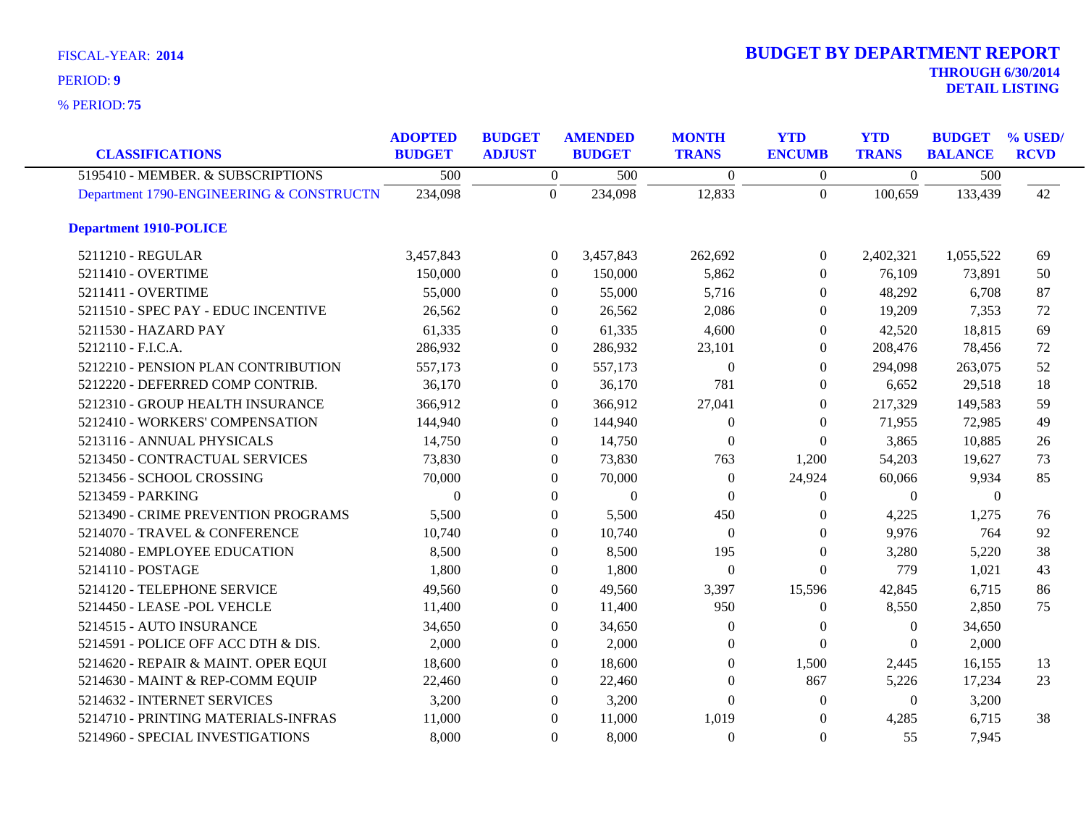**75** % PERIOD:

# **THROUGH 6/30/2014 DETAIL LISTING** PERIOD: **<sup>9</sup> 2014 BUDGET BY DEPARTMENT REPORT**

| <b>CLASSIFICATIONS</b>                   | <b>ADOPTED</b><br><b>BUDGET</b> | <b>BUDGET</b><br><b>ADJUST</b> | <b>AMENDED</b><br><b>BUDGET</b> | <b>MONTH</b><br><b>TRANS</b> | <b>YTD</b><br><b>ENCUMB</b> | <b>YTD</b><br><b>TRANS</b> | <b>BUDGET</b><br><b>BALANCE</b> | % USED/<br><b>RCVD</b> |
|------------------------------------------|---------------------------------|--------------------------------|---------------------------------|------------------------------|-----------------------------|----------------------------|---------------------------------|------------------------|
| 5195410 - MEMBER. & SUBSCRIPTIONS        | 500                             | $\overline{0}$                 | 500                             | $\Omega$                     | $\Omega$                    | $\Omega$                   | 500                             |                        |
| Department 1790-ENGINEERING & CONSTRUCTN | 234,098                         | $\Omega$                       | 234,098                         | 12,833                       | $\Omega$                    | 100,659                    | 133,439                         | 42                     |
| <b>Department 1910-POLICE</b>            |                                 |                                |                                 |                              |                             |                            |                                 |                        |
| 5211210 - REGULAR                        | 3,457,843                       | $\Omega$                       | 3,457,843                       | 262,692                      | $\theta$                    | 2,402,321                  | 1,055,522                       | 69                     |
| 5211410 - OVERTIME                       | 150,000                         | $\Omega$                       | 150,000                         | 5,862                        | $\Omega$                    | 76,109                     | 73,891                          | 50                     |
| 5211411 - OVERTIME                       | 55,000                          | $\mathbf{0}$                   | 55,000                          | 5,716                        | $\overline{0}$              | 48,292                     | 6,708                           | 87                     |
| 5211510 - SPEC PAY - EDUC INCENTIVE      | 26,562                          | $\mathbf{0}$                   | 26,562                          | 2,086                        | $\theta$                    | 19,209                     | 7,353                           | 72                     |
| 5211530 - HAZARD PAY                     | 61,335                          | $\Omega$                       | 61,335                          | 4,600                        | $\Omega$                    | 42,520                     | 18,815                          | 69                     |
| 5212110 - F.I.C.A.                       | 286,932                         | $\Omega$                       | 286,932                         | 23,101                       | $\Omega$                    | 208,476                    | 78,456                          | 72                     |
| 5212210 - PENSION PLAN CONTRIBUTION      | 557,173                         | $\mathbf{0}$                   | 557,173                         | $\theta$                     | $\Omega$                    | 294,098                    | 263,075                         | 52                     |
| 5212220 - DEFERRED COMP CONTRIB.         | 36,170                          | $\mathbf{0}$                   | 36,170                          | 781                          | $\theta$                    | 6,652                      | 29,518                          | 18                     |
| 5212310 - GROUP HEALTH INSURANCE         | 366,912                         | $\Omega$                       | 366,912                         | 27,041                       | $\Omega$                    | 217,329                    | 149,583                         | 59                     |
| 5212410 - WORKERS' COMPENSATION          | 144,940                         | $\Omega$                       | 144,940                         | $\Omega$                     | $\theta$                    | 71,955                     | 72,985                          | 49                     |
| 5213116 - ANNUAL PHYSICALS               | 14,750                          | $\mathbf{0}$                   | 14,750                          | $\Omega$                     | $\Omega$                    | 3,865                      | 10,885                          | 26                     |
| 5213450 - CONTRACTUAL SERVICES           | 73,830                          | $\mathbf{0}$                   | 73,830                          | 763                          | 1,200                       | 54,203                     | 19,627                          | 73                     |
| 5213456 - SCHOOL CROSSING                | 70,000                          | $\Omega$                       | 70,000                          | $\Omega$                     | 24,924                      | 60,066                     | 9,934                           | 85                     |
| 5213459 - PARKING                        | $\overline{0}$                  | $\Omega$                       | $\theta$                        | $\Omega$                     | $\Omega$                    | $\Omega$                   | $\theta$                        |                        |
| 5213490 - CRIME PREVENTION PROGRAMS      | 5,500                           | $\mathbf{0}$                   | 5,500                           | 450                          | $\theta$                    | 4,225                      | 1,275                           | 76                     |
| 5214070 - TRAVEL & CONFERENCE            | 10,740                          | $\mathbf{0}$                   | 10,740                          | $\theta$                     | $\theta$                    | 9,976                      | 764                             | 92                     |
| 5214080 - EMPLOYEE EDUCATION             | 8,500                           | $\Omega$                       | 8,500                           | 195                          | $\Omega$                    | 3,280                      | 5,220                           | 38                     |
| 5214110 - POSTAGE                        | 1,800                           | $\mathbf{0}$                   | 1,800                           | $\Omega$                     | $\Omega$                    | 779                        | 1,021                           | 43                     |
| 5214120 - TELEPHONE SERVICE              | 49,560                          | $\boldsymbol{0}$               | 49,560                          | 3,397                        | 15,596                      | 42,845                     | 6,715                           | 86                     |
| 5214450 - LEASE -POL VEHCLE              | 11,400                          | $\mathbf{0}$                   | 11,400                          | 950                          | $\overline{0}$              | 8,550                      | 2,850                           | 75                     |
| 5214515 - AUTO INSURANCE                 | 34,650                          | $\Omega$                       | 34,650                          | $\theta$                     | $\Omega$                    | $\Omega$                   | 34,650                          |                        |
| 5214591 - POLICE OFF ACC DTH & DIS.      | 2,000                           | $\Omega$                       | 2,000                           | 0                            | $\Omega$                    | $\Omega$                   | 2,000                           |                        |
| 5214620 - REPAIR & MAINT. OPER EQUI      | 18,600                          | $\mathbf{0}$                   | 18,600                          | $\theta$                     | 1,500                       | 2,445                      | 16,155                          | 13                     |
| 5214630 - MAINT & REP-COMM EQUIP         | 22,460                          | $\theta$                       | 22,460                          | $\Omega$                     | 867                         | 5,226                      | 17,234                          | 23                     |
| 5214632 - INTERNET SERVICES              | 3,200                           | $\Omega$                       | 3,200                           | 0                            | $\theta$                    | $\overline{0}$             | 3,200                           |                        |
| 5214710 - PRINTING MATERIALS-INFRAS      | 11,000                          | $\mathbf{0}$                   | 11,000                          | 1,019                        | $\Omega$                    | 4,285                      | 6,715                           | 38                     |
| 5214960 - SPECIAL INVESTIGATIONS         | 8,000                           | $\mathbf{0}$                   | 8,000                           | $\Omega$                     | $\Omega$                    | 55                         | 7,945                           |                        |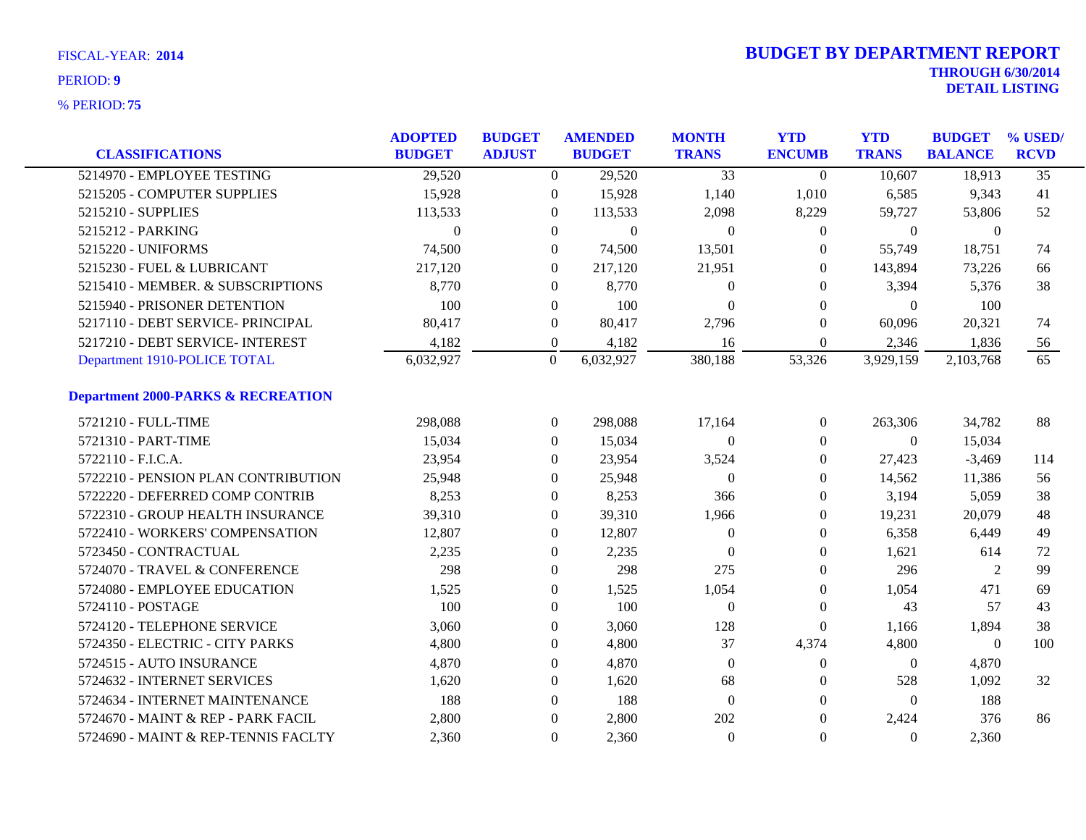|                                               | <b>ADOPTED</b> | <b>BUDGET</b>    | <b>AMENDED</b> | <b>MONTH</b>    | <b>YTD</b>       | <b>YTD</b>       | <b>BUDGET</b>  | % USED/         |
|-----------------------------------------------|----------------|------------------|----------------|-----------------|------------------|------------------|----------------|-----------------|
| <b>CLASSIFICATIONS</b>                        | <b>BUDGET</b>  | <b>ADJUST</b>    | <b>BUDGET</b>  | <b>TRANS</b>    | <b>ENCUMB</b>    | <b>TRANS</b>     | <b>BALANCE</b> | <b>RCVD</b>     |
| 5214970 - EMPLOYEE TESTING                    | 29,520         | $\Omega$         | 29,520         | $\overline{33}$ | $\theta$         | 10,607           | 18,913         | $\overline{35}$ |
| 5215205 - COMPUTER SUPPLIES                   | 15,928         | $\overline{0}$   | 15,928         | 1,140           | 1,010            | 6,585            | 9,343          | 41              |
| 5215210 - SUPPLIES                            | 113,533        | $\overline{0}$   | 113,533        | 2,098           | 8,229            | 59,727           | 53,806         | 52              |
| 5215212 - PARKING                             | $\Omega$       | $\overline{0}$   | $\mathbf{0}$   | $\Omega$        | $\theta$         | $\overline{0}$   | $\mathbf{0}$   |                 |
| 5215220 - UNIFORMS                            | 74,500         | $\overline{0}$   | 74,500         | 13,501          | $\Omega$         | 55,749           | 18,751         | 74              |
| 5215230 - FUEL & LUBRICANT                    | 217,120        | $\overline{0}$   | 217,120        | 21,951          | $\theta$         | 143,894          | 73,226         | 66              |
| 5215410 - MEMBER. & SUBSCRIPTIONS             | 8,770          | $\boldsymbol{0}$ | 8,770          | $\mathbf{0}$    | $\theta$         | 3,394            | 5,376          | 38              |
| 5215940 - PRISONER DETENTION                  | 100            | $\overline{0}$   | 100            | $\theta$        | $\theta$         | $\theta$         | 100            |                 |
| 5217110 - DEBT SERVICE- PRINCIPAL             | 80,417         | $\mathbf{0}$     | 80,417         | 2,796           | $\theta$         | 60,096           | 20,321         | 74              |
| 5217210 - DEBT SERVICE- INTEREST              | 4,182          | $\boldsymbol{0}$ | 4,182          | 16              | $\boldsymbol{0}$ | 2,346            | 1,836          | 56              |
| Department 1910-POLICE TOTAL                  | 6,032,927      | $\mathbf{0}$     | 6,032,927      | 380,188         | 53,326           | 3,929,159        | 2,103,768      | 65              |
| <b>Department 2000-PARKS &amp; RECREATION</b> |                |                  |                |                 |                  |                  |                |                 |
| 5721210 - FULL-TIME                           | 298,088        | $\overline{0}$   | 298,088        | 17,164          | $\overline{0}$   | 263,306          | 34,782         | 88              |
| 5721310 - PART-TIME                           | 15,034         | $\boldsymbol{0}$ | 15,034         | $\overline{0}$  | $\boldsymbol{0}$ | $\overline{0}$   | 15,034         |                 |
| 5722110 - F.I.C.A.                            | 23,954         | 0                | 23,954         | 3,524           | $\theta$         | 27,423           | $-3,469$       | 114             |
| 5722210 - PENSION PLAN CONTRIBUTION           | 25,948         | $\overline{0}$   | 25,948         | $\theta$        | $\theta$         | 14,562           | 11,386         | 56              |
| 5722220 - DEFERRED COMP CONTRIB               | 8,253          | $\overline{0}$   | 8,253          | 366             | $\theta$         | 3,194            | 5,059          | 38              |
| 5722310 - GROUP HEALTH INSURANCE              | 39,310         | $\boldsymbol{0}$ | 39,310         | 1,966           | $\boldsymbol{0}$ | 19,231           | 20,079         | 48              |
| 5722410 - WORKERS' COMPENSATION               | 12,807         | $\boldsymbol{0}$ | 12,807         | $\mathbf{0}$    | $\boldsymbol{0}$ | 6,358            | 6,449          | 49              |
| 5723450 - CONTRACTUAL                         | 2,235          | $\Omega$         | 2,235          | $\Omega$        | $\Omega$         | 1,621            | 614            | 72              |
| 5724070 - TRAVEL & CONFERENCE                 | 298            | $\overline{0}$   | 298            | 275             | $\Omega$         | 296              | $\overline{2}$ | 99              |
| 5724080 - EMPLOYEE EDUCATION                  | 1,525          | $\boldsymbol{0}$ | 1,525          | 1,054           | $\theta$         | 1,054            | 471            | 69              |
| 5724110 - POSTAGE                             | 100            | $\overline{0}$   | 100            | $\mathbf{0}$    | $\theta$         | 43               | 57             | 43              |
| 5724120 - TELEPHONE SERVICE                   | 3,060          | $\overline{0}$   | 3,060          | 128             | $\overline{0}$   | 1,166            | 1,894          | 38              |
| 5724350 - ELECTRIC - CITY PARKS               | 4,800          | $\overline{0}$   | 4,800          | 37              | 4,374            | 4,800            | $\theta$       | 100             |
| 5724515 - AUTO INSURANCE                      | 4,870          | $\boldsymbol{0}$ | 4,870          | $\overline{0}$  | $\boldsymbol{0}$ | $\boldsymbol{0}$ | 4,870          |                 |
| 5724632 - INTERNET SERVICES                   | 1,620          | $\mathbf{0}$     | 1,620          | 68              | $\bf{0}$         | 528              | 1,092          | 32              |
| 5724634 - INTERNET MAINTENANCE                | 188            | $\overline{0}$   | 188            | $\theta$        | $\theta$         | $\Omega$         | 188            |                 |
| 5724670 - MAINT & REP - PARK FACIL            | 2,800          | $\theta$         | 2,800          | 202             | $\theta$         | 2,424            | 376            | 86              |
| 5724690 - MAINT & REP-TENNIS FACLTY           | 2,360          | $\overline{0}$   | 2,360          | $\overline{0}$  | $\Omega$         | $\Omega$         | 2,360          |                 |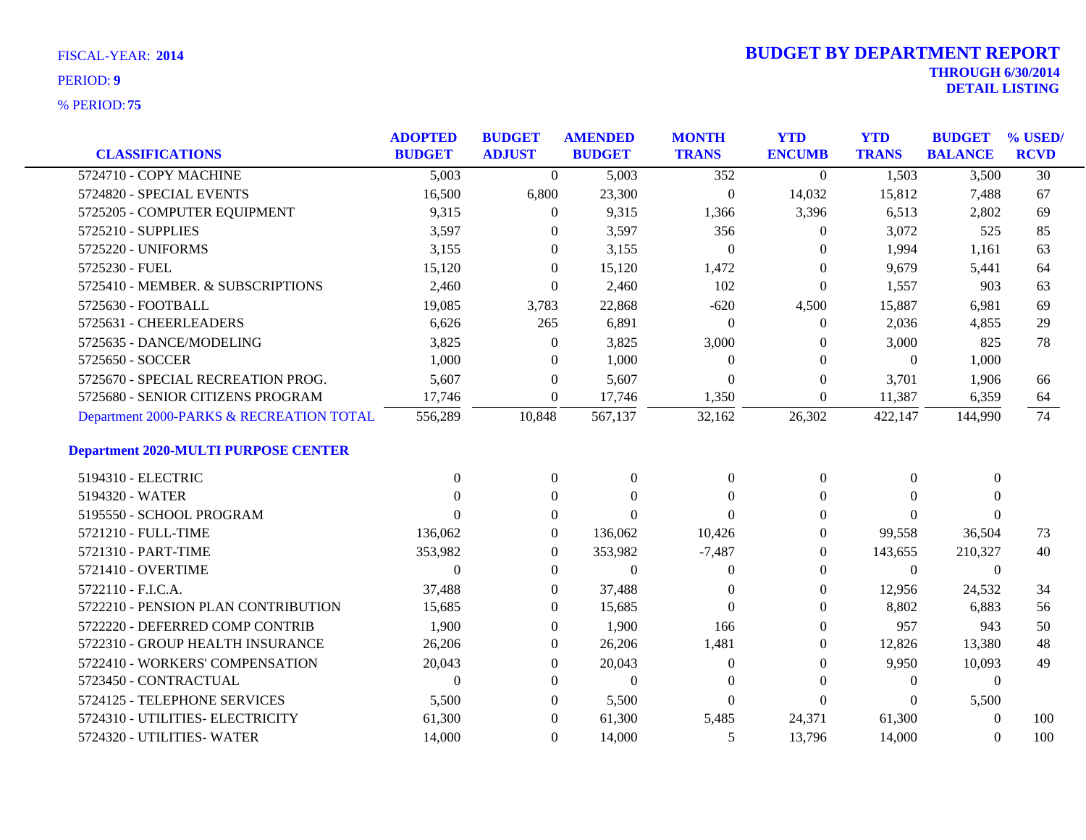|                                             | <b>ADOPTED</b> | <b>BUDGET</b>  | <b>AMENDED</b> | <b>MONTH</b>     | <b>YTD</b>       | <b>YTD</b>     | <b>BUDGET % USED/</b> |                 |
|---------------------------------------------|----------------|----------------|----------------|------------------|------------------|----------------|-----------------------|-----------------|
| <b>CLASSIFICATIONS</b>                      | <b>BUDGET</b>  | <b>ADJUST</b>  | <b>BUDGET</b>  | <b>TRANS</b>     | <b>ENCUMB</b>    | <b>TRANS</b>   | <b>BALANCE</b>        | <b>RCVD</b>     |
| 5724710 - COPY MACHINE                      | 5,003          | $\theta$       | 5,003          | 352              | $\overline{0}$   | 1,503          | 3,500                 | $\overline{30}$ |
| 5724820 - SPECIAL EVENTS                    | 16,500         | 6,800          | 23,300         | $\boldsymbol{0}$ | 14,032           | 15,812         | 7,488                 | 67              |
| 5725205 - COMPUTER EQUIPMENT                | 9,315          | $\mathbf{0}$   | 9,315          | 1,366            | 3,396            | 6,513          | 2,802                 | 69              |
| 5725210 - SUPPLIES                          | 3,597          | $\theta$       | 3,597          | 356              | $\theta$         | 3,072          | 525                   | 85              |
| 5725220 - UNIFORMS                          | 3,155          | $\theta$       | 3,155          | $\theta$         | $\Omega$         | 1,994          | 1,161                 | 63              |
| 5725230 - FUEL                              | 15,120         | $\overline{0}$ | 15,120         | 1,472            | $\theta$         | 9,679          | 5,441                 | 64              |
| 5725410 - MEMBER. & SUBSCRIPTIONS           | 2,460          | $\overline{0}$ | 2,460          | 102              | $\theta$         | 1,557          | 903                   | 63              |
| 5725630 - FOOTBALL                          | 19,085         | 3,783          | 22,868         | $-620$           | 4,500            | 15,887         | 6,981                 | 69              |
| 5725631 - CHEERLEADERS                      | 6,626          | 265            | 6,891          | $\theta$         | $\overline{0}$   | 2,036          | 4,855                 | 29              |
| 5725635 - DANCE/MODELING                    | 3,825          | $\mathbf{0}$   | 3,825          | 3,000            | $\theta$         | 3,000          | 825                   | 78              |
| 5725650 - SOCCER                            | 1,000          | $\mathbf{0}$   | 1,000          | $\boldsymbol{0}$ | $\theta$         | $\overline{0}$ | 1,000                 |                 |
| 5725670 - SPECIAL RECREATION PROG.          | 5,607          | $\overline{0}$ | 5,607          | $\theta$         | $\theta$         | 3,701          | 1,906                 | 66              |
| 5725680 - SENIOR CITIZENS PROGRAM           | 17,746         | $\overline{0}$ | 17,746         | 1,350            | $\boldsymbol{0}$ | 11,387         | 6,359                 | 64              |
| Department 2000-PARKS & RECREATION TOTAL    | 556,289        | 10,848         | 567,137        | 32,162           | 26,302           | 422,147        | 144,990               | 74              |
| <b>Department 2020-MULTI PURPOSE CENTER</b> |                |                |                |                  |                  |                |                       |                 |
| 5194310 - ELECTRIC                          | $\Omega$       | $\overline{0}$ | $\overline{0}$ | $\overline{0}$   | $\theta$         | $\Omega$       | $\Omega$              |                 |
| 5194320 - WATER                             |                | $\Omega$       | $\Omega$       | $\Omega$         | $\theta$         | $\Omega$       | $\Omega$              |                 |
| 5195550 - SCHOOL PROGRAM                    | 0              | $\mathbf{0}$   | $\Omega$       | $\Omega$         | $\overline{0}$   | $\Omega$       | $\Omega$              |                 |
| 5721210 - FULL-TIME                         | 136,062        | $\overline{0}$ | 136,062        | 10,426           | $\theta$         | 99,558         | 36,504                | 73              |
| 5721310 - PART-TIME                         | 353,982        | $\theta$       | 353,982        | $-7,487$         | $\Omega$         | 143,655        | 210,327               | 40              |
| 5721410 - OVERTIME                          | $\overline{0}$ | $\overline{0}$ | $\mathbf{0}$   | $\theta$         | $\Omega$         | $\overline{0}$ | $\overline{0}$        |                 |
| 5722110 - F.I.C.A.                          | 37,488         | $\theta$       | 37,488         | $\Omega$         | $\overline{0}$   | 12,956         | 24,532                | 34              |
| 5722210 - PENSION PLAN CONTRIBUTION         | 15,685         | $\overline{0}$ | 15,685         | $\theta$         | $\theta$         | 8,802          | 6,883                 | 56              |
| 5722220 - DEFERRED COMP CONTRIB             | 1,900          | $\theta$       | 1,900          | 166              | $\Omega$         | 957            | 943                   | 50              |
| 5722310 - GROUP HEALTH INSURANCE            | 26,206         | $\overline{0}$ | 26,206         | 1,481            | $\theta$         | 12,826         | 13,380                | 48              |
| 5722410 - WORKERS' COMPENSATION             | 20,043         | $\theta$       | 20,043         | $\mathbf{0}$     | $\overline{0}$   | 9,950          | 10,093                | 49              |
| 5723450 - CONTRACTUAL                       | $\overline{0}$ | $\overline{0}$ | $\mathbf{0}$   | $\mathbf{0}$     | $\theta$         | $\theta$       | $\overline{0}$        |                 |
| 5724125 - TELEPHONE SERVICES                | 5,500          | $\theta$       | 5,500          | $\mathbf{0}$     | $\theta$         | $\left($       | 5,500                 |                 |
| 5724310 - UTILITIES- ELECTRICITY            | 61,300         | $\theta$       | 61,300         | 5,485            | 24,371           | 61,300         | $\Omega$              | 100             |
| 5724320 - UTILITIES- WATER                  | 14,000         | $\overline{0}$ | 14,000         | 5                | 13,796           | 14,000         | $\Omega$              | 100             |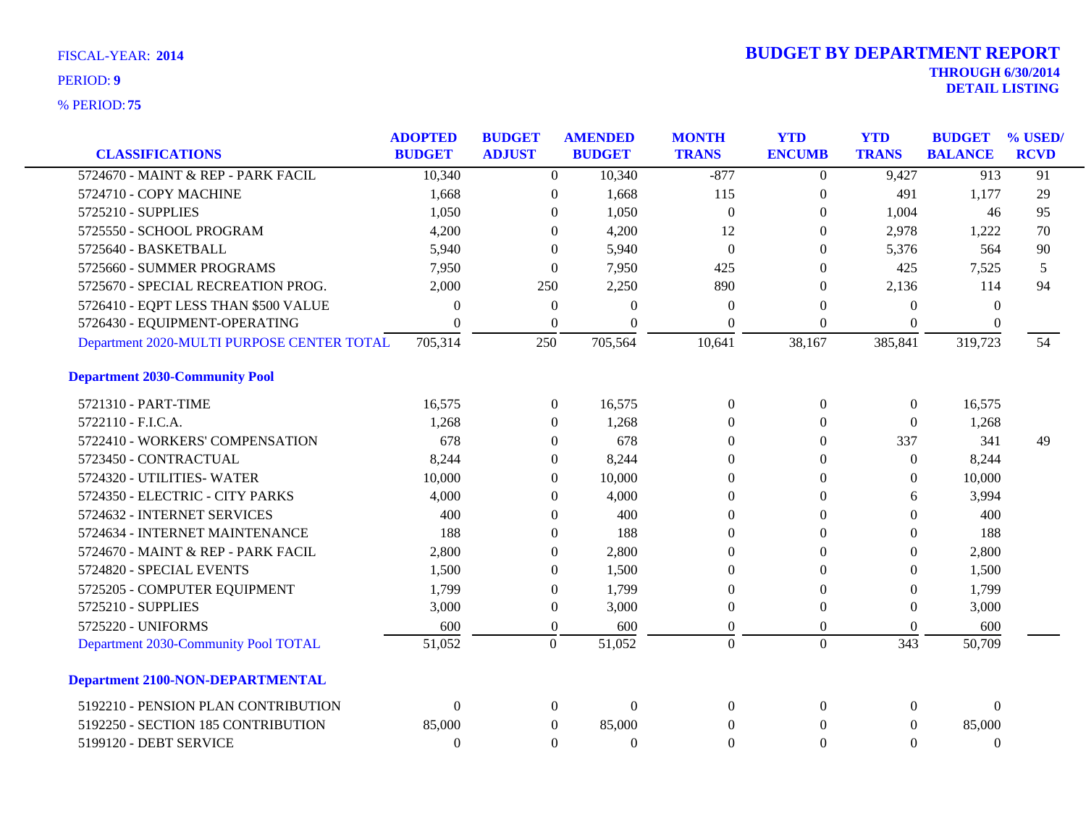| <b>CLASSIFICATIONS</b>                     | <b>ADOPTED</b><br><b>BUDGET</b> | <b>BUDGET</b><br><b>ADJUST</b> | <b>AMENDED</b><br><b>BUDGET</b> | <b>MONTH</b><br><b>TRANS</b> | <b>YTD</b><br><b>ENCUMB</b> | <b>YTD</b><br><b>TRANS</b> | <b>BUDGET</b><br><b>BALANCE</b> | % USED<br><b>RCVD</b> |
|--------------------------------------------|---------------------------------|--------------------------------|---------------------------------|------------------------------|-----------------------------|----------------------------|---------------------------------|-----------------------|
| 5724670 - MAINT & REP - PARK FACIL         | 10,340                          | $\overline{0}$                 | 10,340                          | $-877$                       | $\boldsymbol{0}$            | 9,427                      | 913                             | 91                    |
| 5724710 - COPY MACHINE                     | 1,668                           | $\boldsymbol{0}$               | 1,668                           | 115                          | $\overline{0}$              | 491                        | 1,177                           | 29                    |
| 5725210 - SUPPLIES                         | 1,050                           | $\theta$                       | 1,050                           | $\theta$                     | $\overline{0}$              | 1,004                      | 46                              | 95                    |
| 5725550 - SCHOOL PROGRAM                   | 4,200                           | $\theta$                       | 4,200                           | 12                           | $\theta$                    | 2,978                      | 1,222                           | 70                    |
| 5725640 - BASKETBALL                       | 5,940                           | $\Omega$                       | 5,940                           | $\Omega$                     | $\Omega$                    | 5,376                      | 564                             | 90                    |
| 5725660 - SUMMER PROGRAMS                  | 7,950                           | $\boldsymbol{0}$               | 7,950                           | 425                          | $\mathbf{0}$                | 425                        | 7,525                           | 5                     |
| 5725670 - SPECIAL RECREATION PROG.         | 2,000                           | 250                            | 2,250                           | 890                          | $\overline{0}$              | 2,136                      | 114                             | 94                    |
| 5726410 - EQPT LESS THAN \$500 VALUE       | $\Omega$                        | $\mathbf{0}$                   | $\Omega$                        | $\Omega$                     | $\Omega$                    | $\theta$                   | $\Omega$                        |                       |
| 5726430 - EQUIPMENT-OPERATING              | $\theta$                        | $\mathbf{0}$                   | $\theta$                        | $\theta$                     | $\Omega$                    | $\theta$                   | $\Omega$                        |                       |
| Department 2020-MULTI PURPOSE CENTER TOTAL | 705,314                         | 250                            | 705,564                         | 10,641                       | 38,167                      | 385,841                    | 319,723                         | 54                    |
| <b>Department 2030-Community Pool</b>      |                                 |                                |                                 |                              |                             |                            |                                 |                       |
| 5721310 - PART-TIME                        | 16,575                          | $\overline{0}$                 | 16,575                          | $\Omega$                     | $\mathbf{0}$                | $\overline{0}$             | 16,575                          |                       |
| 5722110 - F.I.C.A.                         | 1,268                           | $\theta$                       | 1,268                           | $\Omega$                     | $\Omega$                    | $\overline{0}$             | 1,268                           |                       |
| 5722410 - WORKERS' COMPENSATION            | 678                             | $\theta$                       | 678                             | $\theta$                     | $\Omega$                    | 337                        | 341                             | 49                    |
| 5723450 - CONTRACTUAL                      | 8,244                           | $\theta$                       | 8,244                           | $\mathbf{0}$                 | $\boldsymbol{0}$            | $\boldsymbol{0}$           | 8,244                           |                       |
| 5724320 - UTILITIES- WATER                 | 10,000                          | $\theta$                       | 10,000                          | $\theta$                     | $\mathbf{0}$                | $\overline{0}$             | 10,000                          |                       |
| 5724350 - ELECTRIC - CITY PARKS            | 4,000                           | $\theta$                       | 4,000                           | $\theta$                     | $\Omega$                    | 6                          | 3,994                           |                       |
| 5724632 - INTERNET SERVICES                | 400                             | $\theta$                       | 400                             | $\theta$                     | $\mathbf{0}$                | $\Omega$                   | 400                             |                       |
| 5724634 - INTERNET MAINTENANCE             | 188                             | $\Omega$                       | 188                             | $\theta$                     | $\Omega$                    | $\theta$                   | 188                             |                       |
| 5724670 - MAINT & REP - PARK FACIL         | 2,800                           | $\theta$                       | 2,800                           | $\theta$                     | 0                           | $\Omega$                   | 2,800                           |                       |
| 5724820 - SPECIAL EVENTS                   | 1,500                           | 0                              | 1,500                           | $\Omega$                     | $\Omega$                    | $\theta$                   | 1,500                           |                       |
| 5725205 - COMPUTER EQUIPMENT               | 1,799                           | $\Omega$                       | 1,799                           | $\theta$                     | $\Omega$                    | $\Omega$                   | 1,799                           |                       |
| 5725210 - SUPPLIES                         | 3,000                           | $\boldsymbol{0}$               | 3,000                           | $\mathbf{0}$                 | $\mathbf{0}$                | $\overline{0}$             | 3,000                           |                       |
| 5725220 - UNIFORMS                         | 600                             | $\theta$                       | 600                             | $\theta$                     | $\overline{0}$              | $\Omega$                   | 600                             |                       |
| Department 2030-Community Pool TOTAL       | 51,052                          | $\overline{0}$                 | 51,052                          | $\overline{0}$               | $\overline{0}$              | 343                        | 50,709                          |                       |
| <b>Department 2100-NON-DEPARTMENTAL</b>    |                                 |                                |                                 |                              |                             |                            |                                 |                       |
| 5192210 - PENSION PLAN CONTRIBUTION        | $\boldsymbol{0}$                | $\theta$                       | $\mathbf{0}$                    | $\boldsymbol{0}$             | $\mathbf{0}$                | $\overline{0}$             | $\mathbf{0}$                    |                       |
| 5192250 - SECTION 185 CONTRIBUTION         | 85,000                          | $\theta$                       | 85,000                          | $\theta$                     | $\mathbf{0}$                | $\overline{0}$             | 85,000                          |                       |
| 5199120 - DEBT SERVICE                     | $\Omega$                        | $\Omega$                       | $\Omega$                        | $\theta$                     | $\Omega$                    | $\Omega$                   | $\theta$                        |                       |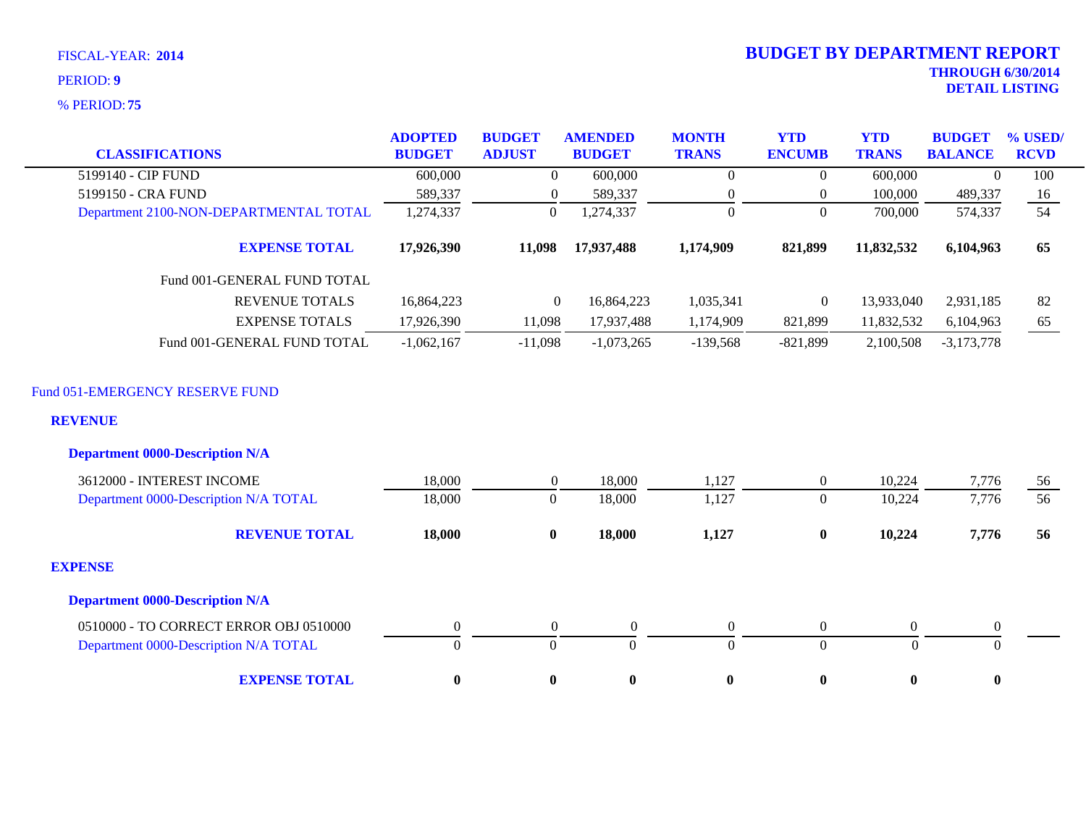|                                                                                             | <b>ADOPTED</b>   | <b>BUDGET</b>                | <b>AMENDED</b>   | <b>MONTH</b>     | <b>YTD</b>       | <b>YTD</b>       | <b>BUDGET</b>    | % USED/               |
|---------------------------------------------------------------------------------------------|------------------|------------------------------|------------------|------------------|------------------|------------------|------------------|-----------------------|
| <b>CLASSIFICATIONS</b>                                                                      | <b>BUDGET</b>    | <b>ADJUST</b>                | <b>BUDGET</b>    | <b>TRANS</b>     | <b>ENCUMB</b>    | <b>TRANS</b>     | <b>BALANCE</b>   | <b>RCVD</b>           |
| 5199140 - CIP FUND                                                                          | 600,000          | $\overline{0}$               | 600,000          | $\theta$         | $\overline{0}$   | 600,000          | $\theta$         | 100                   |
| 5199150 - CRA FUND                                                                          | 589,337          | $\overline{0}$               | 589,337          | $\mathbf{0}$     | $\boldsymbol{0}$ | 100,000          | 489,337          | 16                    |
| Department 2100-NON-DEPARTMENTAL TOTAL                                                      | 1,274,337        | $\boldsymbol{0}$             | 1,274,337        | $\overline{0}$   | $\Omega$         | 700,000          | 574,337          | $\overline{54}$       |
| <b>EXPENSE TOTAL</b>                                                                        | 17,926,390       | 11,098                       | 17,937,488       | 1,174,909        | 821,899          | 11,832,532       | 6,104,963        | 65                    |
| Fund 001-GENERAL FUND TOTAL                                                                 |                  |                              |                  |                  |                  |                  |                  |                       |
| <b>REVENUE TOTALS</b>                                                                       | 16,864,223       | $\overline{0}$               | 16,864,223       | 1,035,341        | $\boldsymbol{0}$ | 13,933,040       | 2,931,185        | 82                    |
| <b>EXPENSE TOTALS</b>                                                                       | 17,926,390       | 11,098                       | 17,937,488       | 1,174,909        | 821,899          | 11,832,532       | 6,104,963        | 65                    |
| Fund 001-GENERAL FUND TOTAL                                                                 | $-1,062,167$     | $-11,098$                    | $-1,073,265$     | $-139,568$       | $-821,899$       | 2,100,508        | $-3,173,778$     |                       |
| Fund 051-EMERGENCY RESERVE FUND<br><b>REVENUE</b><br><b>Department 0000-Description N/A</b> |                  |                              |                  |                  |                  |                  |                  |                       |
| 3612000 - INTEREST INCOME                                                                   | 18,000           |                              | 18,000           | 1,127            | $\boldsymbol{0}$ | 10,224           |                  |                       |
| Department 0000-Description N/A TOTAL                                                       | 18,000           | $\mathbf{0}$<br>$\mathbf{0}$ | 18,000           | 1,127            | $\mathbf{0}$     | 10,224           | 7,776<br>7,776   | 56<br>$\overline{56}$ |
| <b>REVENUE TOTAL</b>                                                                        | 18,000           | $\bf{0}$                     | 18,000           | 1,127            | $\bf{0}$         | 10,224           | 7,776            | 56                    |
| <b>EXPENSE</b>                                                                              |                  |                              |                  |                  |                  |                  |                  |                       |
| <b>Department 0000-Description N/A</b>                                                      |                  |                              |                  |                  |                  |                  |                  |                       |
| 0510000 - TO CORRECT ERROR OBJ 0510000                                                      | $\boldsymbol{0}$ | $\boldsymbol{0}$             | $\boldsymbol{0}$ | $\boldsymbol{0}$ | $\boldsymbol{0}$ | $\boldsymbol{0}$ | $\boldsymbol{0}$ |                       |
| Department 0000-Description N/A TOTAL                                                       | $\theta$         | $\Omega$                     | $\Omega$         | $\Omega$         | $\overline{0}$   | $\theta$         | $\Omega$         |                       |
| <b>EXPENSE TOTAL</b>                                                                        | $\bf{0}$         | $\bf{0}$                     | $\bf{0}$         | $\bf{0}$         | $\bf{0}$         | $\bf{0}$         | $\bf{0}$         |                       |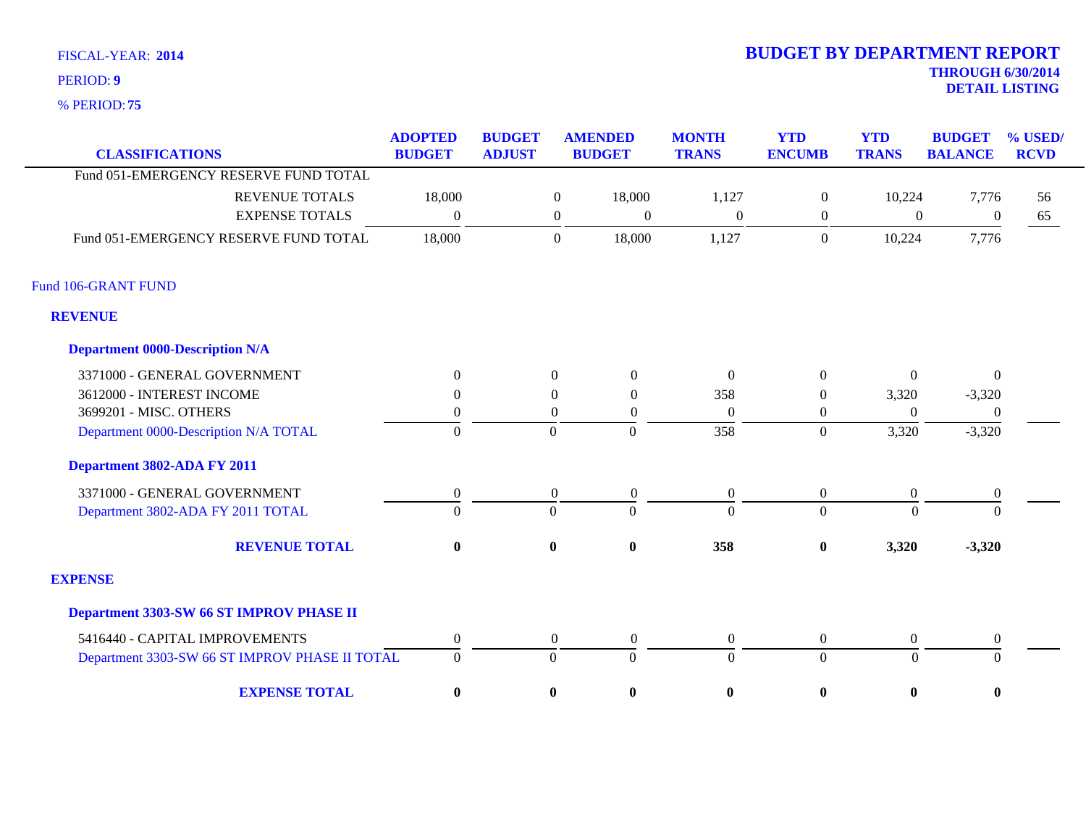**75** % PERIOD:

# **THROUGH 6/30/2014 DETAIL LISTING** PERIOD: **<sup>9</sup> 2014 BUDGET BY DEPARTMENT REPORT**

| <b>CLASSIFICATIONS</b>                         | <b>ADOPTED</b><br><b>BUDGET</b> | <b>BUDGET</b><br><b>ADJUST</b> |                  | <b>AMENDED</b><br><b>BUDGET</b> | <b>MONTH</b><br><b>TRANS</b> | <b>YTD</b><br><b>ENCUMB</b> | <b>YTD</b><br><b>TRANS</b> | <b>BUDGET</b><br><b>BALANCE</b> | % USED/<br><b>RCVD</b> |
|------------------------------------------------|---------------------------------|--------------------------------|------------------|---------------------------------|------------------------------|-----------------------------|----------------------------|---------------------------------|------------------------|
| Fund 051-EMERGENCY RESERVE FUND TOTAL          |                                 |                                |                  |                                 |                              |                             |                            |                                 |                        |
| <b>REVENUE TOTALS</b>                          | 18,000                          |                                | $\boldsymbol{0}$ | 18,000                          | 1,127                        | $\boldsymbol{0}$            | 10,224                     | 7,776                           | 56                     |
| <b>EXPENSE TOTALS</b>                          | $\theta$                        |                                | $\boldsymbol{0}$ | $\boldsymbol{0}$                | $\Omega$                     | $\overline{0}$              | $\overline{0}$             | $\boldsymbol{0}$                | 65                     |
| Fund 051-EMERGENCY RESERVE FUND TOTAL          | 18,000                          |                                | $\overline{0}$   | 18,000                          | 1,127                        | $\overline{0}$              | 10,224                     | 7,776                           |                        |
| Fund 106-GRANT FUND                            |                                 |                                |                  |                                 |                              |                             |                            |                                 |                        |
| <b>REVENUE</b>                                 |                                 |                                |                  |                                 |                              |                             |                            |                                 |                        |
| <b>Department 0000-Description N/A</b>         |                                 |                                |                  |                                 |                              |                             |                            |                                 |                        |
| 3371000 - GENERAL GOVERNMENT                   | $\overline{0}$                  |                                | $\theta$         | $\overline{0}$                  | $\theta$                     | $\theta$                    | $\Omega$                   | $\mathbf{0}$                    |                        |
| 3612000 - INTEREST INCOME                      | $\theta$                        |                                | $\Omega$         | $\overline{0}$                  | 358                          | $\boldsymbol{0}$            | 3,320                      | $-3,320$                        |                        |
| 3699201 - MISC. OTHERS                         | $\overline{0}$                  |                                | $\theta$         | $\overline{0}$                  | $\Omega$                     | $\overline{0}$              | $\Omega$                   | $\theta$                        |                        |
| Department 0000-Description N/A TOTAL          | $\overline{0}$                  |                                | $\theta$         | $\Omega$                        | 358                          | $\mathbf{0}$                | 3,320                      | $-3,320$                        |                        |
| Department 3802-ADA FY 2011                    |                                 |                                |                  |                                 |                              |                             |                            |                                 |                        |
| 3371000 - GENERAL GOVERNMENT                   | $\boldsymbol{0}$                |                                | $\boldsymbol{0}$ | $\boldsymbol{0}$                | $\boldsymbol{0}$             | $\boldsymbol{0}$            | $\overline{0}$             | $\boldsymbol{0}$                |                        |
| Department 3802-ADA FY 2011 TOTAL              | $\theta$                        |                                | $\mathbf{0}$     | $\Omega$                        | $\Omega$                     | $\Omega$                    | $\Omega$                   | $\theta$                        |                        |
| <b>REVENUE TOTAL</b>                           | $\bf{0}$                        |                                | $\bf{0}$         | $\pmb{0}$                       | 358                          | $\pmb{0}$                   | 3,320                      | $-3,320$                        |                        |
| <b>EXPENSE</b>                                 |                                 |                                |                  |                                 |                              |                             |                            |                                 |                        |
| Department 3303-SW 66 ST IMPROV PHASE II       |                                 |                                |                  |                                 |                              |                             |                            |                                 |                        |
| 5416440 - CAPITAL IMPROVEMENTS                 | $\boldsymbol{0}$                |                                | $\boldsymbol{0}$ | $\boldsymbol{0}$                | $\boldsymbol{0}$             | $\boldsymbol{0}$            | $\mathbf{0}$               | $\boldsymbol{0}$                |                        |
| Department 3303-SW 66 ST IMPROV PHASE II TOTAL | $\mathbf{0}$                    |                                | $\boldsymbol{0}$ | $\Omega$                        | $\Omega$                     | $\overline{0}$              | $\theta$                   | $\Omega$                        |                        |
| <b>EXPENSE TOTAL</b>                           | $\bf{0}$                        |                                | $\bf{0}$         | $\boldsymbol{0}$                | $\bf{0}$                     | $\bf{0}$                    | $\bf{0}$                   | $\bf{0}$                        |                        |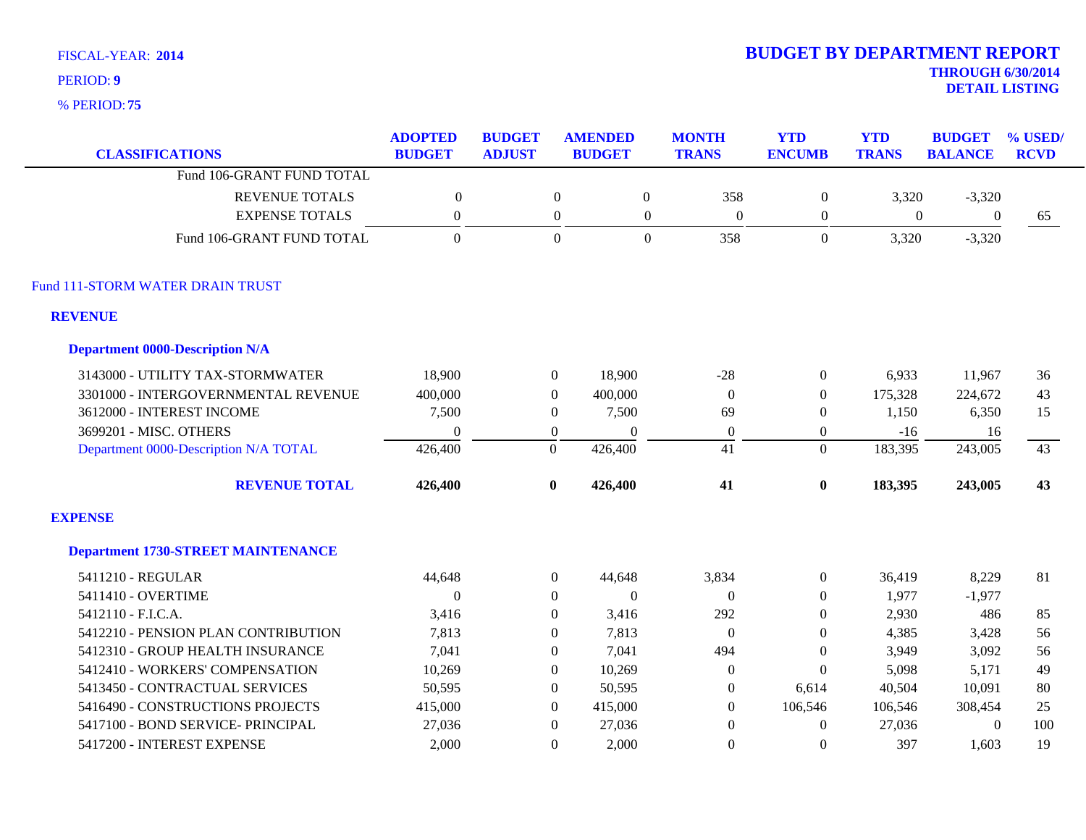**75** % PERIOD:

# **2014 BUDGET BY DEPARTMENT REPORT**

**THROUGH 6/30/2014 DETAIL LISTING** PERIOD: **<sup>9</sup>**

| <b>CLASSIFICATIONS</b>                    | <b>ADOPTED</b><br><b>BUDGET</b> | <b>BUDGET</b><br><b>ADJUST</b> |                  | <b>AMENDED</b><br><b>BUDGET</b> | <b>MONTH</b><br><b>TRANS</b> | <b>YTD</b><br><b>ENCUMB</b> | <b>YTD</b><br><b>TRANS</b> | <b>BUDGET</b><br><b>BALANCE</b> | % USED/<br><b>RCVD</b> |
|-------------------------------------------|---------------------------------|--------------------------------|------------------|---------------------------------|------------------------------|-----------------------------|----------------------------|---------------------------------|------------------------|
| Fund 106-GRANT FUND TOTAL                 |                                 |                                |                  |                                 |                              |                             |                            |                                 |                        |
| <b>REVENUE TOTALS</b>                     | $\boldsymbol{0}$                |                                | $\mathbf{0}$     | $\boldsymbol{0}$                | 358                          | $\boldsymbol{0}$            | 3,320                      | $-3,320$                        |                        |
| <b>EXPENSE TOTALS</b>                     | $\boldsymbol{0}$                |                                | $\boldsymbol{0}$ | $\mathbf{0}$                    | $\boldsymbol{0}$             | $\boldsymbol{0}$            | $\boldsymbol{0}$           | $\boldsymbol{0}$                | 65                     |
| Fund 106-GRANT FUND TOTAL                 | $\Omega$                        |                                | $\Omega$         | $\overline{0}$                  | 358                          | $\overline{0}$              | 3,320                      | $-3,320$                        |                        |
| Fund 111-STORM WATER DRAIN TRUST          |                                 |                                |                  |                                 |                              |                             |                            |                                 |                        |
| <b>REVENUE</b>                            |                                 |                                |                  |                                 |                              |                             |                            |                                 |                        |
| <b>Department 0000-Description N/A</b>    |                                 |                                |                  |                                 |                              |                             |                            |                                 |                        |
| 3143000 - UTILITY TAX-STORMWATER          | 18,900                          |                                | $\boldsymbol{0}$ | 18,900                          | $-28$                        | $\boldsymbol{0}$            | 6,933                      | 11,967                          | 36                     |
| 3301000 - INTERGOVERNMENTAL REVENUE       | 400,000                         |                                | $\theta$         | 400,000                         | $\overline{0}$               | $\overline{0}$              | 175,328                    | 224,672                         | 43                     |
| 3612000 - INTEREST INCOME                 | 7,500                           |                                | $\overline{0}$   | 7,500                           | 69                           | $\overline{0}$              | 1,150                      | 6,350                           | 15                     |
| 3699201 - MISC. OTHERS                    | $\Omega$                        |                                | $\overline{0}$   | $\Omega$                        | $\overline{0}$               | $\overline{0}$              | $-16$                      | 16                              |                        |
| Department 0000-Description N/A TOTAL     | 426,400                         |                                | $\theta$         | 426,400                         | 41                           | $\Omega$                    | 183,395                    | 243,005                         | 43                     |
| <b>REVENUE TOTAL</b>                      | 426,400                         |                                | $\boldsymbol{0}$ | 426,400                         | 41                           | $\bf{0}$                    | 183,395                    | 243,005                         | 43                     |
| <b>EXPENSE</b>                            |                                 |                                |                  |                                 |                              |                             |                            |                                 |                        |
| <b>Department 1730-STREET MAINTENANCE</b> |                                 |                                |                  |                                 |                              |                             |                            |                                 |                        |
| 5411210 - REGULAR                         | 44,648                          |                                | $\overline{0}$   | 44,648                          | 3,834                        | $\overline{0}$              | 36,419                     | 8,229                           | 81                     |
| 5411410 - OVERTIME                        | $\boldsymbol{0}$                |                                | $\overline{0}$   | $\mathbf{0}$                    | $\mathbf{0}$                 | $\overline{0}$              | 1,977                      | $-1,977$                        |                        |
| 5412110 - F.I.C.A.                        | 3,416                           |                                | $\Omega$         | 3,416                           | 292                          | $\theta$                    | 2,930                      | 486                             | 85                     |
| 5412210 - PENSION PLAN CONTRIBUTION       | 7,813                           |                                | $\Omega$         | 7,813                           | $\overline{0}$               | $\overline{0}$              | 4,385                      | 3,428                           | 56                     |
| 5412310 - GROUP HEALTH INSURANCE          | 7,041                           |                                | $\Omega$         | 7,041                           | 494                          | $\theta$                    | 3,949                      | 3,092                           | 56                     |
| 5412410 - WORKERS' COMPENSATION           | 10,269                          |                                | $\Omega$         | 10,269                          | 0                            | $\overline{0}$              | 5,098                      | 5,171                           | 49                     |
| 5413450 - CONTRACTUAL SERVICES            | 50,595                          |                                | $\overline{0}$   | 50,595                          | $\overline{0}$               | 6,614                       | 40,504                     | 10,091                          | 80                     |
| 5416490 - CONSTRUCTIONS PROJECTS          | 415,000                         |                                | $\theta$         | 415,000                         | $\theta$                     | 106,546                     | 106,546                    | 308,454                         | 25                     |
| 5417100 - BOND SERVICE- PRINCIPAL         | 27,036                          |                                | $\Omega$         | 27,036                          | $\mathbf{0}$                 | $\overline{0}$              | 27,036                     | $\boldsymbol{0}$                | 100                    |
| 5417200 - INTEREST EXPENSE                | 2.000                           |                                | $\Omega$         | 2,000                           | $\Omega$                     | $\Omega$                    | 397                        | 1,603                           | 19                     |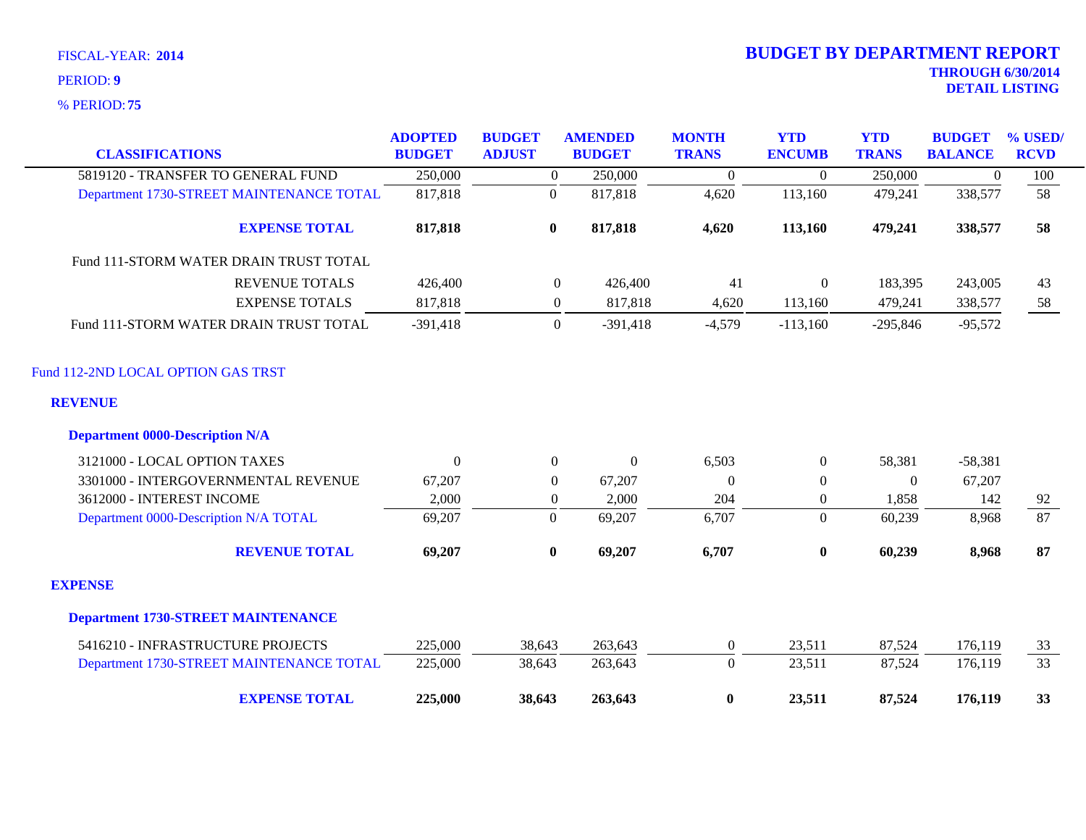| <b>CLASSIFICATIONS</b>                    | <b>ADOPTED</b><br><b>BUDGET</b> | <b>BUDGET</b><br><b>ADJUST</b> | <b>AMENDED</b><br><b>BUDGET</b> | <b>MONTH</b><br><b>TRANS</b> | <b>YTD</b><br><b>ENCUMB</b> | <b>YTD</b><br><b>TRANS</b> | <b>BUDGET</b><br><b>BALANCE</b> | % USED/<br><b>RCVD</b> |
|-------------------------------------------|---------------------------------|--------------------------------|---------------------------------|------------------------------|-----------------------------|----------------------------|---------------------------------|------------------------|
| 5819120 - TRANSFER TO GENERAL FUND        | 250,000                         | $\overline{0}$                 | 250,000                         | $\overline{0}$               | $\theta$                    | 250,000                    | $\mathbf{0}$                    | 100                    |
| Department 1730-STREET MAINTENANCE TOTAL  | 817,818                         | $\boldsymbol{0}$               | 817,818                         | 4,620                        | 113,160                     | 479,241                    | 338,577                         | 58                     |
| <b>EXPENSE TOTAL</b>                      | 817,818                         | $\bf{0}$                       | 817,818                         | 4,620                        | 113,160                     | 479,241                    | 338,577                         | 58                     |
| Fund 111-STORM WATER DRAIN TRUST TOTAL    |                                 |                                |                                 |                              |                             |                            |                                 |                        |
| <b>REVENUE TOTALS</b>                     | 426,400                         | $\overline{0}$                 | 426,400                         | 41                           | $\mathbf{0}$                | 183,395                    | 243,005                         | 43                     |
| <b>EXPENSE TOTALS</b>                     | 817,818                         | $\boldsymbol{0}$               | 817,818                         | 4,620                        | 113,160                     | 479,241                    | 338,577                         | 58                     |
| Fund 111-STORM WATER DRAIN TRUST TOTAL    | $-391,418$                      | $\overline{0}$                 | $-391,418$                      | $-4,579$                     | $-113,160$                  | $-295,846$                 | $-95,572$                       |                        |
| Fund 112-2ND LOCAL OPTION GAS TRST        |                                 |                                |                                 |                              |                             |                            |                                 |                        |
| <b>REVENUE</b>                            |                                 |                                |                                 |                              |                             |                            |                                 |                        |
| <b>Department 0000-Description N/A</b>    |                                 |                                |                                 |                              |                             |                            |                                 |                        |
| 3121000 - LOCAL OPTION TAXES              | $\Omega$                        | $\overline{0}$                 | $\mathbf{0}$                    | 6,503                        | $\overline{0}$              | 58,381                     | $-58,381$                       |                        |
| 3301000 - INTERGOVERNMENTAL REVENUE       | 67,207                          | $\Omega$                       | 67,207                          | $\Omega$                     | $\theta$                    | $\Omega$                   | 67,207                          |                        |
| 3612000 - INTEREST INCOME                 | 2,000                           | $\mathbf{0}$                   | 2,000                           | 204                          | $\boldsymbol{0}$            | 1,858                      | 142                             | 92                     |
| Department 0000-Description N/A TOTAL     | 69,207                          | $\mathbf{0}$                   | 69,207                          | 6,707                        | $\overline{0}$              | 60,239                     | 8,968                           | 87                     |
| <b>REVENUE TOTAL</b>                      | 69,207                          | $\bf{0}$                       | 69,207                          | 6,707                        | $\bf{0}$                    | 60,239                     | 8,968                           | 87                     |
| <b>EXPENSE</b>                            |                                 |                                |                                 |                              |                             |                            |                                 |                        |
| <b>Department 1730-STREET MAINTENANCE</b> |                                 |                                |                                 |                              |                             |                            |                                 |                        |
| 5416210 - INFRASTRUCTURE PROJECTS         | 225,000                         | 38,643                         | 263,643                         | $\overline{0}$               | 23,511                      | 87,524                     | 176,119                         | 33                     |
| Department 1730-STREET MAINTENANCE TOTAL  | 225,000                         | 38,643                         | 263,643                         | $\Omega$                     | 23,511                      | 87,524                     | 176,119                         | $\overline{33}$        |
| <b>EXPENSE TOTAL</b>                      | 225,000                         | 38,643                         | 263,643                         | $\bf{0}$                     | 23,511                      | 87,524                     | 176,119                         | 33                     |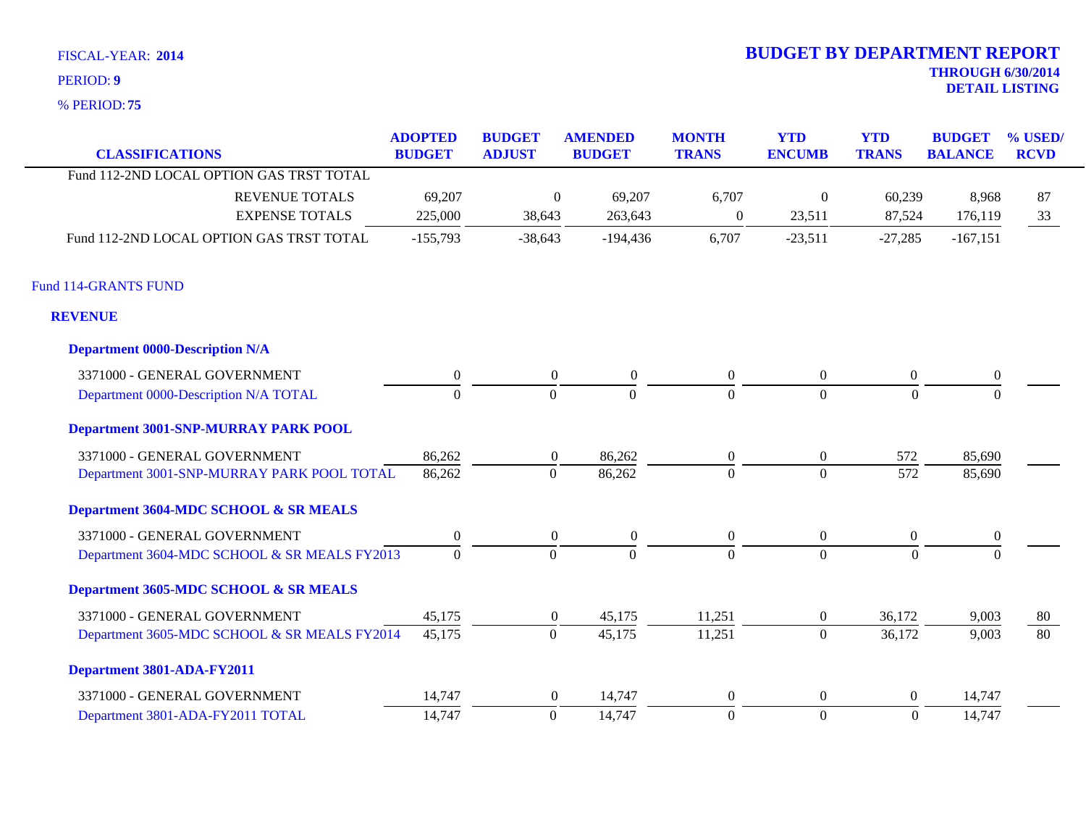**75** % PERIOD:

# **THROUGH 6/30/2014 DETAIL LISTING** PERIOD: **<sup>9</sup> 2014 BUDGET BY DEPARTMENT REPORT**

| <b>CLASSIFICATIONS</b>                       | <b>ADOPTED</b><br><b>BUDGET</b> | <b>BUDGET</b><br><b>ADJUST</b> | <b>AMENDED</b><br><b>BUDGET</b> | <b>MONTH</b><br><b>TRANS</b> | <b>YTD</b><br><b>ENCUMB</b> | <b>YTD</b><br><b>TRANS</b> | <b>BUDGET</b><br><b>BALANCE</b> | % USED/<br><b>RCVD</b> |
|----------------------------------------------|---------------------------------|--------------------------------|---------------------------------|------------------------------|-----------------------------|----------------------------|---------------------------------|------------------------|
| Fund 112-2ND LOCAL OPTION GAS TRST TOTAL     |                                 |                                |                                 |                              |                             |                            |                                 |                        |
| <b>REVENUE TOTALS</b>                        | 69,207                          | $\boldsymbol{0}$               | 69,207                          | 6,707                        | $\boldsymbol{0}$            | 60,239                     | 8,968                           | 87                     |
| <b>EXPENSE TOTALS</b>                        | 225,000                         | 38,643                         | 263,643                         | $\overline{0}$               | 23,511                      | 87,524                     | 176,119                         | 33                     |
| Fund 112-2ND LOCAL OPTION GAS TRST TOTAL     | $-155,793$                      | $-38,643$                      | $-194,436$                      | 6,707                        | $-23,511$                   | $-27,285$                  | $-167,151$                      |                        |
| <b>Fund 114-GRANTS FUND</b>                  |                                 |                                |                                 |                              |                             |                            |                                 |                        |
| <b>REVENUE</b>                               |                                 |                                |                                 |                              |                             |                            |                                 |                        |
| <b>Department 0000-Description N/A</b>       |                                 |                                |                                 |                              |                             |                            |                                 |                        |
| 3371000 - GENERAL GOVERNMENT                 | $\boldsymbol{0}$                | $\overline{0}$                 | $\boldsymbol{0}$                | $\boldsymbol{0}$             | $\boldsymbol{0}$            | $\boldsymbol{0}$           | $\boldsymbol{0}$                |                        |
| Department 0000-Description N/A TOTAL        | $\Omega$                        | $\overline{0}$                 | $\Omega$                        | $\Omega$                     | $\overline{0}$              | $\Omega$                   | $\Omega$                        |                        |
| Department 3001-SNP-MURRAY PARK POOL         |                                 |                                |                                 |                              |                             |                            |                                 |                        |
| 3371000 - GENERAL GOVERNMENT                 | 86,262                          | $\overline{0}$                 | 86,262                          | $\boldsymbol{0}$             | $\boldsymbol{0}$            | 572                        | 85,690                          |                        |
| Department 3001-SNP-MURRAY PARK POOL TOTAL   | 86,262                          | $\mathbf{0}$                   | 86,262                          | $\overline{0}$               | $\overline{0}$              | 572                        | 85,690                          |                        |
| Department 3604-MDC SCHOOL & SR MEALS        |                                 |                                |                                 |                              |                             |                            |                                 |                        |
| 3371000 - GENERAL GOVERNMENT                 | $\Omega$                        | $\overline{0}$                 | $\boldsymbol{0}$                | $\mathbf{0}$                 | $\overline{0}$              | $\boldsymbol{0}$           | $\mathbf{0}$                    |                        |
| Department 3604-MDC SCHOOL & SR MEALS FY2013 | $\boldsymbol{0}$                | $\Omega$                       | $\Omega$                        | $\Omega$                     | $\overline{0}$              | $\theta$                   | $\overline{0}$                  |                        |
| Department 3605-MDC SCHOOL & SR MEALS        |                                 |                                |                                 |                              |                             |                            |                                 |                        |
| 3371000 - GENERAL GOVERNMENT                 | 45,175                          | $\overline{0}$                 | 45,175                          | 11,251                       | $\boldsymbol{0}$            | 36,172                     | 9,003                           | 80                     |
| Department 3605-MDC SCHOOL & SR MEALS FY2014 | 45,175                          | $\overline{0}$                 | 45,175                          | 11,251                       | $\overline{0}$              | 36,172                     | 9,003                           | 80                     |
| Department 3801-ADA-FY2011                   |                                 |                                |                                 |                              |                             |                            |                                 |                        |
| 3371000 - GENERAL GOVERNMENT                 | 14,747                          | $\overline{0}$                 | 14,747                          | $\boldsymbol{0}$             | $\boldsymbol{0}$            | $\overline{0}$             | 14,747                          |                        |
| Department 3801-ADA-FY2011 TOTAL             | 14,747                          | $\mathbf{0}$                   | 14,747                          | $\boldsymbol{0}$             | $\overline{0}$              | $\mathbf{0}$               | 14,747                          |                        |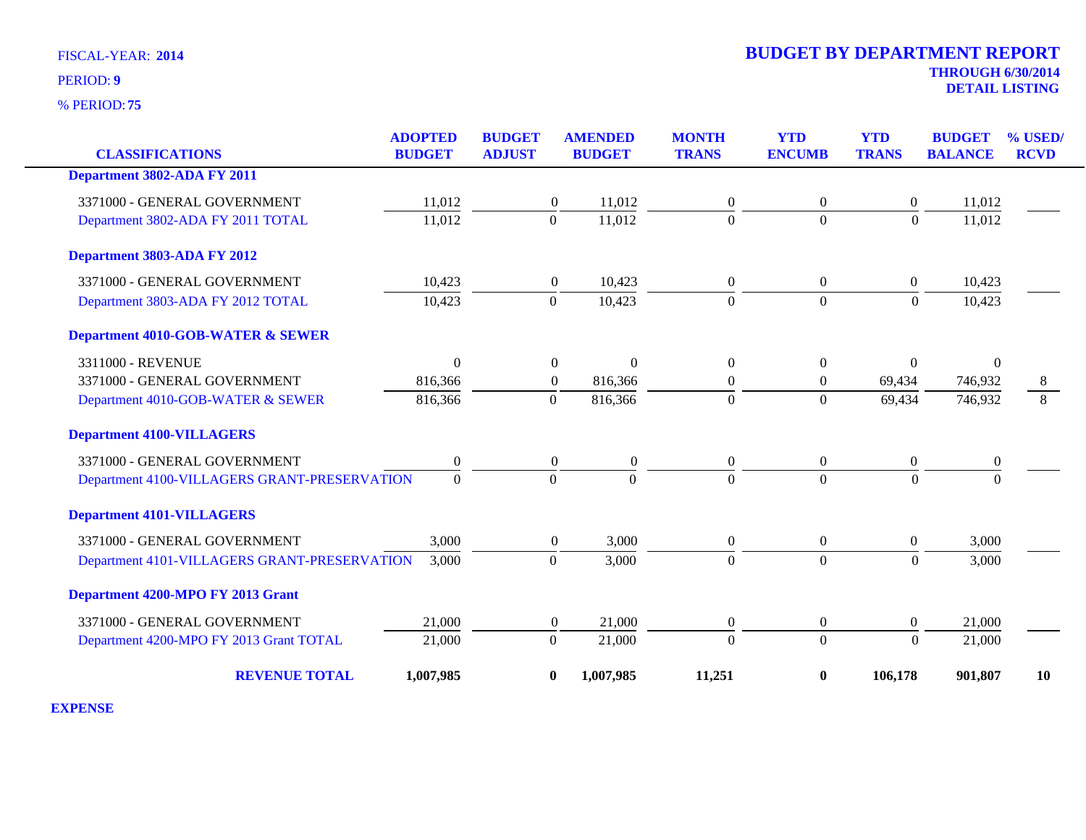**75** % PERIOD:

| <b>CLASSIFICATIONS</b>                       | <b>ADOPTED</b><br><b>BUDGET</b> | <b>BUDGET</b><br><b>ADJUST</b> | <b>AMENDED</b><br><b>BUDGET</b> | <b>MONTH</b><br><b>TRANS</b> | <b>YTD</b><br><b>ENCUMB</b> | <b>YTD</b><br><b>TRANS</b> | <b>BUDGET</b><br><b>BALANCE</b> | % USED/<br><b>RCVD</b> |
|----------------------------------------------|---------------------------------|--------------------------------|---------------------------------|------------------------------|-----------------------------|----------------------------|---------------------------------|------------------------|
| Department 3802-ADA FY 2011                  |                                 |                                |                                 |                              |                             |                            |                                 |                        |
|                                              |                                 |                                |                                 |                              |                             |                            |                                 |                        |
| 3371000 - GENERAL GOVERNMENT                 | 11,012                          | $\boldsymbol{0}$               | 11,012                          | $\boldsymbol{0}$             | $\boldsymbol{0}$            | $\boldsymbol{0}$           | 11,012                          |                        |
| Department 3802-ADA FY 2011 TOTAL            | 11,012                          | $\overline{0}$                 | 11,012                          | $\overline{0}$               | $\overline{0}$              | $\mathbf{0}$               | 11,012                          |                        |
| Department 3803-ADA FY 2012                  |                                 |                                |                                 |                              |                             |                            |                                 |                        |
| 3371000 - GENERAL GOVERNMENT                 | 10,423                          | $\overline{0}$                 | 10,423                          | $\overline{0}$               | $\overline{0}$              | $\boldsymbol{0}$           | 10,423                          |                        |
| Department 3803-ADA FY 2012 TOTAL            | 10,423                          | $\Omega$                       | 10,423                          | $\Omega$                     | $\mathbf{0}$                | $\Omega$                   | 10,423                          |                        |
| <b>Department 4010-GOB-WATER &amp; SEWER</b> |                                 |                                |                                 |                              |                             |                            |                                 |                        |
| 3311000 - REVENUE                            | $\Omega$                        | $\boldsymbol{0}$               | $\Omega$                        | $\theta$                     | $\overline{0}$              | $\overline{0}$             | $\Omega$                        |                        |
| 3371000 - GENERAL GOVERNMENT                 | 816,366                         | $\boldsymbol{0}$               | 816,366                         | $\boldsymbol{0}$             | $\boldsymbol{0}$            | 69,434                     | 746,932                         | 8                      |
| Department 4010-GOB-WATER & SEWER            | 816,366                         | $\boldsymbol{0}$               | 816,366                         | $\Omega$                     | $\boldsymbol{0}$            | 69,434                     | 746,932                         | 8                      |
| <b>Department 4100-VILLAGERS</b>             |                                 |                                |                                 |                              |                             |                            |                                 |                        |
| 3371000 - GENERAL GOVERNMENT                 | $\boldsymbol{0}$                | $\boldsymbol{0}$               | $\boldsymbol{0}$                | $\mathbf{0}$                 | $\boldsymbol{0}$            | $\boldsymbol{0}$           | $\boldsymbol{0}$                |                        |
| Department 4100-VILLAGERS GRANT-PRESERVATION | $\Omega$                        | $\Omega$                       | $\Omega$                        | $\Omega$                     | $\Omega$                    | $\Omega$                   | $\Omega$                        |                        |
| <b>Department 4101-VILLAGERS</b>             |                                 |                                |                                 |                              |                             |                            |                                 |                        |
| 3371000 - GENERAL GOVERNMENT                 | 3,000                           | $\overline{0}$                 | 3,000                           | $\overline{0}$               | $\overline{0}$              | $\boldsymbol{0}$           | 3,000                           |                        |
| Department 4101-VILLAGERS GRANT-PRESERVATION | 3,000                           | $\overline{0}$                 | 3,000                           | $\overline{0}$               | $\mathbf{0}$                | $\mathbf{0}$               | 3,000                           |                        |
| Department 4200-MPO FY 2013 Grant            |                                 |                                |                                 |                              |                             |                            |                                 |                        |
| 3371000 - GENERAL GOVERNMENT                 | 21,000                          | $\boldsymbol{0}$               | 21,000                          | $\boldsymbol{0}$             | $\boldsymbol{0}$            | $\overline{0}$             | 21,000                          |                        |
| Department 4200-MPO FY 2013 Grant TOTAL      | 21,000                          | $\Omega$                       | 21,000                          | $\Omega$                     | $\mathbf{0}$                | $\Omega$                   | 21,000                          |                        |
| <b>REVENUE TOTAL</b>                         | 1,007,985                       | $\bf{0}$                       | 1,007,985                       | 11,251                       | $\bf{0}$                    | 106,178                    | 901,807                         | <b>10</b>              |

**EXPENSE**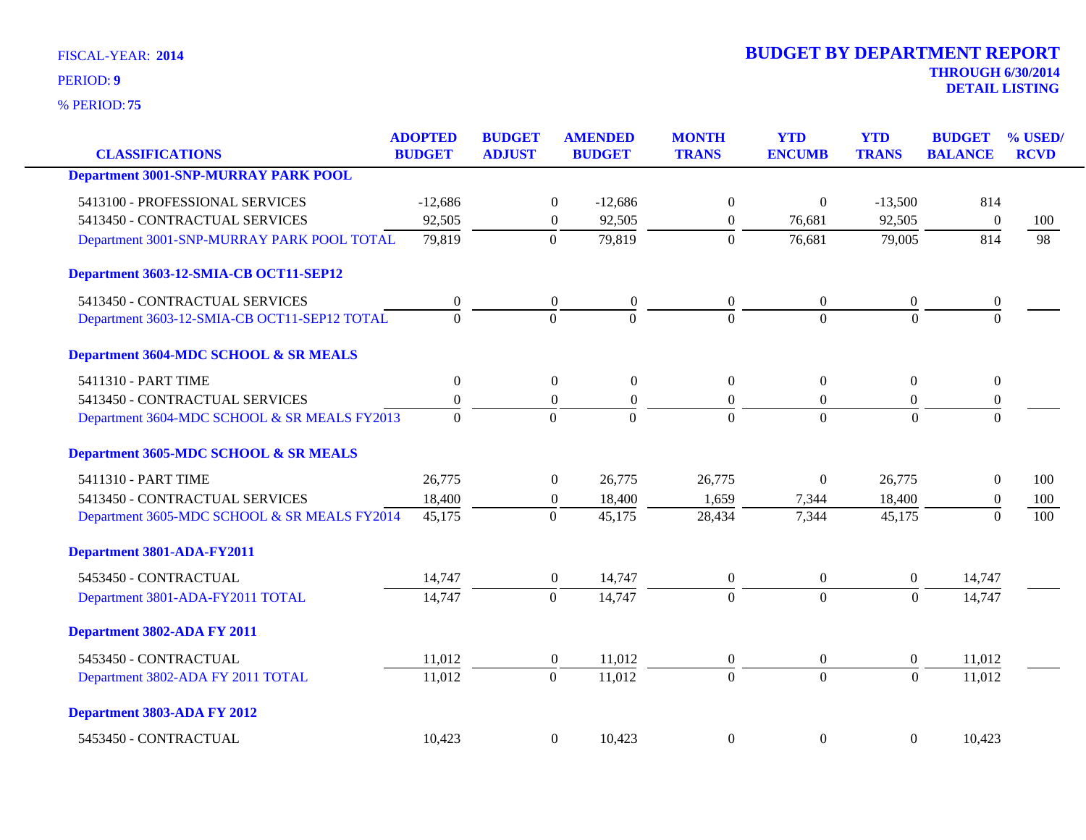**75** % PERIOD:

# **THROUGH 6/30/2014 DETAIL LISTING** PERIOD: **<sup>9</sup> 2014 BUDGET BY DEPARTMENT REPORT**

| <b>CLASSIFICATIONS</b>                       | <b>ADOPTED</b><br><b>BUDGET</b> | <b>BUDGET</b><br><b>ADJUST</b> | <b>AMENDED</b><br><b>BUDGET</b>      | <b>MONTH</b><br><b>TRANS</b> | <b>YTD</b><br><b>ENCUMB</b> | <b>YTD</b><br><b>TRANS</b> | <b>BUDGET</b><br><b>BALANCE</b> | % USED/<br><b>RCVD</b> |
|----------------------------------------------|---------------------------------|--------------------------------|--------------------------------------|------------------------------|-----------------------------|----------------------------|---------------------------------|------------------------|
|                                              |                                 |                                |                                      |                              |                             |                            |                                 |                        |
| <b>Department 3001-SNP-MURRAY PARK POOL</b>  |                                 |                                |                                      |                              |                             |                            |                                 |                        |
| 5413100 - PROFESSIONAL SERVICES              | $-12,686$                       |                                | $\boldsymbol{0}$<br>$-12,686$        | $\boldsymbol{0}$             | $\boldsymbol{0}$            | $-13,500$                  | 814                             |                        |
| 5413450 - CONTRACTUAL SERVICES               | 92,505                          |                                | 92,505<br>$\overline{0}$             | $\theta$                     | 76,681                      | 92,505                     | $\overline{0}$                  | 100                    |
| Department 3001-SNP-MURRAY PARK POOL TOTAL   | 79,819                          |                                | 79,819<br>$\theta$                   | $\Omega$                     | 76,681                      | 79,005                     | 814                             | 98                     |
| Department 3603-12-SMIA-CB OCT11-SEP12       |                                 |                                |                                      |                              |                             |                            |                                 |                        |
| 5413450 - CONTRACTUAL SERVICES               | $\boldsymbol{0}$                |                                | $\boldsymbol{0}$<br>$\boldsymbol{0}$ | $\overline{0}$               | $\boldsymbol{0}$            | $\boldsymbol{0}$           | $\boldsymbol{0}$                |                        |
| Department 3603-12-SMIA-CB OCT11-SEP12 TOTAL | $\Omega$                        |                                | $\Omega$<br>$\Omega$                 | $\Omega$                     | $\theta$                    | $\Omega$                   | $\Omega$                        |                        |
| Department 3604-MDC SCHOOL & SR MEALS        |                                 |                                |                                      |                              |                             |                            |                                 |                        |
| 5411310 - PART TIME                          | $\boldsymbol{0}$                |                                | $\overline{0}$<br>$\overline{0}$     | $\overline{0}$               | $\theta$                    | $\boldsymbol{0}$           | $\overline{0}$                  |                        |
| 5413450 - CONTRACTUAL SERVICES               | $\boldsymbol{0}$                |                                | $\boldsymbol{0}$<br>$\boldsymbol{0}$ | $\boldsymbol{0}$             | $\mathbf{0}$                | $\boldsymbol{0}$           | $\boldsymbol{0}$                |                        |
| Department 3604-MDC SCHOOL & SR MEALS FY2013 | $\Omega$                        |                                | $\Omega$<br>$\Omega$                 | $\Omega$                     | $\theta$                    | $\Omega$                   | $\Omega$                        |                        |
| Department 3605-MDC SCHOOL & SR MEALS        |                                 |                                |                                      |                              |                             |                            |                                 |                        |
| 5411310 - PART TIME                          | 26,775                          |                                | 26,775<br>$\theta$                   | 26,775                       | $\theta$                    | 26,775                     | $\overline{0}$                  | 100                    |
| 5413450 - CONTRACTUAL SERVICES               | 18,400                          |                                | 18,400<br>$\boldsymbol{0}$           | 1,659                        | 7,344                       | 18,400                     | $\theta$                        | 100                    |
| Department 3605-MDC SCHOOL & SR MEALS FY2014 | 45,175                          |                                | $\mathbf{0}$<br>45,175               | 28,434                       | 7,344                       | 45,175                     | $\theta$                        | 100                    |
| Department 3801-ADA-FY2011                   |                                 |                                |                                      |                              |                             |                            |                                 |                        |
| 5453450 - CONTRACTUAL                        | 14,747                          |                                | 14,747<br>$\overline{0}$             | $\overline{0}$               | $\boldsymbol{0}$            | $\overline{0}$             | 14,747                          |                        |
| Department 3801-ADA-FY2011 TOTAL             | 14,747                          |                                | $\overline{0}$<br>14,747             | $\Omega$                     | $\theta$                    | $\theta$                   | 14,747                          |                        |
| Department 3802-ADA FY 2011                  |                                 |                                |                                      |                              |                             |                            |                                 |                        |
| 5453450 - CONTRACTUAL                        | 11,012                          |                                | 11,012<br>$\overline{0}$             | $\boldsymbol{0}$             | $\boldsymbol{0}$            | $\mathbf{0}$               | 11,012                          |                        |
| Department 3802-ADA FY 2011 TOTAL            | 11,012                          |                                | 11,012<br>$\theta$                   | $\Omega$                     | $\overline{0}$              | $\Omega$                   | 11,012                          |                        |
| Department 3803-ADA FY 2012                  |                                 |                                |                                      |                              |                             |                            |                                 |                        |
| 5453450 - CONTRACTUAL                        | 10,423                          |                                | $\boldsymbol{0}$<br>10,423           | $\Omega$                     | $\boldsymbol{0}$            | $\boldsymbol{0}$           | 10,423                          |                        |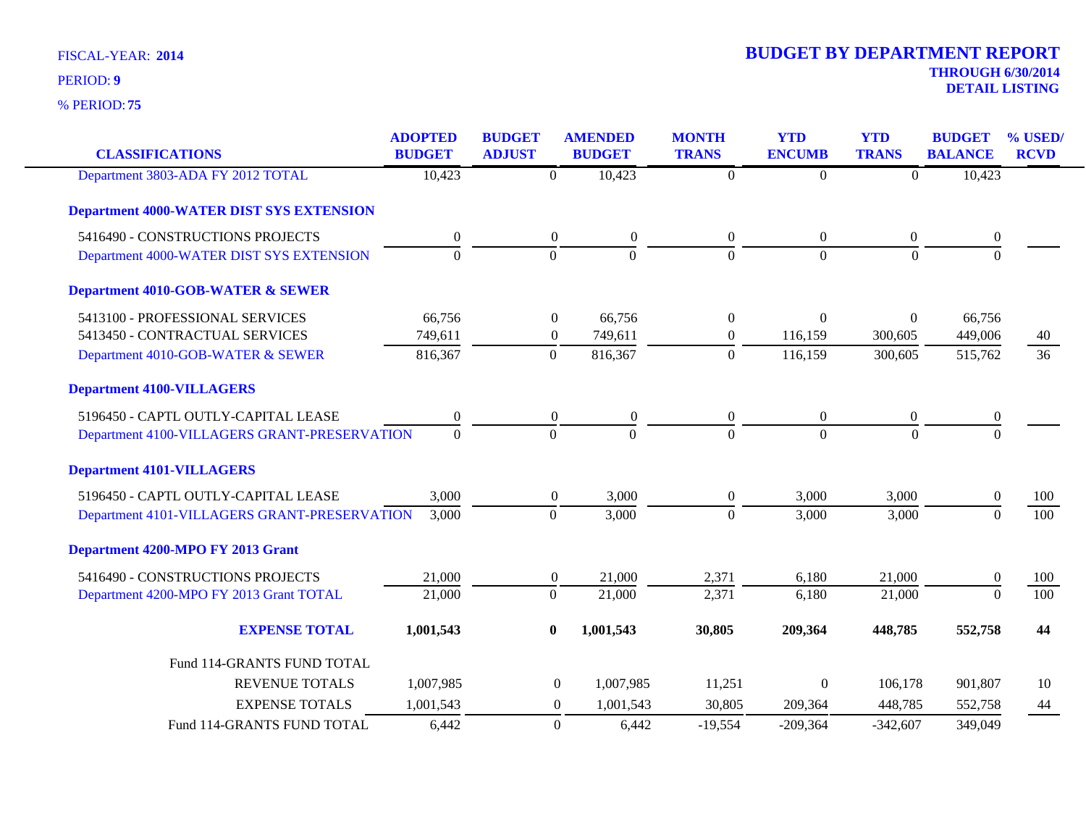| <b>CLASSIFICATIONS</b>                          | <b>ADOPTED</b><br><b>BUDGET</b> | <b>BUDGET</b><br><b>ADJUST</b> | <b>AMENDED</b><br><b>BUDGET</b> | <b>MONTH</b><br><b>TRANS</b> | <b>YTD</b><br><b>ENCUMB</b> | <b>YTD</b><br><b>TRANS</b> | <b>BUDGET</b><br><b>BALANCE</b> | % USED/<br><b>RCVD</b> |
|-------------------------------------------------|---------------------------------|--------------------------------|---------------------------------|------------------------------|-----------------------------|----------------------------|---------------------------------|------------------------|
|                                                 |                                 |                                |                                 |                              |                             |                            |                                 |                        |
| Department 3803-ADA FY 2012 TOTAL               | 10,423                          | $\mathbf{0}$                   | 10,423                          | $\overline{0}$               | $\boldsymbol{0}$            | $\overline{0}$             | 10,423                          |                        |
| <b>Department 4000-WATER DIST SYS EXTENSION</b> |                                 |                                |                                 |                              |                             |                            |                                 |                        |
| 5416490 - CONSTRUCTIONS PROJECTS                | $\boldsymbol{0}$                | $\boldsymbol{0}$               | $\boldsymbol{0}$                | $\overline{0}$               | $\overline{0}$              | $\overline{0}$             | $\boldsymbol{0}$                |                        |
| Department 4000-WATER DIST SYS EXTENSION        | $\overline{0}$                  | $\overline{0}$                 | $\mathbf{0}$                    | $\overline{0}$               | $\overline{0}$              | $\mathbf{0}$               | $\overline{0}$                  |                        |
| <b>Department 4010-GOB-WATER &amp; SEWER</b>    |                                 |                                |                                 |                              |                             |                            |                                 |                        |
| 5413100 - PROFESSIONAL SERVICES                 | 66,756                          | $\boldsymbol{0}$               | 66,756                          | $\theta$                     | $\Omega$                    | $\overline{0}$             | 66,756                          |                        |
| 5413450 - CONTRACTUAL SERVICES                  | 749,611                         | $\boldsymbol{0}$               | 749,611                         | $\boldsymbol{0}$             | 116,159                     | 300,605                    | 449,006                         | 40                     |
| Department 4010-GOB-WATER & SEWER               | 816,367                         | $\mathbf{0}$                   | 816,367                         | $\mathbf{0}$                 | 116,159                     | 300,605                    | 515,762                         | 36                     |
| <b>Department 4100-VILLAGERS</b>                |                                 |                                |                                 |                              |                             |                            |                                 |                        |
| 5196450 - CAPTL OUTLY-CAPITAL LEASE             | $\boldsymbol{0}$                | $\boldsymbol{0}$               | $\boldsymbol{0}$                | $\boldsymbol{0}$             | $\mathbf{0}$                | $\boldsymbol{0}$           | $\boldsymbol{0}$                |                        |
| Department 4100-VILLAGERS GRANT-PRESERVATION    | $\mathbf{0}$                    | $\mathbf{0}$                   | $\Omega$                        | $\Omega$                     | $\Omega$                    | $\theta$                   | $\theta$                        |                        |
| <b>Department 4101-VILLAGERS</b>                |                                 |                                |                                 |                              |                             |                            |                                 |                        |
| 5196450 - CAPTL OUTLY-CAPITAL LEASE             | 3,000                           | $\boldsymbol{0}$               | 3,000                           | $\overline{0}$               | 3,000                       | 3,000                      | $\theta$                        | 100                    |
| Department 4101-VILLAGERS GRANT-PRESERVATION    | 3,000                           | $\boldsymbol{0}$               | 3,000                           | $\mathbf{0}$                 | 3,000                       | 3,000                      | $\mathbf{0}$                    | 100                    |
| Department 4200-MPO FY 2013 Grant               |                                 |                                |                                 |                              |                             |                            |                                 |                        |
| 5416490 - CONSTRUCTIONS PROJECTS                | 21,000                          | $\boldsymbol{0}$               | 21,000                          | 2,371                        | 6,180                       | 21,000                     | $\theta$                        | 100                    |
| Department 4200-MPO FY 2013 Grant TOTAL         | 21,000                          | $\mathbf{0}$                   | 21,000                          | 2,371                        | 6,180                       | 21,000                     | $\overline{0}$                  | $\overline{100}$       |
| <b>EXPENSE TOTAL</b>                            | 1,001,543                       | $\bf{0}$                       | 1,001,543                       | 30,805                       | 209,364                     | 448,785                    | 552,758                         | 44                     |
| Fund 114-GRANTS FUND TOTAL                      |                                 |                                |                                 |                              |                             |                            |                                 |                        |
| <b>REVENUE TOTALS</b>                           | 1,007,985                       |                                | $\overline{0}$<br>1,007,985     | 11,251                       | $\theta$                    | 106,178                    | 901,807                         | 10                     |
| <b>EXPENSE TOTALS</b>                           | 1,001,543                       |                                | $\overline{0}$<br>1,001,543     | 30,805                       | 209,364                     | 448,785                    | 552,758                         | 44                     |
| Fund 114-GRANTS FUND TOTAL                      | 6,442                           |                                | $\theta$<br>6,442               | $-19,554$                    | $-209,364$                  | $-342,607$                 | 349,049                         |                        |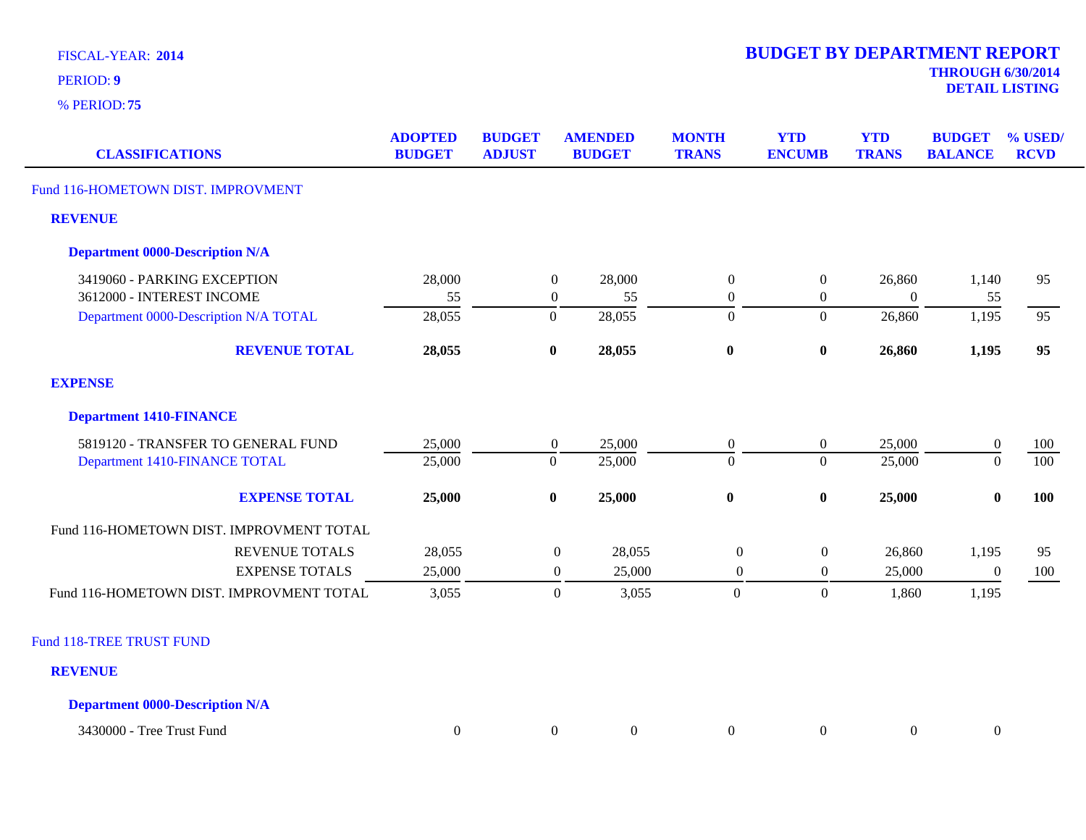**75** % PERIOD:

**THROUGH 6/30/2014 DETAIL LISTING** PERIOD: **<sup>9</sup>**

| <b>CLASSIFICATIONS</b>                   | <b>ADOPTED</b><br><b>BUDGET</b> | <b>BUDGET</b><br><b>ADJUST</b> | <b>AMENDED</b>   | <b>BUDGET</b>    | <b>MONTH</b><br><b>TRANS</b> | <b>YTD</b><br><b>ENCUMB</b> | <b>YTD</b><br><b>TRANS</b> | <b>BUDGET</b><br><b>BALANCE</b> | % USED/<br><b>RCVD</b> |
|------------------------------------------|---------------------------------|--------------------------------|------------------|------------------|------------------------------|-----------------------------|----------------------------|---------------------------------|------------------------|
| Fund 116-HOMETOWN DIST. IMPROVMENT       |                                 |                                |                  |                  |                              |                             |                            |                                 |                        |
| <b>REVENUE</b>                           |                                 |                                |                  |                  |                              |                             |                            |                                 |                        |
| <b>Department 0000-Description N/A</b>   |                                 |                                |                  |                  |                              |                             |                            |                                 |                        |
| 3419060 - PARKING EXCEPTION              | 28,000                          |                                | $\boldsymbol{0}$ | 28,000           | $\boldsymbol{0}$             | $\boldsymbol{0}$            | 26,860                     | 1,140                           | 95                     |
| 3612000 - INTEREST INCOME                | 55                              |                                | $\boldsymbol{0}$ | 55               | $\boldsymbol{0}$             | $\boldsymbol{0}$            | $\boldsymbol{0}$           | 55                              |                        |
| Department 0000-Description N/A TOTAL    | 28,055                          |                                | $\overline{0}$   | 28,055           | $\theta$                     | $\overline{0}$              | 26,860                     | 1,195                           | 95                     |
| <b>REVENUE TOTAL</b>                     | 28,055                          |                                | $\bf{0}$         | 28,055           | $\bf{0}$                     | $\pmb{0}$                   | 26,860                     | 1,195                           | 95                     |
| <b>EXPENSE</b>                           |                                 |                                |                  |                  |                              |                             |                            |                                 |                        |
| <b>Department 1410-FINANCE</b>           |                                 |                                |                  |                  |                              |                             |                            |                                 |                        |
| 5819120 - TRANSFER TO GENERAL FUND       | 25,000                          |                                | $\boldsymbol{0}$ | 25,000           | $\mathbf{0}$                 | $\boldsymbol{0}$            | 25,000                     | $\boldsymbol{0}$                | 100                    |
| Department 1410-FINANCE TOTAL            | 25,000                          |                                | $\mathbf{0}$     | 25,000           | $\theta$                     | $\overline{0}$              | 25,000                     | $\overline{0}$                  | 100                    |
| <b>EXPENSE TOTAL</b>                     | 25,000                          |                                | $\bf{0}$         | 25,000           | $\bf{0}$                     | $\pmb{0}$                   | 25,000                     | $\bf{0}$                        | <b>100</b>             |
| Fund 116-HOMETOWN DIST. IMPROVMENT TOTAL |                                 |                                |                  |                  |                              |                             |                            |                                 |                        |
| <b>REVENUE TOTALS</b>                    | 28,055                          |                                | $\boldsymbol{0}$ | 28,055           | $\overline{0}$               | $\boldsymbol{0}$            | 26,860                     | 1,195                           | 95                     |
| <b>EXPENSE TOTALS</b>                    | 25,000                          |                                | $\mathbf{0}$     | 25,000           | $\boldsymbol{0}$             | $\boldsymbol{0}$            | 25,000                     | $\boldsymbol{0}$                | 100                    |
| Fund 116-HOMETOWN DIST. IMPROVMENT TOTAL | 3,055                           |                                | $\mathbf{0}$     | 3,055            | $\mathbf{0}$                 | $\boldsymbol{0}$            | 1,860                      | 1,195                           |                        |
| Fund 118-TREE TRUST FUND                 |                                 |                                |                  |                  |                              |                             |                            |                                 |                        |
| <b>REVENUE</b>                           |                                 |                                |                  |                  |                              |                             |                            |                                 |                        |
| <b>Department 0000-Description N/A</b>   |                                 |                                |                  |                  |                              |                             |                            |                                 |                        |
| 3430000 - Tree Trust Fund                | $\boldsymbol{0}$                |                                | $\overline{0}$   | $\boldsymbol{0}$ | $\overline{0}$               | $\boldsymbol{0}$            | $\boldsymbol{0}$           | $\mathbf{0}$                    |                        |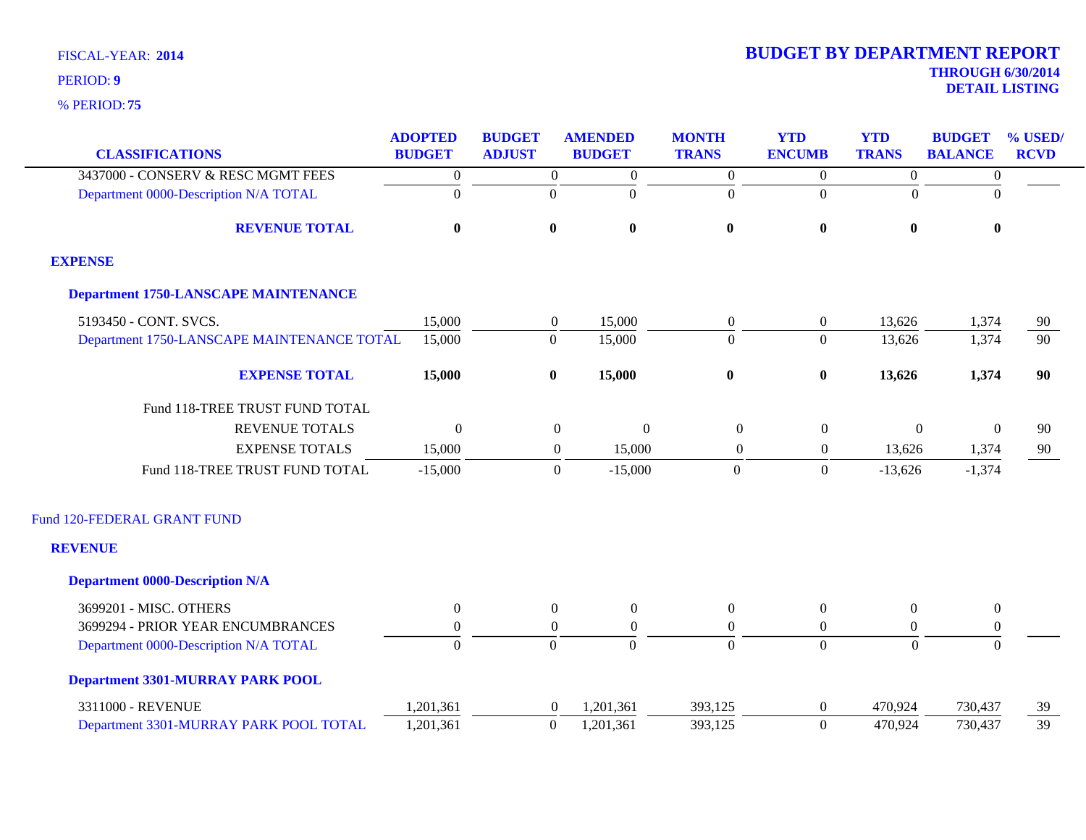|                                             | <b>ADOPTED</b>   | <b>BUDGET</b>    | <b>AMENDED</b>   | <b>MONTH</b>     | <b>YTD</b>       | <b>YTD</b>       | <b>BUDGET</b>    | % USED/         |
|---------------------------------------------|------------------|------------------|------------------|------------------|------------------|------------------|------------------|-----------------|
| <b>CLASSIFICATIONS</b>                      | <b>BUDGET</b>    | <b>ADJUST</b>    | <b>BUDGET</b>    | <b>TRANS</b>     | <b>ENCUMB</b>    | <b>TRANS</b>     | <b>BALANCE</b>   | <b>RCVD</b>     |
| 3437000 - CONSERV & RESC MGMT FEES          | $\boldsymbol{0}$ | $\overline{0}$   | $\boldsymbol{0}$ | $\overline{0}$   | $\overline{0}$   | $\boldsymbol{0}$ | $\boldsymbol{0}$ |                 |
| Department 0000-Description N/A TOTAL       | $\overline{0}$   | $\Omega$         | $\boldsymbol{0}$ | $\boldsymbol{0}$ | $\boldsymbol{0}$ | $\theta$         | $\overline{0}$   |                 |
| <b>REVENUE TOTAL</b>                        | $\bf{0}$         | $\bf{0}$         | $\bf{0}$         | $\bf{0}$         | $\boldsymbol{0}$ | $\bf{0}$         | $\bf{0}$         |                 |
| <b>EXPENSE</b>                              |                  |                  |                  |                  |                  |                  |                  |                 |
| <b>Department 1750-LANSCAPE MAINTENANCE</b> |                  |                  |                  |                  |                  |                  |                  |                 |
| 5193450 - CONT. SVCS.                       | 15,000           | $\boldsymbol{0}$ | 15,000           | $\boldsymbol{0}$ | $\boldsymbol{0}$ | 13,626           | 1,374            | 90              |
| Department 1750-LANSCAPE MAINTENANCE TOTAL  | 15,000           | $\mathbf{0}$     | 15,000           | $\Omega$         | $\overline{0}$   | 13,626           | 1,374            | $\overline{90}$ |
| <b>EXPENSE TOTAL</b>                        | 15,000           | $\bf{0}$         | 15,000           | $\bf{0}$         | $\bf{0}$         | 13,626           | 1,374            | 90              |
| Fund 118-TREE TRUST FUND TOTAL              |                  |                  |                  |                  |                  |                  |                  |                 |
| <b>REVENUE TOTALS</b>                       | $\theta$         | $\boldsymbol{0}$ | $\boldsymbol{0}$ | $\overline{0}$   | $\boldsymbol{0}$ | $\overline{0}$   | $\theta$         | 90              |
| <b>EXPENSE TOTALS</b>                       | 15,000           | $\boldsymbol{0}$ | 15,000           | $\overline{0}$   | $\boldsymbol{0}$ | 13,626           | 1,374            | 90              |
| Fund 118-TREE TRUST FUND TOTAL              | $-15,000$        | $\boldsymbol{0}$ | $-15,000$        | $\boldsymbol{0}$ | $\boldsymbol{0}$ | $-13,626$        | $-1,374$         |                 |
| Fund 120-FEDERAL GRANT FUND                 |                  |                  |                  |                  |                  |                  |                  |                 |
| <b>REVENUE</b>                              |                  |                  |                  |                  |                  |                  |                  |                 |
| <b>Department 0000-Description N/A</b>      |                  |                  |                  |                  |                  |                  |                  |                 |
| 3699201 - MISC. OTHERS                      | $\overline{0}$   | $\overline{0}$   | $\overline{0}$   | $\boldsymbol{0}$ | $\boldsymbol{0}$ | $\theta$         | $\boldsymbol{0}$ |                 |
| 3699294 - PRIOR YEAR ENCUMBRANCES           | $\overline{0}$   | $\theta$         | $\overline{0}$   | $\Omega$         | $\boldsymbol{0}$ | $\Omega$         | $\boldsymbol{0}$ |                 |
| Department 0000-Description N/A TOTAL       | $\overline{0}$   | $\overline{0}$   | $\overline{0}$   | $\mathbf{0}$     | $\overline{0}$   | $\overline{0}$   | $\mathbf{0}$     |                 |
| <b>Department 3301-MURRAY PARK POOL</b>     |                  |                  |                  |                  |                  |                  |                  |                 |
| 3311000 - REVENUE                           | 1,201,361        | $\overline{0}$   | 1,201,361        | 393,125          | $\boldsymbol{0}$ | 470,924          | 730,437          | 39              |
| Department 3301-MURRAY PARK POOL TOTAL      | 1,201,361        | $\boldsymbol{0}$ | 1,201,361        | 393,125          | $\mathbf{0}$     | 470,924          | 730,437          | 39              |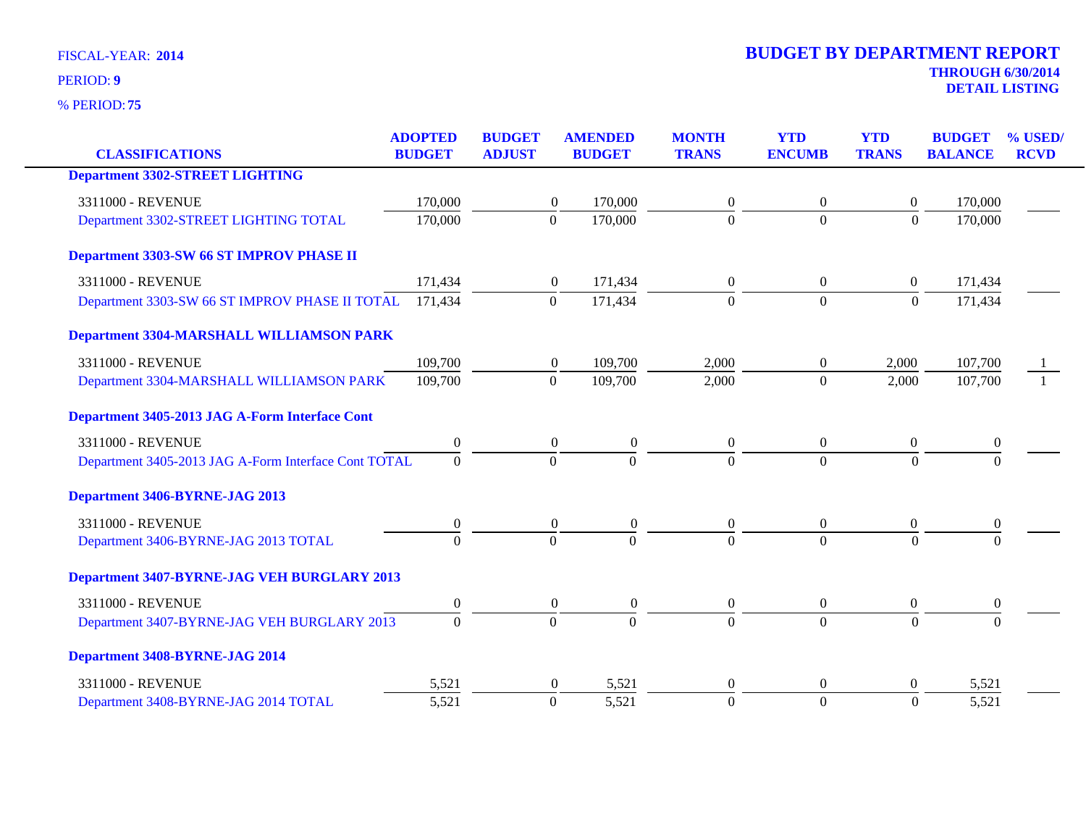|                                                      | <b>ADOPTED</b>   | <b>BUDGET</b>    | <b>AMENDED</b>   | <b>MONTH</b>     | <b>YTD</b>       | <b>YTD</b>       | <b>BUDGET</b>    | % USED/     |
|------------------------------------------------------|------------------|------------------|------------------|------------------|------------------|------------------|------------------|-------------|
| <b>CLASSIFICATIONS</b>                               | <b>BUDGET</b>    | <b>ADJUST</b>    | <b>BUDGET</b>    | <b>TRANS</b>     | <b>ENCUMB</b>    | <b>TRANS</b>     | <b>BALANCE</b>   | <b>RCVD</b> |
| <b>Department 3302-STREET LIGHTING</b>               |                  |                  |                  |                  |                  |                  |                  |             |
| 3311000 - REVENUE                                    | 170,000          | $\boldsymbol{0}$ | 170,000          | $\overline{0}$   | $\boldsymbol{0}$ | $\mathbf{0}$     | 170,000          |             |
| Department 3302-STREET LIGHTING TOTAL                | 170,000          | $\mathbf{0}$     | 170,000          | $\Omega$         | $\overline{0}$   | $\Omega$         | 170,000          |             |
| Department 3303-SW 66 ST IMPROV PHASE II             |                  |                  |                  |                  |                  |                  |                  |             |
| 3311000 - REVENUE                                    | 171,434          | $\mathbf{0}$     | 171,434          | $\overline{0}$   | $\mathbf{0}$     | $\overline{0}$   | 171,434          |             |
| Department 3303-SW 66 ST IMPROV PHASE II TOTAL       | 171,434          | $\boldsymbol{0}$ | 171,434          | $\overline{0}$   | $\boldsymbol{0}$ | $\boldsymbol{0}$ | 171,434          |             |
| <b>Department 3304-MARSHALL WILLIAMSON PARK</b>      |                  |                  |                  |                  |                  |                  |                  |             |
| 3311000 - REVENUE                                    | 109,700          | $\boldsymbol{0}$ | 109,700          | 2,000            | $\overline{0}$   | 2,000            | 107,700          |             |
| Department 3304-MARSHALL WILLIAMSON PARK             | 109,700          | $\boldsymbol{0}$ | 109,700          | 2,000            | $\overline{0}$   | 2,000            | 107,700          |             |
| Department 3405-2013 JAG A-Form Interface Cont       |                  |                  |                  |                  |                  |                  |                  |             |
| 3311000 - REVENUE                                    | $\boldsymbol{0}$ | $\boldsymbol{0}$ | $\boldsymbol{0}$ | $\overline{0}$   | $\mathbf{0}$     | $\mathbf{0}$     | $\boldsymbol{0}$ |             |
| Department 3405-2013 JAG A-Form Interface Cont TOTAL | $\mathbf{0}$     | $\Omega$         | $\mathbf{0}$     | $\Omega$         | $\Omega$         | $\overline{0}$   | $\Omega$         |             |
| Department 3406-BYRNE-JAG 2013                       |                  |                  |                  |                  |                  |                  |                  |             |
| 3311000 - REVENUE                                    | $\boldsymbol{0}$ | $\boldsymbol{0}$ | $\boldsymbol{0}$ | $\boldsymbol{0}$ | $\boldsymbol{0}$ | $\boldsymbol{0}$ | $\boldsymbol{0}$ |             |
| Department 3406-BYRNE-JAG 2013 TOTAL                 | $\Omega$         | $\Omega$         | $\Omega$         | $\Omega$         | $\Omega$         | $\Omega$         | $\Omega$         |             |
| Department 3407-BYRNE-JAG VEH BURGLARY 2013          |                  |                  |                  |                  |                  |                  |                  |             |
| 3311000 - REVENUE                                    | $\boldsymbol{0}$ | $\boldsymbol{0}$ | $\boldsymbol{0}$ | $\boldsymbol{0}$ | $\mathbf{0}$     | $\boldsymbol{0}$ | $\boldsymbol{0}$ |             |
| Department 3407-BYRNE-JAG VEH BURGLARY 2013          | $\Omega$         | $\Omega$         | $\theta$         | $\Omega$         | $\theta$         | $\Omega$         | $\Omega$         |             |
| Department 3408-BYRNE-JAG 2014                       |                  |                  |                  |                  |                  |                  |                  |             |
| 3311000 - REVENUE                                    | 5,521            | $\theta$         | 5,521            | $\mathbf{0}$     | $\theta$         | $\theta$         | 5,521            |             |
| Department 3408-BYRNE-JAG 2014 TOTAL                 | 5,521            | $\mathbf{0}$     | 5,521            | $\overline{0}$   | $\overline{0}$   | $\overline{0}$   | 5,521            |             |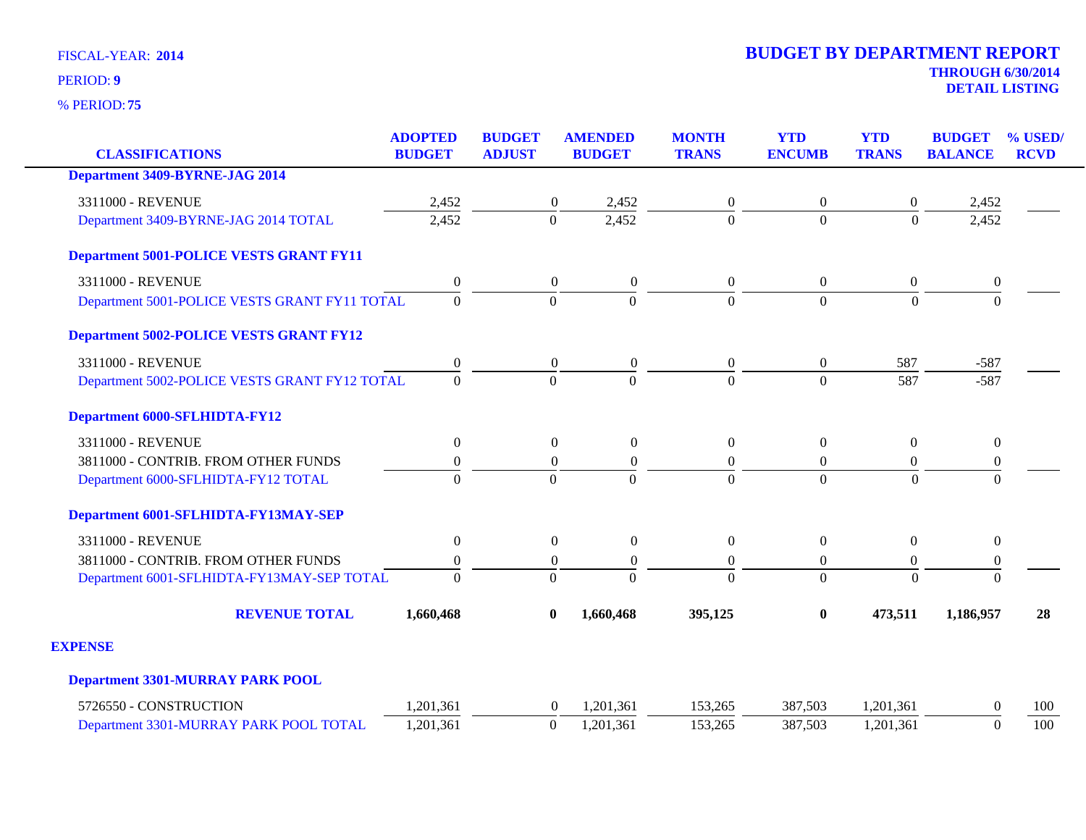**75** % PERIOD:

**DETAIL LISTING** PERIOD: **<sup>9</sup>**

|                                                | <b>ADOPTED</b>   | <b>BUDGET</b>    | <b>AMENDED</b>                       | <b>MONTH</b>     | <b>YTD</b>       | <b>YTD</b>       | <b>BUDGET</b>    | % USED/     |
|------------------------------------------------|------------------|------------------|--------------------------------------|------------------|------------------|------------------|------------------|-------------|
| <b>CLASSIFICATIONS</b>                         | <b>BUDGET</b>    | <b>ADJUST</b>    | <b>BUDGET</b>                        | <b>TRANS</b>     | <b>ENCUMB</b>    | <b>TRANS</b>     | <b>BALANCE</b>   | <b>RCVD</b> |
| <b>Department 3409-BYRNE-JAG 2014</b>          |                  |                  |                                      |                  |                  |                  |                  |             |
| 3311000 - REVENUE                              | 2,452            |                  | 2,452<br>$\boldsymbol{0}$            | $\boldsymbol{0}$ | $\overline{0}$   | $\boldsymbol{0}$ | 2,452            |             |
| Department 3409-BYRNE-JAG 2014 TOTAL           | 2,452            | $\mathbf{0}$     | 2,452                                | $\overline{0}$   | $\overline{0}$   | $\overline{0}$   | 2,452            |             |
| <b>Department 5001-POLICE VESTS GRANT FY11</b> |                  |                  |                                      |                  |                  |                  |                  |             |
| 3311000 - REVENUE                              | $\boldsymbol{0}$ |                  | $\overline{0}$<br>$\boldsymbol{0}$   | $\boldsymbol{0}$ | $\overline{0}$   | $\boldsymbol{0}$ | $\boldsymbol{0}$ |             |
| Department 5001-POLICE VESTS GRANT FY11 TOTAL  | $\Omega$         | $\Omega$         | $\Omega$                             | $\Omega$         | $\Omega$         | $\Omega$         | $\Omega$         |             |
| <b>Department 5002-POLICE VESTS GRANT FY12</b> |                  |                  |                                      |                  |                  |                  |                  |             |
| 3311000 - REVENUE                              | $\boldsymbol{0}$ |                  | $\boldsymbol{0}$<br>$\boldsymbol{0}$ | $\boldsymbol{0}$ | $\boldsymbol{0}$ | 587              | $-587$           |             |
| Department 5002-POLICE VESTS GRANT FY12 TOTAL  | $\Omega$         | $\Omega$         | $\Omega$                             | $\Omega$         | $\Omega$         | 587              | $-587$           |             |
| <b>Department 6000-SFLHIDTA-FY12</b>           |                  |                  |                                      |                  |                  |                  |                  |             |
| 3311000 - REVENUE                              | $\boldsymbol{0}$ |                  | $\boldsymbol{0}$<br>$\boldsymbol{0}$ | $\boldsymbol{0}$ | $\boldsymbol{0}$ | $\boldsymbol{0}$ | $\boldsymbol{0}$ |             |
| 3811000 - CONTRIB. FROM OTHER FUNDS            | $\boldsymbol{0}$ |                  | $\boldsymbol{0}$<br>$\mathbf{0}$     | $\boldsymbol{0}$ | $\overline{0}$   | $\boldsymbol{0}$ | $\boldsymbol{0}$ |             |
| Department 6000-SFLHIDTA-FY12 TOTAL            | $\overline{0}$   | $\theta$         | $\Omega$                             | $\theta$         | $\Omega$         | $\theta$         | $\Omega$         |             |
| Department 6001-SFLHIDTA-FY13MAY-SEP           |                  |                  |                                      |                  |                  |                  |                  |             |
| 3311000 - REVENUE                              | $\boldsymbol{0}$ |                  | $\boldsymbol{0}$<br>$\boldsymbol{0}$ | $\boldsymbol{0}$ | $\boldsymbol{0}$ | $\boldsymbol{0}$ | $\boldsymbol{0}$ |             |
| 3811000 - CONTRIB. FROM OTHER FUNDS            | $\boldsymbol{0}$ |                  | $\overline{0}$<br>$\mathbf{0}$       | $\boldsymbol{0}$ | $\overline{0}$   | $\mathbf{0}$     | $\boldsymbol{0}$ |             |
| Department 6001-SFLHIDTA-FY13MAY-SEP TOTAL     | $\Omega$         | $\theta$         | $\Omega$                             | $\theta$         | $\Omega$         | $\theta$         | $\theta$         |             |
| <b>REVENUE TOTAL</b>                           | 1,660,468        | $\boldsymbol{0}$ | 1,660,468                            | 395,125          | $\bf{0}$         | 473,511          | 1,186,957        | 28          |
| <b>EXPENSE</b>                                 |                  |                  |                                      |                  |                  |                  |                  |             |
| <b>Department 3301-MURRAY PARK POOL</b>        |                  |                  |                                      |                  |                  |                  |                  |             |
| 5726550 - CONSTRUCTION                         | 1,201,361        |                  | 1,201,361<br>$\theta$                | 153,265          | 387,503          | 1,201,361        | $\Omega$         | 100         |
| Department 3301-MURRAY PARK POOL TOTAL         | 1,201,361        | $\boldsymbol{0}$ | 1,201,361                            | 153,265          | 387,503          | 1,201,361        | $\mathbf{0}$     | 100         |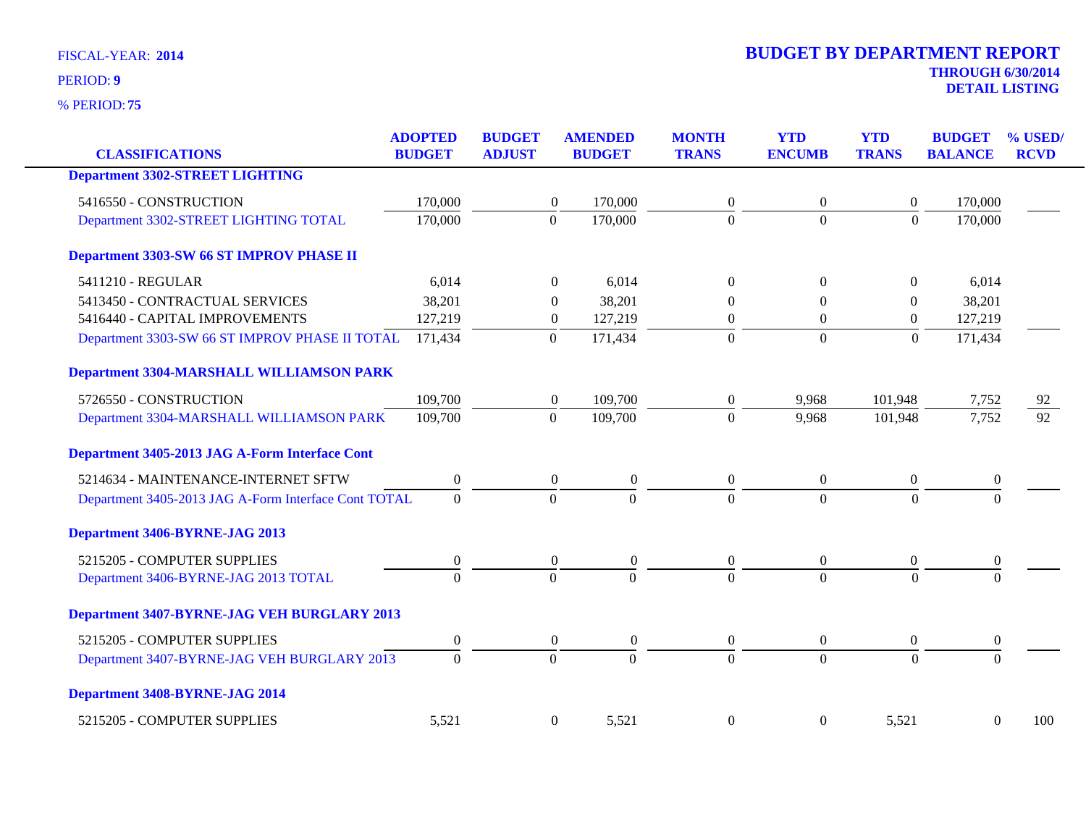| <b>CLASSIFICATIONS</b>                               | <b>ADOPTED</b><br><b>BUDGET</b> | <b>BUDGET</b><br><b>ADJUST</b> | <b>AMENDED</b><br><b>BUDGET</b>      | <b>MONTH</b><br><b>TRANS</b> | <b>YTD</b><br><b>ENCUMB</b> | <b>YTD</b><br><b>TRANS</b> | <b>BUDGET</b><br><b>BALANCE</b> | % USED/<br><b>RCVD</b> |
|------------------------------------------------------|---------------------------------|--------------------------------|--------------------------------------|------------------------------|-----------------------------|----------------------------|---------------------------------|------------------------|
| <b>Department 3302-STREET LIGHTING</b>               |                                 |                                |                                      |                              |                             |                            |                                 |                        |
| 5416550 - CONSTRUCTION                               | 170,000                         |                                | 170,000<br>$\boldsymbol{0}$          | $\boldsymbol{0}$             | $\boldsymbol{0}$            | $\boldsymbol{0}$           | 170,000                         |                        |
| Department 3302-STREET LIGHTING TOTAL                | 170,000                         | $\mathbf{0}$                   | 170,000                              | $\Omega$                     | $\overline{0}$              | $\Omega$                   | 170,000                         |                        |
| Department 3303-SW 66 ST IMPROV PHASE II             |                                 |                                |                                      |                              |                             |                            |                                 |                        |
| 5411210 - REGULAR                                    | 6,014                           |                                | $\Omega$<br>6,014                    | $\Omega$                     | $\Omega$                    | $\overline{0}$             | 6,014                           |                        |
| 5413450 - CONTRACTUAL SERVICES                       | 38,201                          |                                | 38,201<br>0                          | $\theta$                     | 0                           | $\boldsymbol{0}$           | 38,201                          |                        |
| 5416440 - CAPITAL IMPROVEMENTS                       | 127,219                         |                                | 127,219<br>$\boldsymbol{0}$          | $\mathbf{0}$                 | $\overline{0}$              | $\boldsymbol{0}$           | 127,219                         |                        |
| Department 3303-SW 66 ST IMPROV PHASE II TOTAL       | 171,434                         | $\mathbf{0}$                   | 171,434                              | $\boldsymbol{0}$             | $\boldsymbol{0}$            | $\boldsymbol{0}$           | 171,434                         |                        |
| Department 3304-MARSHALL WILLIAMSON PARK             |                                 |                                |                                      |                              |                             |                            |                                 |                        |
| 5726550 - CONSTRUCTION                               | 109,700                         |                                | 109,700<br>$\boldsymbol{0}$          | $\boldsymbol{0}$             | 9,968                       | 101,948                    | 7,752                           | 92                     |
| Department 3304-MARSHALL WILLIAMSON PARK             | 109,700                         | $\overline{0}$                 | 109,700                              | $\Omega$                     | 9,968                       | 101,948                    | 7,752                           | $\overline{92}$        |
| Department 3405-2013 JAG A-Form Interface Cont       |                                 |                                |                                      |                              |                             |                            |                                 |                        |
| 5214634 - MAINTENANCE-INTERNET SFTW                  | 0                               |                                | $\overline{0}$<br>$\boldsymbol{0}$   | $\overline{0}$               | $\overline{0}$              | $\overline{0}$             | 0                               |                        |
| Department 3405-2013 JAG A-Form Interface Cont TOTAL | $\boldsymbol{0}$                | $\boldsymbol{0}$               | $\boldsymbol{0}$                     | $\overline{0}$               | $\overline{0}$              | $\overline{0}$             | $\overline{0}$                  |                        |
| Department 3406-BYRNE-JAG 2013                       |                                 |                                |                                      |                              |                             |                            |                                 |                        |
| 5215205 - COMPUTER SUPPLIES                          | 0                               |                                | $\boldsymbol{0}$<br>$\boldsymbol{0}$ | $\boldsymbol{0}$             | $\overline{0}$              | $\boldsymbol{0}$           | $\boldsymbol{0}$                |                        |
| Department 3406-BYRNE-JAG 2013 TOTAL                 | $\overline{0}$                  | $\mathbf{0}$                   | $\theta$                             | $\Omega$                     | $\Omega$                    | $\Omega$                   | $\theta$                        |                        |
| Department 3407-BYRNE-JAG VEH BURGLARY 2013          |                                 |                                |                                      |                              |                             |                            |                                 |                        |
| 5215205 - COMPUTER SUPPLIES                          | $\overline{0}$                  |                                | $\overline{0}$<br>$\overline{0}$     | $\overline{0}$               | $\overline{0}$              | $\overline{0}$             | $\bf{0}$                        |                        |
| Department 3407-BYRNE-JAG VEH BURGLARY 2013          | $\overline{0}$                  | $\boldsymbol{0}$               | $\overline{0}$                       | $\overline{0}$               | $\overline{0}$              | $\overline{0}$             | $\overline{0}$                  |                        |
| Department 3408-BYRNE-JAG 2014                       |                                 |                                |                                      |                              |                             |                            |                                 |                        |
| 5215205 - COMPUTER SUPPLIES                          | 5,521                           |                                | 5,521<br>$\boldsymbol{0}$            | $\overline{0}$               | $\boldsymbol{0}$            | 5,521                      | $\boldsymbol{0}$                | 100                    |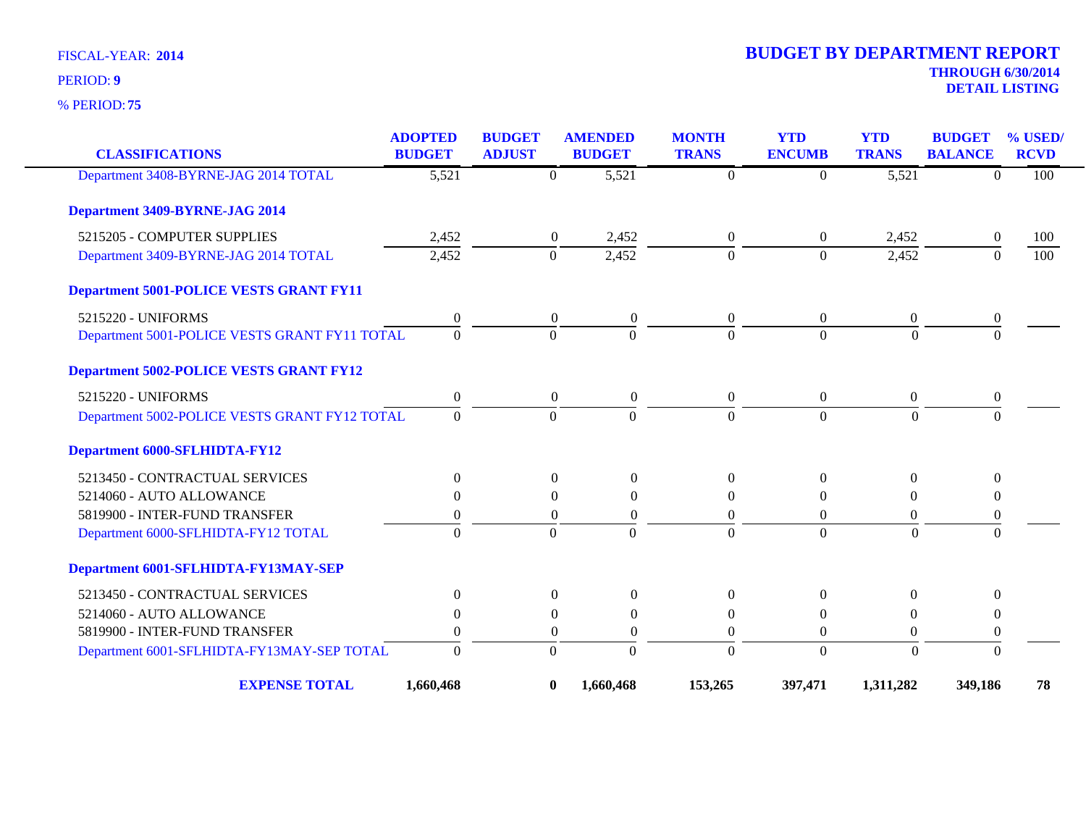**75** % PERIOD:

# **THROUGH 6/30/2014 2014 BUDGET BY DEPARTMENT REPORT**

**DETAIL LISTING** PERIOD: **<sup>9</sup>**

| <b>CLASSIFICATIONS</b>                         | <b>ADOPTED</b><br><b>BUDGET</b> | <b>BUDGET</b><br><b>ADJUST</b> | <b>AMENDED</b><br><b>BUDGET</b>      | <b>MONTH</b><br><b>TRANS</b> | <b>YTD</b><br><b>ENCUMB</b> | <b>YTD</b><br><b>TRANS</b> | <b>BUDGET</b><br><b>BALANCE</b> | % USED<br><b>RCVD</b> |
|------------------------------------------------|---------------------------------|--------------------------------|--------------------------------------|------------------------------|-----------------------------|----------------------------|---------------------------------|-----------------------|
| Department 3408-BYRNE-JAG 2014 TOTAL           | $\overline{5,521}$              | $\Omega$                       | 5,521                                | $\theta$                     | $\Omega$                    | 5,521                      | $\Omega$                        | 100                   |
| Department 3409-BYRNE-JAG 2014                 |                                 |                                |                                      |                              |                             |                            |                                 |                       |
| 5215205 - COMPUTER SUPPLIES                    | 2,452                           |                                | $\overline{0}$<br>2,452              | $\boldsymbol{0}$             | $\overline{0}$              | 2,452                      | $\mathbf{0}$                    | 100                   |
| Department 3409-BYRNE-JAG 2014 TOTAL           | 2,452                           | $\mathbf{0}$                   | 2,452                                | $\Omega$                     | $\Omega$                    | 2,452                      | $\Omega$                        | 100                   |
| <b>Department 5001-POLICE VESTS GRANT FY11</b> |                                 |                                |                                      |                              |                             |                            |                                 |                       |
| 5215220 - UNIFORMS                             | $\boldsymbol{0}$                |                                | $\boldsymbol{0}$<br>$\boldsymbol{0}$ | $\overline{0}$               | $\overline{0}$              | $\overline{0}$             | 0                               |                       |
| Department 5001-POLICE VESTS GRANT FY11 TOTAL  | $\Omega$                        | $\Omega$                       | $\Omega$                             | $\Omega$                     | $\theta$                    | $\Omega$                   | $\Omega$                        |                       |
| <b>Department 5002-POLICE VESTS GRANT FY12</b> |                                 |                                |                                      |                              |                             |                            |                                 |                       |
| 5215220 - UNIFORMS                             | $\boldsymbol{0}$                |                                | $\overline{0}$<br>$\boldsymbol{0}$   | $\overline{0}$               | $\mathbf{0}$                | $\mathbf{0}$               | $\boldsymbol{0}$                |                       |
| Department 5002-POLICE VESTS GRANT FY12 TOTAL  | $\Omega$                        | $\Omega$                       | $\Omega$                             | $\Omega$                     | $\Omega$                    | $\Omega$                   | $\Omega$                        |                       |
| <b>Department 6000-SFLHIDTA-FY12</b>           |                                 |                                |                                      |                              |                             |                            |                                 |                       |
| 5213450 - CONTRACTUAL SERVICES                 | $\theta$                        |                                | $\boldsymbol{0}$<br>$\overline{0}$   | $\theta$                     | $\Omega$                    | $\overline{0}$             | $\Omega$                        |                       |
| 5214060 - AUTO ALLOWANCE                       | $\Omega$                        |                                | $\theta$<br>$\Omega$                 | $\theta$                     | $\Omega$                    | $\Omega$                   | $\Omega$                        |                       |
| 5819900 - INTER-FUND TRANSFER                  | 0                               |                                | $\mathbf{0}$<br>$\theta$             | $\overline{0}$               | $\Omega$                    | $\theta$                   | $\boldsymbol{0}$                |                       |
| Department 6000-SFLHIDTA-FY12 TOTAL            | $\Omega$                        | $\Omega$                       | $\Omega$                             | $\Omega$                     | $\theta$                    | $\Omega$                   | $\overline{0}$                  |                       |
| Department 6001-SFLHIDTA-FY13MAY-SEP           |                                 |                                |                                      |                              |                             |                            |                                 |                       |
| 5213450 - CONTRACTUAL SERVICES                 | $\theta$                        |                                | $\boldsymbol{0}$<br>$\boldsymbol{0}$ | $\overline{0}$               | $\overline{0}$              | $\theta$                   | $\Omega$                        |                       |
| 5214060 - AUTO ALLOWANCE                       | $\Omega$                        |                                | $\boldsymbol{0}$<br>$\theta$         | $\theta$                     | $\Omega$                    | $\theta$                   | $\Omega$                        |                       |
| 5819900 - INTER-FUND TRANSFER                  | $\overline{0}$                  |                                | $\boldsymbol{0}$<br>$\boldsymbol{0}$ | $\boldsymbol{0}$             | $\mathbf{0}$                | $\boldsymbol{0}$           | $\boldsymbol{0}$                |                       |
| Department 6001-SFLHIDTA-FY13MAY-SEP TOTAL     | $\theta$                        | $\boldsymbol{0}$               | $\mathbf{0}$                         | $\overline{0}$               | $\mathbf{0}$                | $\boldsymbol{0}$           | $\overline{0}$                  |                       |
| <b>EXPENSE TOTAL</b>                           | 1,660,468                       | $\bf{0}$                       | 1,660,468                            | 153,265                      | 397,471                     | 1,311,282                  | 349,186                         | 78                    |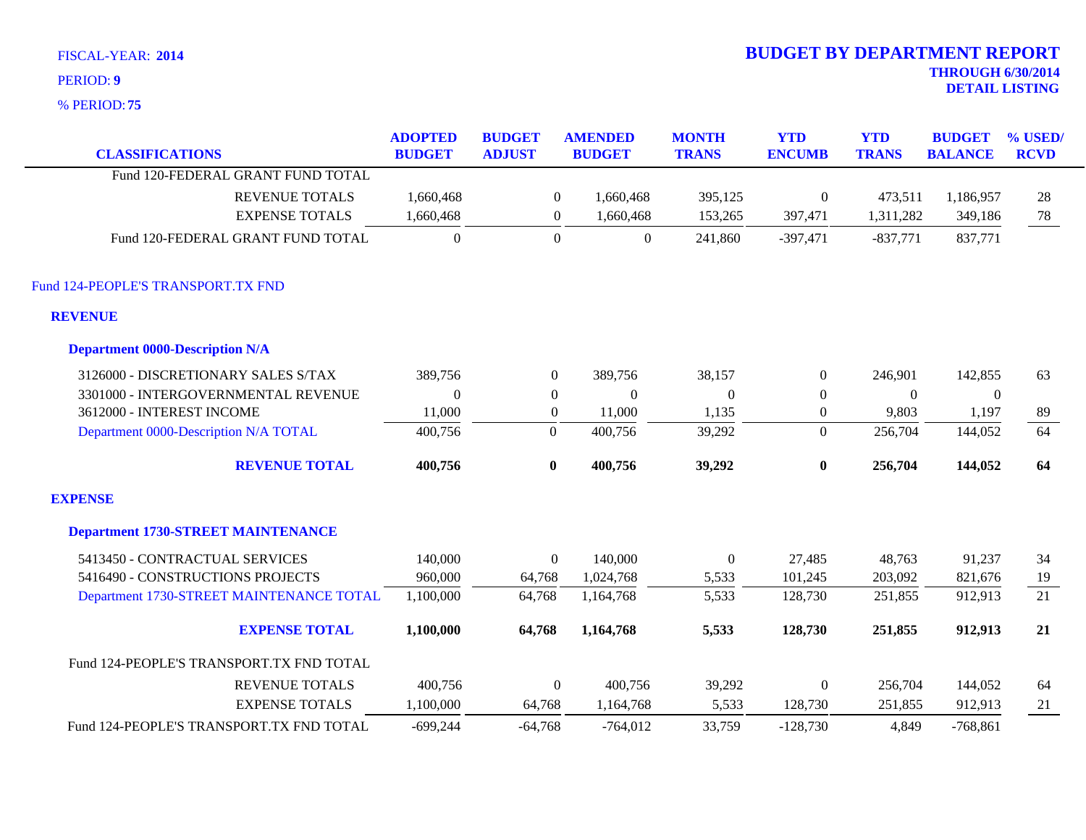| FISCAL-YEAR: 2014                      |                                 |                                |                | <b>BUDGET BY DEPARTMENT REPORT</b> |                              |                             |                            |                                 |                           |
|----------------------------------------|---------------------------------|--------------------------------|----------------|------------------------------------|------------------------------|-----------------------------|----------------------------|---------------------------------|---------------------------|
| PERIOD: 9                              |                                 |                                |                |                                    |                              |                             |                            | <b>THROUGH 6/30/2014</b>        | <b>DETAIL LISTING</b>     |
| % PERIOD: 75                           |                                 |                                |                |                                    |                              |                             |                            |                                 |                           |
| <b>CLASSIFICATIONS</b>                 | <b>ADOPTED</b><br><b>BUDGET</b> | <b>BUDGET</b><br><b>ADJUST</b> |                | <b>AMENDED</b><br><b>BUDGET</b>    | <b>MONTH</b><br><b>TRANS</b> | <b>YTD</b><br><b>ENCUMB</b> | <b>YTD</b><br><b>TRANS</b> | <b>BUDGET</b><br><b>BALANCE</b> | $\%$ USED/<br><b>RCVD</b> |
| Fund 120-FEDERAL GRANT FUND TOTAL      |                                 |                                |                |                                    |                              |                             |                            |                                 |                           |
| <b>REVENUE TOTALS</b>                  | 1,660,468                       |                                | $\overline{0}$ | 1,660,468                          | 395,125                      | $\theta$                    | 473,511                    | 1,186,957                       | 28                        |
| <b>EXPENSE TOTALS</b>                  | 1,660,468                       |                                | $\overline{0}$ | 1,660,468                          | 153,265                      | 397,471                     | 1,311,282                  | 349,186                         | 78                        |
| Fund 120-FEDERAL GRANT FUND TOTAL      | $\boldsymbol{0}$                |                                | $\theta$       | $\mathbf{0}$                       | 241,860                      | $-397,471$                  | $-837,771$                 | 837,771                         |                           |
| Fund 124-PEOPLE'S TRANSPORT.TX FND     |                                 |                                |                |                                    |                              |                             |                            |                                 |                           |
| <b>REVENUE</b>                         |                                 |                                |                |                                    |                              |                             |                            |                                 |                           |
| <b>Department 0000-Description N/A</b> |                                 |                                |                |                                    |                              |                             |                            |                                 |                           |
| 3126000 - DISCRETIONARY SALES S/TAX    | 389,756                         |                                | $\overline{0}$ | 389,756                            | 38,157                       | $\Omega$                    | 246,901                    | 142,855                         | 63                        |
| 3301000 - INTERGOVERNMENTAL REVENUE    | $\mathbf{0}$                    |                                | $\overline{0}$ | $\theta$                           | $\theta$                     |                             | $\theta$                   | $\theta$                        |                           |
| 3612000 - INTEREST INCOME              | 11,000                          |                                | $\theta$       | 11,000                             | 1,135                        | 0                           | 9,803                      | 1,197                           | 89                        |

| Department 0000-Description N/A TOTAL     | 400,756    | $\boldsymbol{0}$ | 400,756    | 39,292           | $\overline{0}$ | 256,704 | 144,052    | 64 |
|-------------------------------------------|------------|------------------|------------|------------------|----------------|---------|------------|----|
| <b>REVENUE TOTAL</b>                      | 400,756    | $\boldsymbol{0}$ | 400,756    | 39,292           | $\bf{0}$       | 256,704 | 144,052    | 64 |
| <b>EXPENSE</b>                            |            |                  |            |                  |                |         |            |    |
| <b>Department 1730-STREET MAINTENANCE</b> |            |                  |            |                  |                |         |            |    |
| 5413450 - CONTRACTUAL SERVICES            | 140,000    | $\theta$         | 140,000    | $\boldsymbol{0}$ | 27,485         | 48,763  | 91,237     | 34 |
| 5416490 - CONSTRUCTIONS PROJECTS          | 960,000    | 64,768           | 1,024,768  | 5,533            | 101,245        | 203,092 | 821,676    | 19 |
| Department 1730-STREET MAINTENANCE TOTAL  | 1,100,000  | 64,768           | 1,164,768  | 5,533            | 128,730        | 251,855 | 912,913    | 21 |
| <b>EXPENSE TOTAL</b>                      | 1,100,000  | 64,768           | 1,164,768  | 5,533            | 128,730        | 251,855 | 912,913    | 21 |
| Fund 124-PEOPLE'S TRANSPORT.TX FND TOTAL  |            |                  |            |                  |                |         |            |    |
| <b>REVENUE TOTALS</b>                     | 400,756    | $\Omega$         | 400,756    | 39,292           | $\theta$       | 256,704 | 144,052    | 64 |
| <b>EXPENSE TOTALS</b>                     | 1,100,000  | 64,768           | 1,164,768  | 5,533            | 128,730        | 251,855 | 912,913    | 21 |
| Fund 124-PEOPLE'S TRANSPORT.TX FND TOTAL  | $-699,244$ | $-64,768$        | $-764,012$ | 33,759           | $-128,730$     | 4,849   | $-768,861$ |    |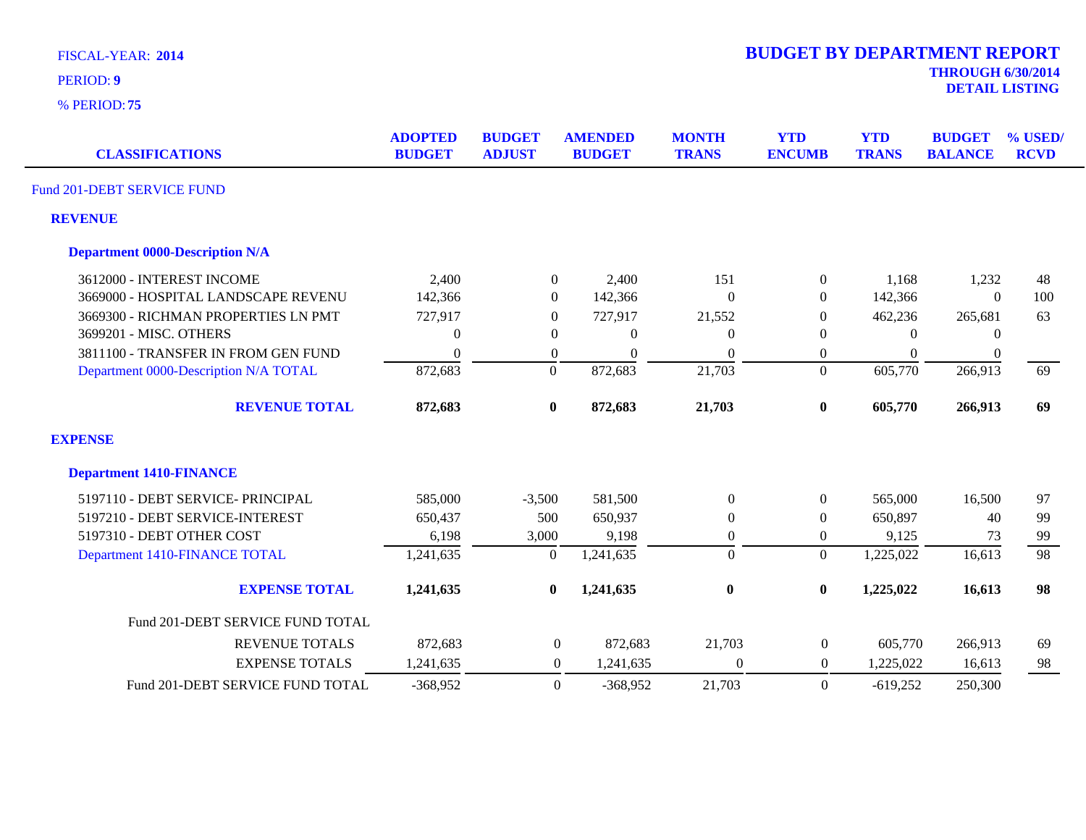| <b>FISCAL-YEAR: 2014</b> |  |  |  |
|--------------------------|--|--|--|
|                          |  |  |  |

**75** % PERIOD:

**DETAIL LISTING** PERIOD: **<sup>9</sup>**

| <b>CLASSIFICATIONS</b>                 | <b>ADOPTED</b><br><b>BUDGET</b> | <b>BUDGET</b><br><b>ADJUST</b> | <b>AMENDED</b><br><b>BUDGET</b> | <b>MONTH</b><br><b>TRANS</b> | <b>YTD</b><br><b>ENCUMB</b> | <b>YTD</b><br><b>TRANS</b> | <b>BUDGET</b><br><b>BALANCE</b> | % USED/<br><b>RCVD</b> |
|----------------------------------------|---------------------------------|--------------------------------|---------------------------------|------------------------------|-----------------------------|----------------------------|---------------------------------|------------------------|
| Fund 201-DEBT SERVICE FUND             |                                 |                                |                                 |                              |                             |                            |                                 |                        |
| <b>REVENUE</b>                         |                                 |                                |                                 |                              |                             |                            |                                 |                        |
| <b>Department 0000-Description N/A</b> |                                 |                                |                                 |                              |                             |                            |                                 |                        |
| 3612000 - INTEREST INCOME              | 2,400                           | $\overline{0}$                 | 2,400                           | 151                          | $\overline{0}$              | 1,168                      | 1,232                           | 48                     |
| 3669000 - HOSPITAL LANDSCAPE REVENU    | 142,366                         | $\overline{0}$                 | 142,366                         | $\Omega$                     | $\overline{0}$              | 142,366                    | $\theta$                        | 100                    |
| 3669300 - RICHMAN PROPERTIES LN PMT    | 727,917                         | $\theta$                       | 727,917                         | 21,552                       | $\boldsymbol{0}$            | 462,236                    | 265,681                         | 63                     |
| 3699201 - MISC. OTHERS                 | $\theta$                        | $\theta$                       | $\Omega$                        | $\Omega$                     | $\Omega$                    | $\Omega$                   | $\theta$                        |                        |
| 3811100 - TRANSFER IN FROM GEN FUND    | $\Omega$                        | $\theta$                       | $\Omega$                        | $\overline{0}$               | 0                           | $\mathbf{0}$               | $\mathbf{0}$                    |                        |
| Department 0000-Description N/A TOTAL  | 872,683                         | $\boldsymbol{0}$               | 872,683                         | 21,703                       | $\overline{0}$              | 605,770                    | 266,913                         | 69                     |
| <b>REVENUE TOTAL</b>                   | 872,683                         | $\bf{0}$                       | 872,683                         | 21,703                       | $\bf{0}$                    | 605,770                    | 266,913                         | 69                     |
| <b>EXPENSE</b>                         |                                 |                                |                                 |                              |                             |                            |                                 |                        |
| <b>Department 1410-FINANCE</b>         |                                 |                                |                                 |                              |                             |                            |                                 |                        |
| 5197110 - DEBT SERVICE- PRINCIPAL      | 585,000                         | $-3,500$                       | 581,500                         | $\Omega$                     | $\overline{0}$              | 565,000                    | 16,500                          | 97                     |
| 5197210 - DEBT SERVICE-INTEREST        | 650,437                         | 500                            | 650,937                         | $\theta$                     | $\overline{0}$              | 650,897                    | 40                              | 99                     |
| 5197310 - DEBT OTHER COST              | 6,198                           | 3,000                          | 9,198                           | $\boldsymbol{0}$             | $\mathbf{0}$                | 9,125                      | 73                              | 99                     |
| Department 1410-FINANCE TOTAL          | 1,241,635                       | $\overline{0}$                 | 1,241,635                       | $\overline{0}$               | $\overline{0}$              | 1,225,022                  | 16,613                          | $\overline{98}$        |
| <b>EXPENSE TOTAL</b>                   | 1,241,635                       | $\bf{0}$                       | 1,241,635                       | $\bf{0}$                     | $\boldsymbol{0}$            | 1,225,022                  | 16,613                          | 98                     |
| Fund 201-DEBT SERVICE FUND TOTAL       |                                 |                                |                                 |                              |                             |                            |                                 |                        |
| <b>REVENUE TOTALS</b>                  | 872,683                         | $\boldsymbol{0}$               | 872,683                         | 21,703                       | $\boldsymbol{0}$            | 605,770                    | 266,913                         | 69                     |
| <b>EXPENSE TOTALS</b>                  | 1,241,635                       | $\overline{0}$                 | 1,241,635                       | $\theta$                     | $\boldsymbol{0}$            | 1,225,022                  | 16,613                          | 98                     |
| Fund 201-DEBT SERVICE FUND TOTAL       | $-368,952$                      | $\Omega$                       | $-368,952$                      | 21,703                       | $\theta$                    | $-619,252$                 | 250,300                         |                        |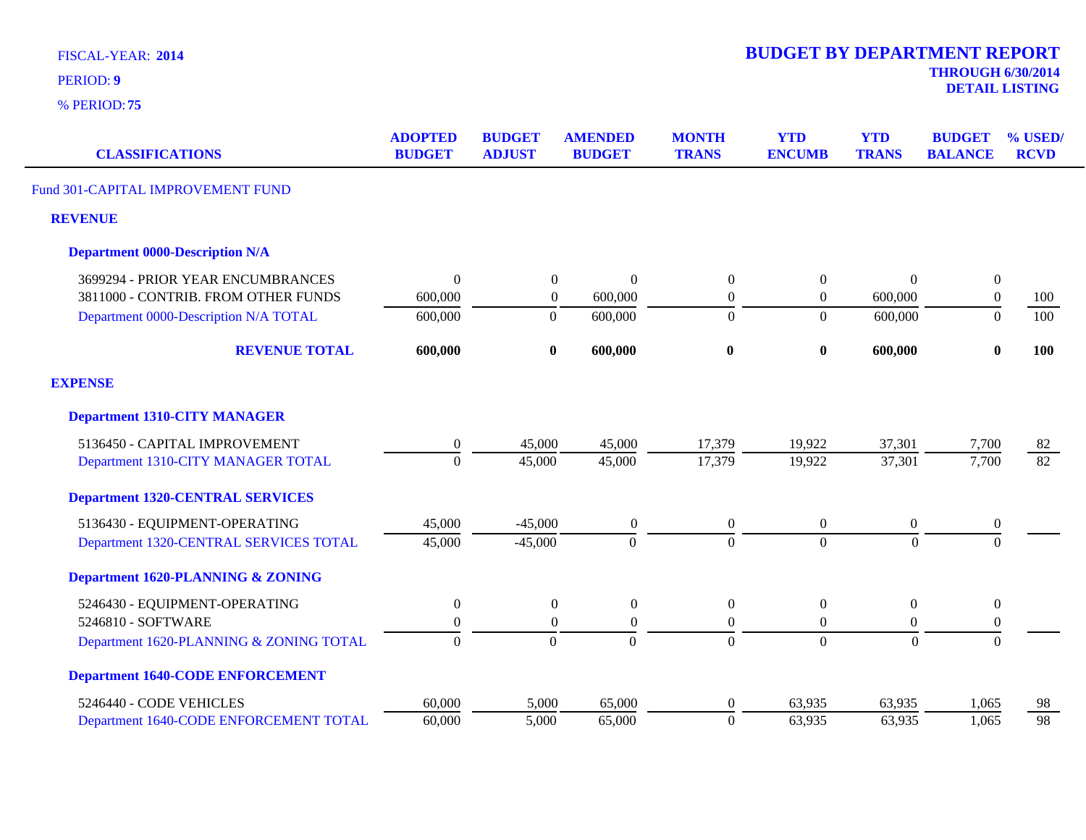| <b>FISCAL-YEAR: 2014</b> |  |  |  |  |
|--------------------------|--|--|--|--|
|--------------------------|--|--|--|--|

**75** % PERIOD:

**THROUGH 6/30/2014 DETAIL LISTING** PERIOD: **<sup>9</sup>**

| <b>CLASSIFICATIONS</b>                  | <b>ADOPTED</b><br><b>BUDGET</b> | <b>BUDGET</b><br><b>ADJUST</b> | <b>AMENDED</b><br><b>BUDGET</b> | <b>MONTH</b><br><b>TRANS</b> | <b>YTD</b><br><b>ENCUMB</b> | <b>YTD</b><br><b>TRANS</b> | <b>BUDGET</b><br><b>BALANCE</b> | % USED/<br><b>RCVD</b> |
|-----------------------------------------|---------------------------------|--------------------------------|---------------------------------|------------------------------|-----------------------------|----------------------------|---------------------------------|------------------------|
| Fund 301-CAPITAL IMPROVEMENT FUND       |                                 |                                |                                 |                              |                             |                            |                                 |                        |
| <b>REVENUE</b>                          |                                 |                                |                                 |                              |                             |                            |                                 |                        |
| <b>Department 0000-Description N/A</b>  |                                 |                                |                                 |                              |                             |                            |                                 |                        |
| 3699294 - PRIOR YEAR ENCUMBRANCES       | $\theta$                        | $\overline{0}$                 | $\boldsymbol{0}$                | $\boldsymbol{0}$             | $\boldsymbol{0}$            | $\Omega$                   | $\boldsymbol{0}$                |                        |
| 3811000 - CONTRIB. FROM OTHER FUNDS     | 600,000                         | $\overline{0}$                 | 600,000                         | $\boldsymbol{0}$             | $\boldsymbol{0}$            | 600,000                    | $\boldsymbol{0}$                | 100                    |
| Department 0000-Description N/A TOTAL   | 600,000                         | $\boldsymbol{0}$               | 600,000                         | $\Omega$                     | $\overline{0}$              | 600,000                    | $\Omega$                        | 100                    |
| <b>REVENUE TOTAL</b>                    | 600,000                         | $\bf{0}$                       | 600,000                         | $\bf{0}$                     | $\bf{0}$                    | 600,000                    | $\bf{0}$                        | 100                    |
| <b>EXPENSE</b>                          |                                 |                                |                                 |                              |                             |                            |                                 |                        |
| <b>Department 1310-CITY MANAGER</b>     |                                 |                                |                                 |                              |                             |                            |                                 |                        |
| 5136450 - CAPITAL IMPROVEMENT           | $\boldsymbol{0}$                | 45,000                         | 45,000                          | 17,379                       | 19,922                      | 37,301                     | 7,700                           | <u>82</u>              |
| Department 1310-CITY MANAGER TOTAL      | $\theta$                        | 45,000                         | 45,000                          | 17,379                       | 19,922                      | 37,301                     | 7,700                           | $\overline{82}$        |
| <b>Department 1320-CENTRAL SERVICES</b> |                                 |                                |                                 |                              |                             |                            |                                 |                        |
| 5136430 - EQUIPMENT-OPERATING           | 45,000                          | $-45,000$                      | $\boldsymbol{0}$                | $\boldsymbol{0}$             | $\boldsymbol{0}$            | $\boldsymbol{0}$           | $\boldsymbol{0}$                |                        |
| Department 1320-CENTRAL SERVICES TOTAL  | 45,000                          | $-45,000$                      | $\Omega$                        | $\Omega$                     | $\overline{0}$              | $\theta$                   | $\Omega$                        |                        |
| Department 1620-PLANNING & ZONING       |                                 |                                |                                 |                              |                             |                            |                                 |                        |
| 5246430 - EQUIPMENT-OPERATING           | $\boldsymbol{0}$                | $\boldsymbol{0}$               | $\boldsymbol{0}$                | $\boldsymbol{0}$             | $\boldsymbol{0}$            | $\boldsymbol{0}$           | $\boldsymbol{0}$                |                        |
| 5246810 - SOFTWARE                      | $\Omega$                        | $\Omega$                       | $\theta$                        | $\theta$                     | $\overline{0}$              | $\Omega$                   | $\boldsymbol{0}$                |                        |
| Department 1620-PLANNING & ZONING TOTAL | $\Omega$                        | $\boldsymbol{0}$               | $\overline{0}$                  | $\overline{0}$               | $\overline{0}$              | $\theta$                   | $\overline{0}$                  |                        |
| <b>Department 1640-CODE ENFORCEMENT</b> |                                 |                                |                                 |                              |                             |                            |                                 |                        |
| 5246440 - CODE VEHICLES                 | 60,000                          | 5,000                          | 65,000                          | $\overline{0}$               | 63,935                      | 63,935                     | 1,065                           | 98                     |
| Department 1640-CODE ENFORCEMENT TOTAL  | 60,000                          | 5,000                          | 65,000                          | $\boldsymbol{0}$             | 63,935                      | 63,935                     | 1,065                           | 98                     |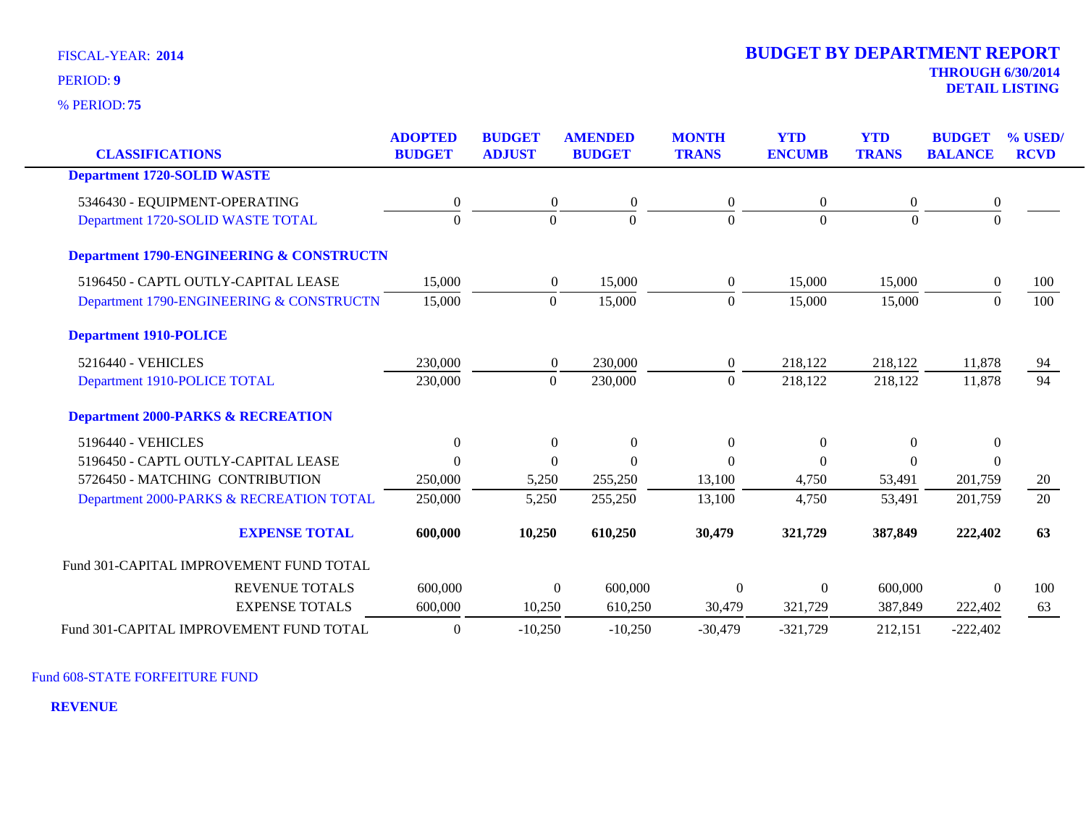**75** % PERIOD:

**DETAIL LISTING** PERIOD: **<sup>9</sup>**

| <b>CLASSIFICATIONS</b>                              | <b>ADOPTED</b><br><b>BUDGET</b> | <b>BUDGET</b><br><b>ADJUST</b> | <b>AMENDED</b><br><b>BUDGET</b> | <b>MONTH</b><br><b>TRANS</b> | <b>YTD</b><br><b>ENCUMB</b> | <b>YTD</b><br><b>TRANS</b> | <b>BUDGET</b><br><b>BALANCE</b> | % USED/<br><b>RCVD</b> |
|-----------------------------------------------------|---------------------------------|--------------------------------|---------------------------------|------------------------------|-----------------------------|----------------------------|---------------------------------|------------------------|
| <b>Department 1720-SOLID WASTE</b>                  |                                 |                                |                                 |                              |                             |                            |                                 |                        |
| 5346430 - EQUIPMENT-OPERATING                       | $\boldsymbol{0}$                | $\boldsymbol{0}$               | $\boldsymbol{0}$                | 0                            | $\overline{0}$              | 0                          | $\boldsymbol{0}$                |                        |
| Department 1720-SOLID WASTE TOTAL                   | $\Omega$                        | $\Omega$                       | $\Omega$                        | $\Omega$                     | $\Omega$                    | $\Omega$                   | $\Omega$                        |                        |
| <b>Department 1790-ENGINEERING &amp; CONSTRUCTN</b> |                                 |                                |                                 |                              |                             |                            |                                 |                        |
| 5196450 - CAPTL OUTLY-CAPITAL LEASE                 | 15,000                          | $\overline{0}$                 | 15,000                          | $\overline{0}$               | 15,000                      | 15,000                     | $\boldsymbol{0}$                | 100                    |
| Department 1790-ENGINEERING & CONSTRUCTN            | 15,000                          | $\overline{0}$                 | 15,000                          | $\Omega$                     | 15,000                      | 15,000                     | $\theta$                        | 100                    |
| <b>Department 1910-POLICE</b>                       |                                 |                                |                                 |                              |                             |                            |                                 |                        |
| 5216440 - VEHICLES                                  | 230,000                         | $\overline{0}$                 | 230,000                         | $\overline{0}$               | 218,122                     | 218,122                    | 11,878                          | 94                     |
| Department 1910-POLICE TOTAL                        | 230,000                         | $\mathbf{0}$                   | 230,000                         | $\Omega$                     | 218,122                     | 218,122                    | 11,878                          | 94                     |
| <b>Department 2000-PARKS &amp; RECREATION</b>       |                                 |                                |                                 |                              |                             |                            |                                 |                        |
| 5196440 - VEHICLES                                  | $\overline{0}$                  | $\theta$                       | $\theta$                        | $\Omega$                     | $\theta$                    | $\theta$                   | $\theta$                        |                        |
| 5196450 - CAPTL OUTLY-CAPITAL LEASE                 | $\Omega$                        | $\Omega$                       | $\Omega$                        | $\Omega$                     | $\Omega$                    | $\theta$                   | $\theta$                        |                        |
| 5726450 - MATCHING CONTRIBUTION                     | 250,000                         | 5,250                          | 255,250                         | 13,100                       | 4,750                       | 53,491                     | 201,759                         | 20                     |
| Department 2000-PARKS & RECREATION TOTAL            | 250,000                         | 5,250                          | 255,250                         | 13,100                       | 4,750                       | 53,491                     | 201,759                         | 20                     |
| <b>EXPENSE TOTAL</b>                                | 600,000                         | 10,250                         | 610,250                         | 30,479                       | 321,729                     | 387,849                    | 222,402                         | 63                     |
| Fund 301-CAPITAL IMPROVEMENT FUND TOTAL             |                                 |                                |                                 |                              |                             |                            |                                 |                        |
| <b>REVENUE TOTALS</b>                               | 600,000                         |                                | 600,000<br>$\overline{0}$       | $\mathbf{0}$                 | $\overline{0}$              | 600,000                    | $\theta$                        | 100                    |
| <b>EXPENSE TOTALS</b>                               | 600,000                         | 10,250                         | 610,250                         | 30,479                       | 321,729                     | 387,849                    | 222,402                         | 63                     |
| Fund 301-CAPITAL IMPROVEMENT FUND TOTAL             | $\theta$                        | $-10,250$                      | $-10,250$                       | $-30,479$                    | $-321,729$                  | 212,151                    | $-222,402$                      |                        |

Fund 608-STATE FORFEITURE FUND

**REVENUE**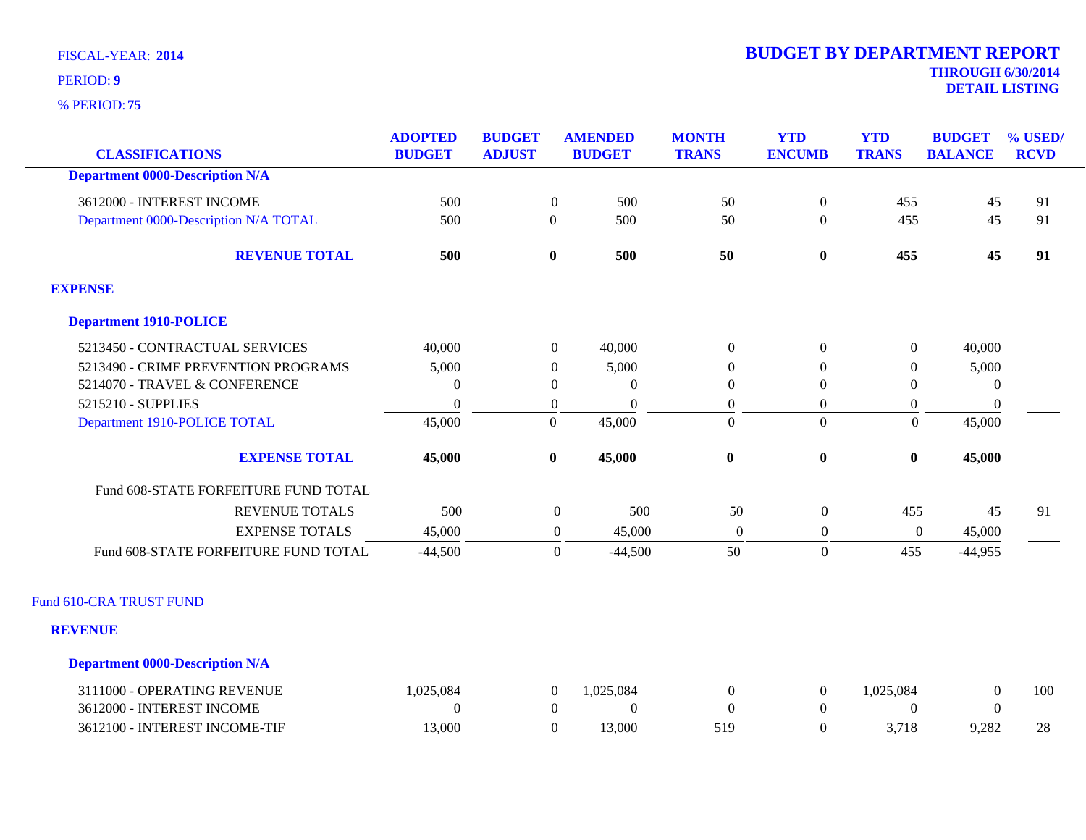**75** % PERIOD:

# **2014 BUDGET BY DEPARTMENT REPORT**

**THROUGH 6/30/2014 DETAIL LISTING** PERIOD: **<sup>9</sup>**

| <b>CLASSIFICATIONS</b>                 | <b>ADOPTED</b><br><b>BUDGET</b> | <b>BUDGET</b><br><b>ADJUST</b> | <b>AMENDED</b><br><b>BUDGET</b> | <b>MONTH</b><br><b>TRANS</b> | <b>YTD</b><br><b>ENCUMB</b> | <b>YTD</b><br><b>TRANS</b> | <b>BUDGET</b><br><b>BALANCE</b> | % USED/<br><b>RCVD</b> |
|----------------------------------------|---------------------------------|--------------------------------|---------------------------------|------------------------------|-----------------------------|----------------------------|---------------------------------|------------------------|
| <b>Department 0000-Description N/A</b> |                                 |                                |                                 |                              |                             |                            |                                 |                        |
| 3612000 - INTEREST INCOME              | 500                             | $\mathbf{0}$                   | 500                             | 50                           | $\boldsymbol{0}$            | 455                        |                                 | <u>91</u>              |
| Department 0000-Description N/A TOTAL  | 500                             | $\overline{0}$                 | 500                             | 50                           | $\overline{0}$              | 455                        | $\frac{45}{45}$                 | $\overline{91}$        |
| <b>REVENUE TOTAL</b>                   | 500                             | $\mathbf{0}$                   | 500                             | 50                           | $\bf{0}$                    | 455                        | 45                              | 91                     |
| <b>EXPENSE</b>                         |                                 |                                |                                 |                              |                             |                            |                                 |                        |
| <b>Department 1910-POLICE</b>          |                                 |                                |                                 |                              |                             |                            |                                 |                        |
| 5213450 - CONTRACTUAL SERVICES         | 40,000                          | $\overline{0}$                 | 40,000                          | $\theta$                     | $\overline{0}$              | $\overline{0}$             | 40,000                          |                        |
| 5213490 - CRIME PREVENTION PROGRAMS    | 5,000                           | $\mathbf{0}$                   | 5,000                           | 0                            | $\theta$                    | $\overline{0}$             | 5,000                           |                        |
| 5214070 - TRAVEL & CONFERENCE          | $\Omega$                        | $\mathbf{0}$                   | $\theta$                        | $\mathbf{0}$                 | $\Omega$                    | $\mathbf{0}$               | $\overline{0}$                  |                        |
| 5215210 - SUPPLIES                     | $\theta$                        | $\boldsymbol{0}$               | $\mathbf{0}$                    | $\boldsymbol{0}$             | $\boldsymbol{0}$            | $\boldsymbol{0}$           | $\boldsymbol{0}$                |                        |
| Department 1910-POLICE TOTAL           | 45,000                          | $\overline{0}$                 | 45,000                          | $\overline{0}$               | $\overline{0}$              | $\Omega$                   | 45,000                          |                        |
| <b>EXPENSE TOTAL</b>                   | 45,000                          | $\bf{0}$                       | 45,000                          | $\bf{0}$                     | $\boldsymbol{0}$            | $\bf{0}$                   | 45,000                          |                        |
| Fund 608-STATE FORFEITURE FUND TOTAL   |                                 |                                |                                 |                              |                             |                            |                                 |                        |
| <b>REVENUE TOTALS</b>                  | 500                             |                                | 500<br>$\boldsymbol{0}$         | 50                           | $\boldsymbol{0}$            | 455                        | 45                              | 91                     |
| <b>EXPENSE TOTALS</b>                  | 45,000                          |                                | 45,000<br>$\boldsymbol{0}$      | $\overline{0}$               | $\boldsymbol{0}$            | $\boldsymbol{0}$           | 45,000                          |                        |
| Fund 608-STATE FORFEITURE FUND TOTAL   | $-44,500$                       |                                | $\boldsymbol{0}$<br>$-44,500$   | 50                           | $\boldsymbol{0}$            | 455                        | $-44,955$                       |                        |
| Fund 610-CRA TRUST FUND                |                                 |                                |                                 |                              |                             |                            |                                 |                        |
| <b>REVENUE</b>                         |                                 |                                |                                 |                              |                             |                            |                                 |                        |
| <b>Department 0000-Description N/A</b> |                                 |                                |                                 |                              |                             |                            |                                 |                        |
| 3111000 - OPERATING REVENUE            | 1,025,084                       | $\boldsymbol{0}$               | 1,025,084                       | $\boldsymbol{0}$             | $\boldsymbol{0}$            | 1,025,084                  | $\boldsymbol{0}$                | 100                    |
| 3612000 - INTEREST INCOME              | $\Omega$                        | $\overline{0}$                 | $\Omega$                        | $\Omega$                     | $\theta$                    | $\Omega$                   | $\theta$                        |                        |
| 3612100 - INTEREST INCOME-TIF          | 13,000                          | $\overline{0}$                 | 13,000                          | 519                          | $\overline{0}$              | 3,718                      | 9,282                           | 28                     |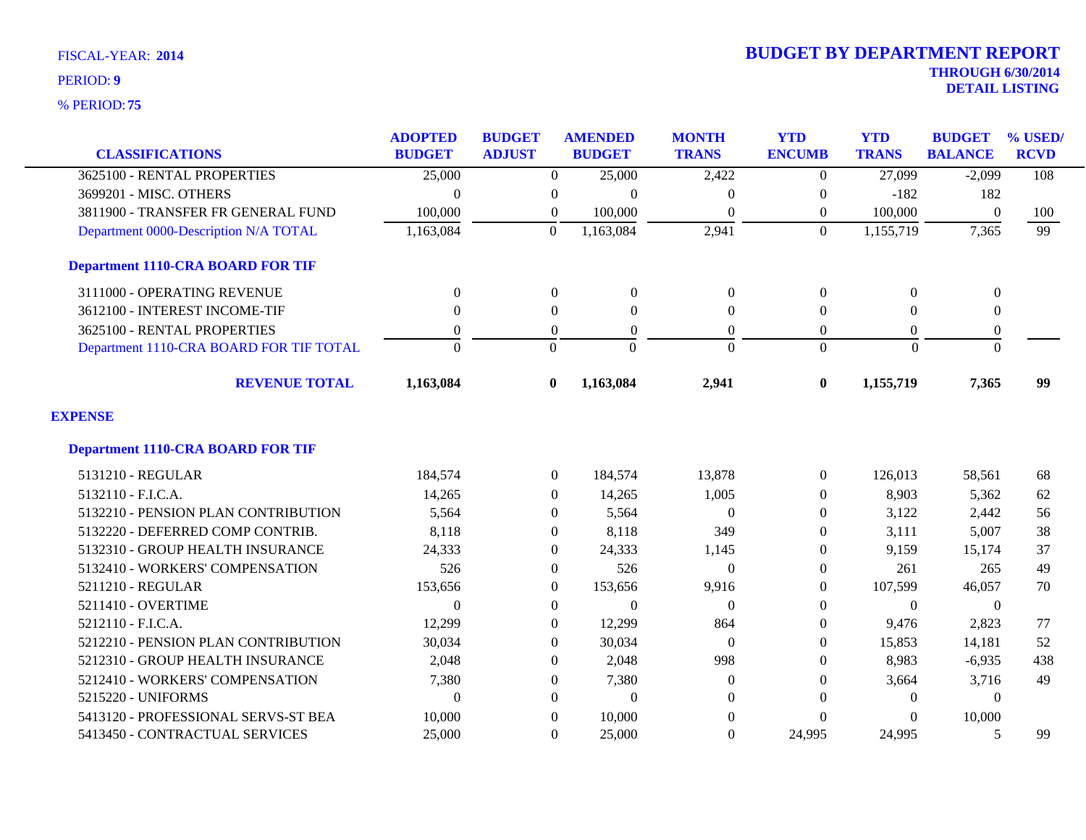| <b>CLASSIFICATIONS</b>                   | <b>ADOPTED</b><br><b>BUDGET</b> | <b>BUDGET</b><br><b>ADJUST</b> | <b>AMENDED</b><br><b>BUDGET</b> | <b>MONTH</b><br><b>TRANS</b> | <b>YTD</b><br><b>ENCUMB</b> | <b>YTD</b><br><b>TRANS</b> | <b>BUDGET</b><br><b>BALANCE</b> | % USED/<br><b>RCVD</b> |
|------------------------------------------|---------------------------------|--------------------------------|---------------------------------|------------------------------|-----------------------------|----------------------------|---------------------------------|------------------------|
| 3625100 - RENTAL PROPERTIES              | 25,000                          | $\Omega$                       | 25,000                          | 2,422                        | $\Omega$                    | 27,099                     | $-2,099$                        | 108                    |
| 3699201 - MISC. OTHERS                   | $\Omega$                        | $\boldsymbol{0}$               | $\overline{0}$                  | $\theta$                     | $\theta$                    | $-182$                     | 182                             |                        |
| 3811900 - TRANSFER FR GENERAL FUND       | 100,000                         | $\overline{0}$                 | 100,000                         | $\Omega$                     | $\theta$                    | 100,000                    | $\theta$                        | 100                    |
| Department 0000-Description N/A TOTAL    | 1,163,084                       | $\theta$                       | 1,163,084                       | 2,941                        | $\overline{0}$              | 1,155,719                  | 7,365                           | 99                     |
| <b>Department 1110-CRA BOARD FOR TIF</b> |                                 |                                |                                 |                              |                             |                            |                                 |                        |
| 3111000 - OPERATING REVENUE              | $\overline{0}$                  | $\boldsymbol{0}$               | $\boldsymbol{0}$                | $\boldsymbol{0}$             | $\boldsymbol{0}$            | $\overline{0}$             | $\boldsymbol{0}$                |                        |
| 3612100 - INTEREST INCOME-TIF            | $\Omega$                        | $\Omega$                       | $\Omega$                        | $\overline{0}$               | $\Omega$                    | $\Omega$                   | $\mathbf{0}$                    |                        |
| 3625100 - RENTAL PROPERTIES              | $\theta$                        | $\overline{0}$                 | $\theta$                        | $\overline{0}$               | $\Omega$                    | $\Omega$                   | $\boldsymbol{0}$                |                        |
| Department 1110-CRA BOARD FOR TIF TOTAL  | $\Omega$                        | $\Omega$                       | $\Omega$                        | $\Omega$                     | $\Omega$                    | $\Omega$                   | $\Omega$                        |                        |
| <b>REVENUE TOTAL</b>                     | 1,163,084                       | $\mathbf{0}$                   | 1,163,084                       | 2,941                        | $\bf{0}$                    | 1,155,719                  | 7,365                           | 99                     |
| <b>EXPENSE</b>                           |                                 |                                |                                 |                              |                             |                            |                                 |                        |
| <b>Department 1110-CRA BOARD FOR TIF</b> |                                 |                                |                                 |                              |                             |                            |                                 |                        |
| 5131210 - REGULAR                        | 184,574                         | $\overline{0}$                 | 184,574                         | 13,878                       | $\overline{0}$              | 126,013                    | 58,561                          | 68                     |
| 5132110 - F.I.C.A.                       | 14,265                          | $\overline{0}$                 | 14,265                          | 1,005                        | $\theta$                    | 8,903                      | 5,362                           | 62                     |
| 5132210 - PENSION PLAN CONTRIBUTION      | 5,564                           | $\overline{0}$                 | 5,564                           | $\theta$                     | $\theta$                    | 3,122                      | 2,442                           | 56                     |
| 5132220 - DEFERRED COMP CONTRIB.         | 8,118                           | 0                              | 8,118                           | 349                          | $\theta$                    | 3,111                      | 5,007                           | 38                     |
| 5132310 - GROUP HEALTH INSURANCE         | 24,333                          | $\Omega$                       | 24,333                          | 1,145                        | $\Omega$                    | 9,159                      | 15,174                          | 37                     |
| 5132410 - WORKERS' COMPENSATION          | 526                             | $\overline{0}$                 | 526                             | $\Omega$                     | $\Omega$                    | 261                        | 265                             | 49                     |
| 5211210 - REGULAR                        | 153,656                         | $\overline{0}$                 | 153,656                         | 9,916                        | $\boldsymbol{0}$            | 107,599                    | 46,057                          | 70                     |
| 5211410 - OVERTIME                       | $\mathbf{0}$                    | $\overline{0}$                 | $\overline{0}$                  | $\theta$                     | $\Omega$                    | $\Omega$                   | $\theta$                        |                        |
| 5212110 - F.I.C.A.                       | 12,299                          | $\Omega$                       | 12,299                          | 864                          | $\Omega$                    | 9,476                      | 2,823                           | 77                     |
| 5212210 - PENSION PLAN CONTRIBUTION      | 30,034                          | $\overline{0}$                 | 30,034                          | $\Omega$                     | $\mathbf{0}$                | 15,853                     | 14,181                          | 52                     |
| 5212310 - GROUP HEALTH INSURANCE         | 2,048                           | $\overline{0}$                 | 2,048                           | 998                          | $\theta$                    | 8,983                      | $-6,935$                        | 438                    |
| 5212410 - WORKERS' COMPENSATION          | 7,380                           | $\overline{0}$                 | 7,380                           | $\mathbf{0}$                 | $\Omega$                    | 3,664                      | 3,716                           | 49                     |
| 5215220 - UNIFORMS                       | $\theta$                        | $\Omega$                       | $\overline{0}$                  | $\Omega$                     | $\Omega$                    | $\Omega$                   | $\Omega$                        |                        |
| 5413120 - PROFESSIONAL SERVS-ST BEA      | 10,000                          | $\theta$                       | 10,000                          | $\Omega$                     | $\Omega$                    | 0                          | 10,000                          |                        |
| 5413450 - CONTRACTUAL SERVICES           | 25,000                          | $\Omega$                       | 25,000                          | $\mathbf{0}$                 | 24,995                      | 24,995                     | 5                               | 99                     |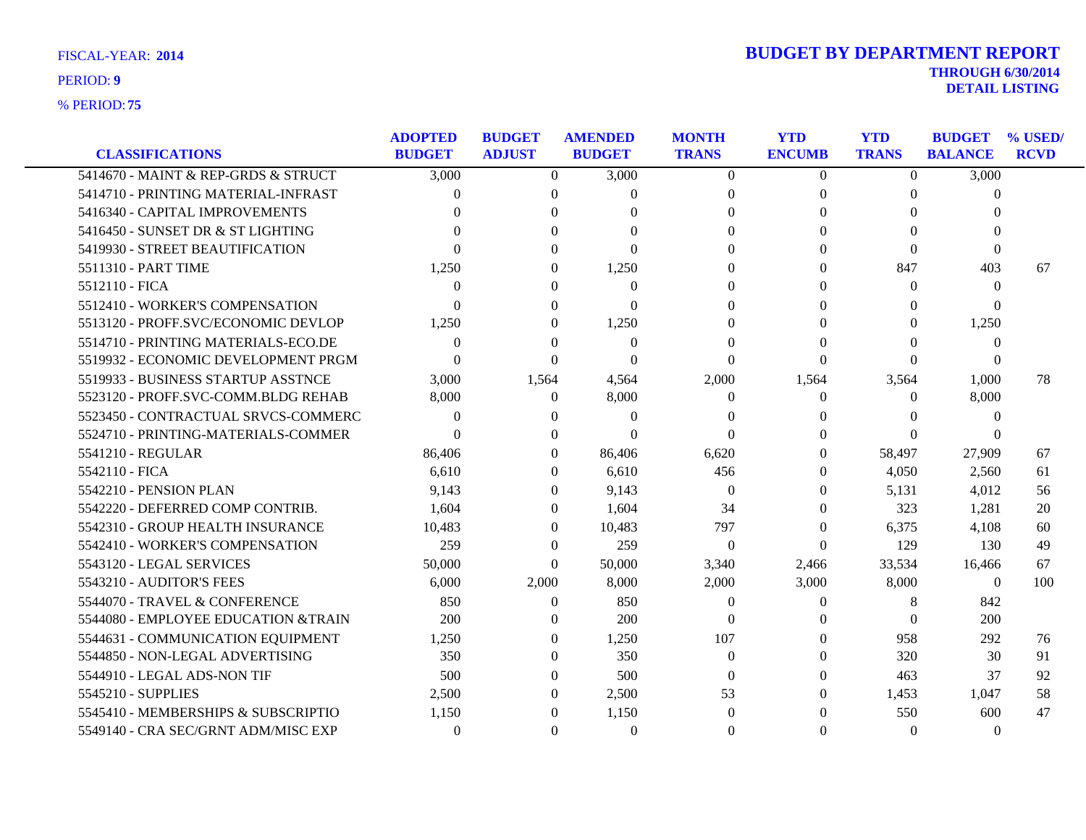| <b>FISCAL-YEAR: 2014</b> |
|--------------------------|
|--------------------------|

|                                     | <b>ADOPTED</b> | <b>BUDGET</b> | <b>AMENDED</b> | <b>MONTH</b>     | <b>YTD</b>    | <b>YTD</b>        | <b>BUDGET</b>  | $\%$ USED/  |
|-------------------------------------|----------------|---------------|----------------|------------------|---------------|-------------------|----------------|-------------|
| <b>CLASSIFICATIONS</b>              | <b>BUDGET</b>  | <b>ADJUST</b> | <b>BUDGET</b>  | <b>TRANS</b>     | <b>ENCUMB</b> | <b>TRANS</b>      | <b>BALANCE</b> | <b>RCVD</b> |
| 5414670 - MAINT & REP-GRDS & STRUCT | 3,000          | $\Omega$      | 3,000          | $\theta$         | $\Omega$      | $\Omega$          | 3,000          |             |
| 5414710 - PRINTING MATERIAL-INFRAST | 0              | $\Omega$      | $\Omega$       | $\Omega$         | $\theta$      | $\Omega$          | $\Omega$       |             |
| 5416340 - CAPITAL IMPROVEMENTS      |                | 0             | $\theta$       | $\Omega$         | $\Omega$      | 0                 |                |             |
| 5416450 - SUNSET DR & ST LIGHTING   |                |               |                |                  | 0             | 0                 |                |             |
| 5419930 - STREET BEAUTIFICATION     |                |               | $\Omega$       |                  | 0             | 0                 | $\Omega$       |             |
| 5511310 - PART TIME                 | 1,250          | 0             | 1,250          |                  | $\Omega$      | 847               | 403            | 67          |
| 5512110 - FICA                      | $\Omega$       | 0             | $\Omega$       | 0                | 0             | $\Omega$          | $\theta$       |             |
| 5512410 - WORKER'S COMPENSATION     | ∩              | 0             | 0              |                  | 0             | 0                 | 0              |             |
| 5513120 - PROFF.SVC/ECONOMIC DEVLOP | 1,250          | 0             | 1,250          |                  | $\Omega$      | $\Omega$          | 1,250          |             |
| 5514710 - PRINTING MATERIALS-ECO.DE | $\Omega$       | 0             | $\overline{0}$ | 0                | 0             | 0                 | $\theta$       |             |
| 5519932 - ECONOMIC DEVELOPMENT PRGM | $\Omega$       | 0             | $\Omega$       | 0                | 0             | $\Omega$          | $\theta$       |             |
| 5519933 - BUSINESS STARTUP ASSTNCE  | 3,000          | 1,564         | 4,564          | 2,000            | 1,564         | 3,564             | 1,000          | 78          |
| 5523120 - PROFF.SVC-COMM.BLDG REHAB | 8,000          | $\left($      | 8,000          | $\theta$         | 0             | $\Omega$          | 8,000          |             |
| 5523450 - CONTRACTUAL SRVCS-COMMERC | $\Omega$       | 0             | $\Omega$       |                  |               | $\mathbf{\Omega}$ | $\Omega$       |             |
| 5524710 - PRINTING-MATERIALS-COMMER | $\Omega$       | 0             | $\Omega$       | $\Omega$         | 0             | $\Omega$          |                |             |
| 5541210 - REGULAR                   | 86,406         | $\Omega$      | 86,406         | 6.620            | 0             | 58,497            | 27,909         | 67          |
| 5542110 - FICA                      | 6,610          | $\Omega$      | 6,610          | 456              | $\Omega$      | 4,050             | 2,560          | 61          |
| 5542210 - PENSION PLAN              | 9,143          | 0             | 9,143          | $\theta$         | 0             | 5,131             | 4,012          | 56          |
| 5542220 - DEFERRED COMP CONTRIB.    | 1.604          | $\Omega$      | 1,604          | 34               | $\theta$      | 323               | 1,281          | 20          |
| 5542310 - GROUP HEALTH INSURANCE    | 10,483         | $\Omega$      | 10,483         | 797              | $\Omega$      | 6,375             | 4,108          | 60          |
| 5542410 - WORKER'S COMPENSATION     | 259            | $\Omega$      | 259            | $\boldsymbol{0}$ | 0             | 129               | 130            | 49          |
| 5543120 - LEGAL SERVICES            | 50,000         | $\Omega$      | 50,000         | 3,340            | 2,466         | 33,534            | 16,466         | 67          |
| 5543210 - AUDITOR'S FEES            | 6,000          | 2,000         | 8,000          | 2,000            | 3,000         | 8,000             | $\Omega$       | 100         |
| 5544070 - TRAVEL & CONFERENCE       | 850            | $\theta$      | 850            | $\theta$         | 0             | 8                 | 842            |             |
| 5544080 - EMPLOYEE EDUCATION &TRAIN | 200            | $\Omega$      | 200            | $\Omega$         | $\Omega$      | $\Omega$          | 200            |             |
| 5544631 - COMMUNICATION EQUIPMENT   | 1,250          | $\Omega$      | 1,250          | 107              | $\theta$      | 958               | 292            | 76          |
| 5544850 - NON-LEGAL ADVERTISING     | 350            | $\Omega$      | 350            | $\Omega$         | $\Omega$      | 320               | 30             | 91          |
| 5544910 - LEGAL ADS-NON TIF         | 500            | 0             | 500            | $\Omega$         | $\Omega$      | 463               | 37             | 92          |
| 5545210 - SUPPLIES                  | 2,500          | $\Omega$      | 2,500          | 53               | $\theta$      | 1,453             | 1,047          | 58          |
| 5545410 - MEMBERSHIPS & SUBSCRIPTIO | 1,150          | 0             | 1,150          | $\Omega$         | 0             | 550               | 600            | 47          |
| 5549140 - CRA SEC/GRNT ADM/MISC EXP | $\Omega$       | $\Omega$      | $\theta$       | $\Omega$         | $\Omega$      | $\Omega$          | $\theta$       |             |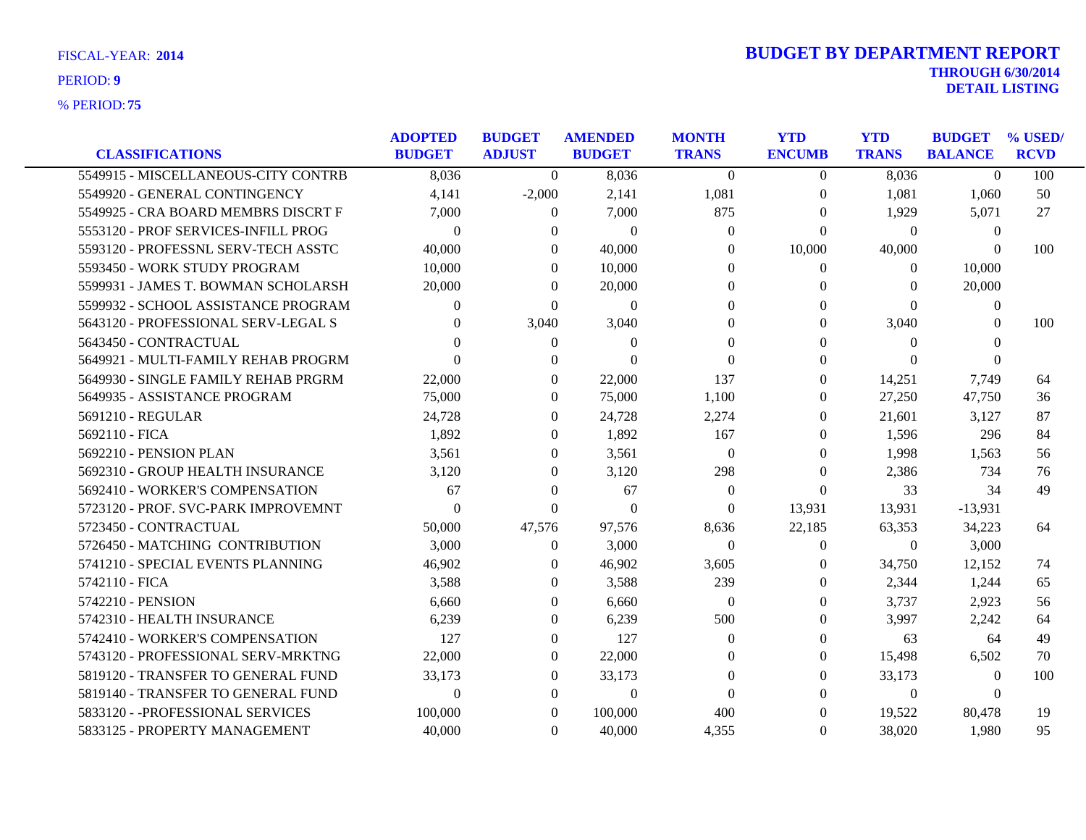**75** % PERIOD:

# **THROUGH 6/30/2014 DETAIL LISTING** PERIOD: **<sup>9</sup> 2014 BUDGET BY DEPARTMENT REPORT**

|                                     | <b>ADOPTED</b> | <b>BUDGET</b> | <b>AMENDED</b> | <b>MONTH</b> | <b>YTD</b>    | <b>YTD</b>   | <b>BUDGET</b>  | % USED/     |
|-------------------------------------|----------------|---------------|----------------|--------------|---------------|--------------|----------------|-------------|
| <b>CLASSIFICATIONS</b>              | <b>BUDGET</b>  | <b>ADJUST</b> | <b>BUDGET</b>  | <b>TRANS</b> | <b>ENCUMB</b> | <b>TRANS</b> | <b>BALANCE</b> | <b>RCVD</b> |
| 5549915 - MISCELLANEOUS-CITY CONTRB | 8,036          | $\Omega$      | 8,036          | $\theta$     | $\Omega$      | 8,036        | $\theta$       | 100         |
| 5549920 - GENERAL CONTINGENCY       | 4,141          | $-2,000$      | 2,141          | 1,081        | $\theta$      | 1,081        | 1,060          | 50          |
| 5549925 - CRA BOARD MEMBRS DISCRT F | 7,000          | $\theta$      | 7,000          | 875          | 0             | 1,929        | 5,071          | 27          |
| 5553120 - PROF SERVICES-INFILL PROG | $\Omega$       | $\Omega$      | $\Omega$       | $\Omega$     | 0             | $\Omega$     | $\theta$       |             |
| 5593120 - PROFESSNL SERV-TECH ASSTC | 40,000         | $\Omega$      | 40,000         | $\Omega$     | 10,000        | 40,000       | $\Omega$       | 100         |
| 5593450 - WORK STUDY PROGRAM        | 10,000         | $\Omega$      | 10,000         | $\Omega$     | 0             | $\theta$     | 10,000         |             |
| 5599931 - JAMES T. BOWMAN SCHOLARSH | 20,000         | $\Omega$      | 20,000         | $\Omega$     | 0             | $\Omega$     | 20,000         |             |
| 5599932 - SCHOOL ASSISTANCE PROGRAM | $\Omega$       | $\Omega$      | $\theta$       | $\Omega$     | $\Omega$      | $\Omega$     | $\theta$       |             |
| 5643120 - PROFESSIONAL SERV-LEGAL S | $\Omega$       | 3,040         | 3,040          | $\Omega$     | 0             | 3,040        | $\Omega$       | 100         |
| 5643450 - CONTRACTUAL               | $\Omega$       | $\Omega$      | $\Omega$       | $\Omega$     | 0             | $\Omega$     | 0              |             |
| 5649921 - MULTI-FAMILY REHAB PROGRM | $\Omega$       | $\Omega$      | $\Omega$       | $\Omega$     | 0             | $\Omega$     |                |             |
| 5649930 - SINGLE FAMILY REHAB PRGRM | 22,000         | $\Omega$      | 22,000         | 137          | 0             | 14,251       | 7,749          | 64          |
| 5649935 - ASSISTANCE PROGRAM        | 75,000         | $\Omega$      | 75,000         | 1,100        | $\theta$      | 27,250       | 47,750         | 36          |
| 5691210 - REGULAR                   | 24,728         | $\Omega$      | 24,728         | 2,274        | 0             | 21,601       | 3,127          | 87          |
| 5692110 - FICA                      | 1,892          | $\theta$      | 1,892          | 167          | 0             | 1.596        | 296            | 84          |
| 5692210 - PENSION PLAN              | 3,561          | $\mathbf{0}$  | 3,561          | $\theta$     | $\theta$      | 1,998        | 1,563          | 56          |
| 5692310 - GROUP HEALTH INSURANCE    | 3,120          | $\Omega$      | 3,120          | 298          | $\Omega$      | 2,386        | 734            | 76          |
| 5692410 - WORKER'S COMPENSATION     | 67             | $\Omega$      | 67             | $\Omega$     | $\theta$      | 33           | 34             | 49          |
| 5723120 - PROF. SVC-PARK IMPROVEMNT | $\Omega$       | $\Omega$      | $\theta$       | $\Omega$     | 13,931        | 13,931       | $-13,931$      |             |
| 5723450 - CONTRACTUAL               | 50,000         | 47,576        | 97,576         | 8,636        | 22,185        | 63,353       | 34,223         | 64          |
| 5726450 - MATCHING CONTRIBUTION     | 3,000          | $\mathbf{0}$  | 3,000          | $\Omega$     | 0             | $\Omega$     | 3,000          |             |
| 5741210 - SPECIAL EVENTS PLANNING   | 46,902         | $\Omega$      | 46,902         | 3,605        | 0             | 34,750       | 12,152         | 74          |
| 5742110 - FICA                      | 3,588          | $\theta$      | 3,588          | 239          | 0             | 2,344        | 1,244          | 65          |
| 5742210 - PENSION                   | 6,660          | $\Omega$      | 6,660          | $\theta$     | 0             | 3,737        | 2,923          | 56          |
| 5742310 - HEALTH INSURANCE          | 6,239          | $\theta$      | 6,239          | 500          | $\Omega$      | 3,997        | 2,242          | 64          |
| 5742410 - WORKER'S COMPENSATION     | 127            | $\Omega$      | 127            | $\Omega$     | 0             | 63           | 64             | 49          |
| 5743120 - PROFESSIONAL SERV-MRKTNG  | 22,000         | $\Omega$      | 22,000         | $\Omega$     | 0             | 15,498       | 6,502          | 70          |
| 5819120 - TRANSFER TO GENERAL FUND  | 33,173         | $\theta$      | 33,173         | 0            | 0             | 33,173       | $\theta$       | 100         |
| 5819140 - TRANSFER TO GENERAL FUND  | $\Omega$       | $\Omega$      | $\Omega$       | $\Omega$     | $\Omega$      | $\theta$     | $\Omega$       |             |
| 5833120 - - PROFESSIONAL SERVICES   | 100,000        | $\Omega$      | 100,000        | 400          | 0             | 19,522       | 80,478         | 19          |
| 5833125 - PROPERTY MANAGEMENT       | 40,000         | $\Omega$      | 40,000         | 4,355        | $\theta$      | 38,020       | 1,980          | 95          |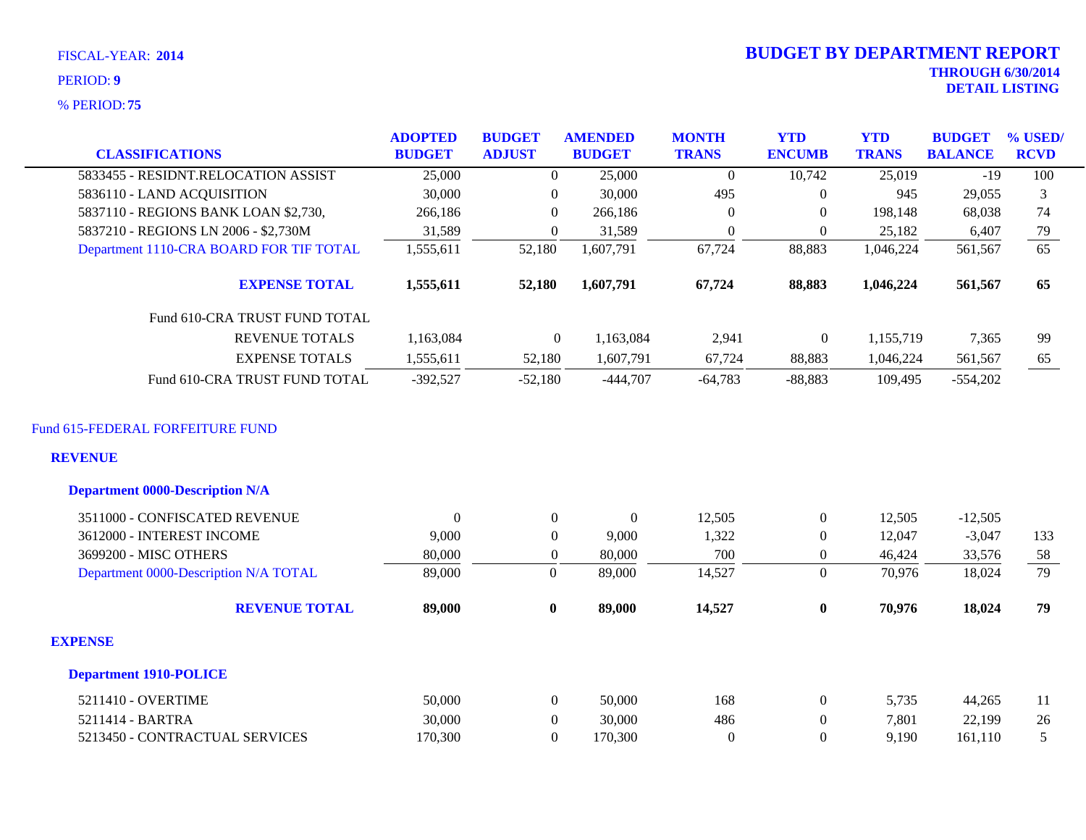**75** % PERIOD:

# **THROUGH 6/30/2014 DETAIL LISTING** PERIOD: **<sup>9</sup> 2014 BUDGET BY DEPARTMENT REPORT**

|                                                                                              | <b>ADOPTED</b> | <b>BUDGET</b>    | <b>AMENDED</b>   | <b>MONTH</b>     | <b>YTD</b>       | <b>YTD</b>   | <b>BUDGET</b>  | % USED/         |
|----------------------------------------------------------------------------------------------|----------------|------------------|------------------|------------------|------------------|--------------|----------------|-----------------|
| <b>CLASSIFICATIONS</b>                                                                       | <b>BUDGET</b>  | <b>ADJUST</b>    | <b>BUDGET</b>    | <b>TRANS</b>     | <b>ENCUMB</b>    | <b>TRANS</b> | <b>BALANCE</b> | <b>RCVD</b>     |
| 5833455 - RESIDNT.RELOCATION ASSIST                                                          | 25,000         | $\theta$         | 25,000           | $\theta$         | 10,742           | 25,019       | $-19$          | 100             |
| 5836110 - LAND ACQUISITION                                                                   | 30,000         | $\overline{0}$   | 30,000           | 495              | $\boldsymbol{0}$ | 945          | 29,055         | 3               |
| 5837110 - REGIONS BANK LOAN \$2,730,                                                         | 266,186        | $\overline{0}$   | 266,186          | $\boldsymbol{0}$ | $\theta$         | 198,148      | 68,038         | 74              |
| 5837210 - REGIONS LN 2006 - \$2,730M                                                         | 31,589         | $\overline{0}$   | 31,589           | $\overline{0}$   | $\theta$         | 25,182       | 6,407          | 79              |
| Department 1110-CRA BOARD FOR TIF TOTAL                                                      | 1,555,611      | 52,180           | 1,607,791        | 67,724           | 88,883           | 1,046,224    | 561,567        | $\overline{65}$ |
| <b>EXPENSE TOTAL</b>                                                                         | 1,555,611      | 52,180           | 1,607,791        | 67,724           | 88,883           | 1,046,224    | 561,567        | 65              |
| Fund 610-CRA TRUST FUND TOTAL                                                                |                |                  |                  |                  |                  |              |                |                 |
| <b>REVENUE TOTALS</b>                                                                        | 1,163,084      | $\Omega$         | 1,163,084        | 2,941            | $\boldsymbol{0}$ | 1,155,719    | 7,365          | 99              |
| <b>EXPENSE TOTALS</b>                                                                        | 1,555,611      | 52,180           | 1,607,791        | 67,724           | 88,883           | 1,046,224    | 561,567        | 65              |
| Fund 610-CRA TRUST FUND TOTAL                                                                | $-392,527$     | $-52,180$        | $-444,707$       | $-64,783$        | $-88,883$        | 109,495      | $-554,202$     |                 |
| Fund 615-FEDERAL FORFEITURE FUND<br><b>REVENUE</b><br><b>Department 0000-Description N/A</b> |                |                  |                  |                  |                  |              |                |                 |
|                                                                                              |                |                  |                  |                  |                  |              |                |                 |
| 3511000 - CONFISCATED REVENUE                                                                | $\overline{0}$ | $\theta$         | $\boldsymbol{0}$ | 12,505           | $\boldsymbol{0}$ | 12,505       | $-12,505$      |                 |
| 3612000 - INTEREST INCOME                                                                    | 9,000          | $\theta$         | 9,000            | 1,322            | $\overline{0}$   | 12,047       | $-3,047$       | 133             |
| 3699200 - MISC OTHERS                                                                        | 80,000         | $\mathbf{0}$     | 80,000           | 700              | $\boldsymbol{0}$ | 46,424       | 33,576         | 58              |
| Department 0000-Description N/A TOTAL                                                        | 89,000         | $\boldsymbol{0}$ | 89,000           | 14,527           | $\overline{0}$   | 70,976       | 18,024         | 79              |
| <b>REVENUE TOTAL</b>                                                                         | 89,000         | $\bf{0}$         | 89,000           | 14,527           | $\bf{0}$         | 70,976       | 18,024         | 79              |
| <b>EXPENSE</b>                                                                               |                |                  |                  |                  |                  |              |                |                 |
| <b>Department 1910-POLICE</b>                                                                |                |                  |                  |                  |                  |              |                |                 |
| 5211410 - OVERTIME                                                                           | 50,000         | $\overline{0}$   | 50,000           | 168              | $\boldsymbol{0}$ | 5,735        | 44,265         | 11              |
| 5211414 - BARTRA                                                                             | 30,000         | $\boldsymbol{0}$ | 30,000           | 486              | $\boldsymbol{0}$ | 7,801        | 22,199         | 26              |
| 5213450 - CONTRACTUAL SERVICES                                                               | 170,300        | $\overline{0}$   | 170,300          | $\overline{0}$   | $\theta$         | 9,190        | 161,110        | 5               |